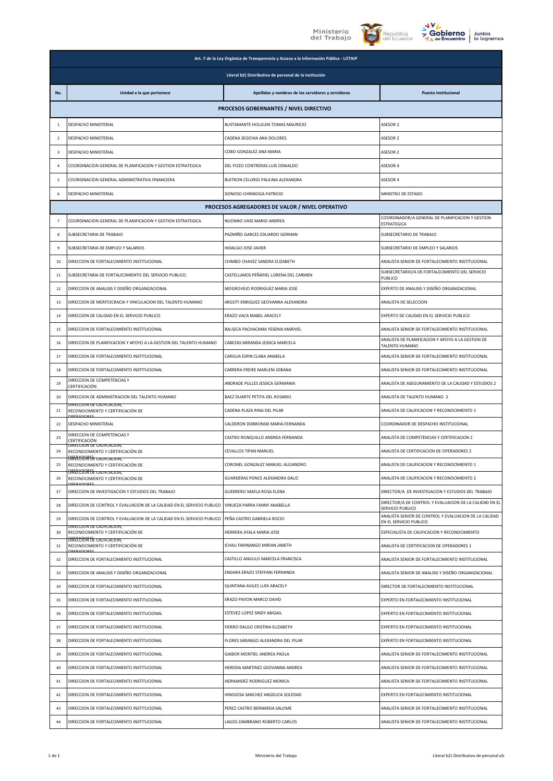





|                         | Art. 7 de la Ley Orgánica de Transparencia y Acceso a la Información Pública - LOTAIP               |                                                    |                                                                                 |  |
|-------------------------|-----------------------------------------------------------------------------------------------------|----------------------------------------------------|---------------------------------------------------------------------------------|--|
|                         | Literal b2) Distributivo de personal de la institución                                              |                                                    |                                                                                 |  |
| No.                     | Unidad a la que pertenece                                                                           | Apellidos y nombres de los servidores y servidoras | <b>Puesto Institucional</b>                                                     |  |
|                         |                                                                                                     | PROCESOS GOBERNANTES / NIVEL DIRECTIVO             |                                                                                 |  |
| $\mathbf{1}$            | DESPACHO MINISTERIAL                                                                                | BUSTAMANTE HOLGUIN TOMAS MAURICIO                  | ASESOR 2                                                                        |  |
| $\overline{2}$          | DESPACHO MINISTERIAL                                                                                | CADENA SEGOVIA ANA DOLORES                         | ASESOR 2                                                                        |  |
| $\overline{\mathbf{3}}$ | DESPACHO MINISTERIAL                                                                                | COBO GONZALEZ ANA MARIA                            | ASESOR 2                                                                        |  |
| $\overline{4}$          | COORDINACION GENERAL DE PLANIFICACION Y GESTION ESTRATEGICA                                         | DEL POZO CONTRERAS LUIS OSWALDO                    | ASESOR 4                                                                        |  |
| 5                       | COORDINACION GENERAL ADMINISTRATIVA FINANCIERA                                                      | BUITRON CELORIO PAULINA ALEXANDRA                  | ASESOR 4                                                                        |  |
| 6                       | DESPACHO MINISTERIAL                                                                                | DONOSO CHIRIBOGA PATRICIO                          | MINISTRO DE ESTADO                                                              |  |
|                         |                                                                                                     | PROCESOS AGREGADORES DE VALOR / NIVEL OPERATIVO    |                                                                                 |  |
| $\overline{7}$          | COORDINACION GENERAL DE PLANIFICACION Y GESTION ESTRATEGICA                                         | NUONNO VASS MARIO ANDREA                           | COORDINADOR/A GENERAL DE PLANIFICACION Y GESTION<br><b>ESTRATEGICA</b>          |  |
| 8                       | SUBSECRETARIA DE TRABAJO                                                                            | PAZMIÑO GARCES EDUARDO GERMAN                      | SUBSECRETARIO DE TRABAJO                                                        |  |
| 9                       | SUBSECRETARIA DE EMPLEO Y SALARIOS                                                                  | HIDALGO JOSE JAVIER                                | SUBSECRETARIO DE EMPLEO Y SALARIOS                                              |  |
| 10                      | DIRECCION DE FORTALECIMIENTO INSTITUCIONAL                                                          | CHIMBO CHAVEZ SANDRA ELIZABETH                     | ANALISTA SENIOR DE FORTALECIMIENTO INSTITUCIONAL                                |  |
| 11                      | SUBSECRETARIA DE FORTALECIMIENTO DEL SERVICIO PUBLICO.                                              | CASTELLANOS PEÑAFIEL LORENA DEL CARMEN             | SUBSECRETARIO/A DE FORTALECIMIENTO DEL SERVICIO<br>PUBLICO                      |  |
| 12                      | DIRECCION DE ANALISIS Y DISEÑO ORGANIZACIONAL                                                       | MOGROVEJO RODRIGUEZ MARIA JOSE                     | EXPERTO DE ANALISIS Y DISEÑO ORGANIZACIONAL                                     |  |
| 13                      | DIRECCION DE MERITOCRACIA Y VINCULACION DEL TALENTO HUMANO                                          | ARGOTI ENRIQUEZ GEOVANNA ALEXANDRA                 | ANALISTA DE SELECCION                                                           |  |
| 14                      | DIRECCION DE CALIDAD EN EL SERVICIO PUBLICO                                                         | ERAZO VACA MABEL ARACELY                           | EXPERTO DE CALIDAD EN EL SERVICIO PUBLICO                                       |  |
| 15                      | DIRECCION DE FORTALECIMIENTO INSTITUCIONAL                                                          | BALSECA PACHACAMA YESENIA MARIVEL                  | ANALISTA SENIOR DE FORTALECIMIENTO INSTITUCIONAL                                |  |
| 16                      | DIRECCION DE PLANIFICACION Y APOYO A LA GESTION DEL TALENTO HUMANO                                  | CABEZAS MIRANDA JESSICA MARCELA                    | ANALISTA DE PLANIFICACION Y APOYO A LA GESTION DE<br>TALENTO HUMANO             |  |
| 17                      | DIRECCION DE FORTALECIMIENTO INSTITUCIONAL                                                          | CARGUA ESPIN CLARA ANABELA                         | ANALISTA SENIOR DE FORTALECIMIENTO INSTITUCIONAL                                |  |
| 18                      | DIRECCION DE FORTALECIMIENTO INSTITUCIONAL                                                          | CARRERA FREIRE MARLENI JOBANA                      | ANALISTA SENIOR DE FORTALECIMIENTO INSTITUCIONAL                                |  |
| 19                      | DIRECCION DE COMPETENCIAS Y<br>CERTIFICACIÓN                                                        | ANDRADE PULLES JESSICA GERMANIA                    | ANALISTA DE ASEGURAMIENTO DE LA CALIDAD Y ESTUDIOS 2                            |  |
| 20                      | DIRECCION DE ADMINISTRACION DEL TALENTO HUMANO                                                      | BAEZ DUARTE PETITA DEL ROSARIO                     | ANALISTA DE TALENTO HUMANO 2                                                    |  |
| 21                      | DIRECCION DE CALIFCACION.<br>RECONOCIMIENTO Y CERTIFICACIÓN DE                                      | CADENA PLAZA RINA DEL PILAR                        | ANALISTA DE CALIFICACION Y RECONOCIMIENTO 1                                     |  |
| 22                      | DESPACHO MINISTERIAL                                                                                | CALDERON DOBRONSKI MARIA FERNANDA                  | COORDINADOR DE DESPACHO INSTITUCIONAL                                           |  |
| 23                      | DIRECCION DE COMPETENCIAS Y<br>CERTIFICACIÓN                                                        | CASTRO RONQUILLO ANDREA FERNANDA                   | ANALISTA DE COMPETENCIAS Y CERTIFICACION 2                                      |  |
| 24                      | DIRECCION DE CALIFCACION,<br>RECONOCIMIENTO Y CERTIFICACIÓN DE<br><b>DRECCION DE CALIFCACION.</b>   | CEVALLOS TIPAN MANUEL                              | ANALISTA DE CERTIFICACION DE OPERADORES 2                                       |  |
| 25                      | RECONOCIMIENTO Y CERTIFICACIÓN DE                                                                   | CORONEL GONZALEZ MANUEL ALEJANDRO                  | ANALISTA DE CALIFICACION Y RECONOCIMIENTO 1                                     |  |
| 26                      | DIRECCION DE CALIFCACION,<br>RECONOCIMIENTO Y CERTIFICACIÓN DE                                      | GUARDERAS PONCE ALEXANDRA DALIZ                    | ANALISTA DE CALIFICACION Y RECONOCIMIENTO 2                                     |  |
| 27                      | DIRECCION DE INVESTIGACION Y ESTUDIOS DEL TRABAJO                                                   | GUERRERO MAFLA ROSA ELENA                          | DIRECTOR/A DE INVESTIGACION Y ESTUDIOS DEL TRABAJO                              |  |
| 28                      | DIRECCION DE CONTROL Y EVALUACION DE LA CALIDAD EN EL SERVICIO PUBLICO                              | VINUEZA PARRA FANNY ANABELLA                       | DIRECTOR/A DE CONTROL Y EVALUACION DE LA CALIDAD EN EL<br>SERVICIO PUBLICO      |  |
| 29                      | DIRECCION DE CONTROL Y EVALUACION DE LA CALIDAD EN EL SERVICIO PUBLICO<br>DIRECCION DE CALIFCACION, | PEÑA CASTRO GABRIELA ROCIO                         | ANALISTA SENIOR DE CONTROL Y EVALUACION DE LA CALIDAD<br>EN EL SERVICIO PUBLICO |  |
| 30                      | RECONOCIMIENTO Y CERTIFICACIÓN DE<br>BRECCIÓN DE CALIFCACION,                                       | HERRERA AYALA MARIA JOSE                           | ESPECIALISTA DE CALIFICACION Y RECONOCIMIENTO                                   |  |
| 31                      | RECONOCIMIENTO Y CERTIFICACIÓN DE<br><b>DEPADORE</b>                                                | ICHAU FARINANGO MIRIAN JANETH                      | ANALISTA DE CERTIFICACION DE OPERADORES 1                                       |  |
| 32                      | DIRECCION DE FORTALECIMIENTO INSTITUCIONAL                                                          | CASTILLO ANGULO MARCELA FRANCISCA                  | ANALISTA SENIOR DE FORTALECIMIENTO INSTITUCIONAL                                |  |
| 33                      | DIRECCION DE ANALISIS Y DISEÑO ORGANIZACIONAL                                                       | ENDARA ERAZO STEFFANI FERNANDA                     | ANALISTA SENIOR DE ANALISIS Y DISEÑO ORGANIZACIONAL                             |  |
| 34                      | DIRECCION DE FORTALECIMIENTO INSTITUCIONAL                                                          | QUINTANA AVILES LUDI ARACELY                       | DIRECTOR DE FORTALECIMIENTO INSTITUCIONAL                                       |  |
| 35                      | DIRECCION DE FORTALECIMIENTO INSTITUCIONAL                                                          | ERAZO PAVON MARCO DAVID                            | EXPERTO EN FORTALECIMIENTO INSTITUCIONAL                                        |  |
| 36                      | DIRECCION DE FORTALECIMIENTO INSTITUCIONAL                                                          | ESTEVEZ LOPEZ SINDY ABIGAIL                        | EXPERTO EN FORTALECIMIENTO INSTITUCIONAL                                        |  |
| 37                      | DIRECCION DE FORTALECIMIENTO INSTITUCIONAL                                                          | FIERRO DALGO CRISTINA ELIZABETH                    | EXPERTO EN FORTALECIMIENTO INSTITUCIONAL                                        |  |
| 38                      | DIRECCION DE FORTALECIMIENTO INSTITUCIONAL                                                          | FLORES SARANGO ALEXANDRA DEL PILAR                 | EXPERTO EN FORTALECIMIENTO INSTITUCIONAL                                        |  |
| 39                      | DIRECCION DE FORTALECIMIENTO INSTITUCIONAL                                                          | GAIBOR MONTIEL ANDREA PAOLA                        | ANALISTA SENIOR DE FORTALECIMIENTO INSTITUCIONAL                                |  |
| 40                      | DIRECCION DE FORTALECIMIENTO INSTITUCIONAL                                                          | HEREDIA MARTINEZ GEOVANNA ANDREA                   | ANALISTA SENIOR DE FORTALECIMIENTO INSTITUCIONAL                                |  |
| 41                      | DIRECCION DE FORTALECIMIENTO INSTITUCIONAL                                                          | HERNANDEZ RODRIGUEZ MONICA                         | ANALISTA SENIOR DE FORTALECIMIENTO INSTITUCIONAL                                |  |
| 42                      | DIRECCION DE FORTALECIMIENTO INSTITUCIONAL                                                          | HINOJOSA SANCHEZ ANGELICA SOLEDAD                  | EXPERTO EN FORTALECIMIENTO INSTITUCIONAL                                        |  |
| 43                      | DIRECCION DE FORTALECIMIENTO INSTITUCIONAL                                                          | PEREZ CASTRO BERNARDA SALOME                       | ANALISTA SENIOR DE FORTALECIMIENTO INSTITUCIONAL                                |  |
| 44                      | DIRECCION DE FORTALECIMIENTO INSTITUCIONAL                                                          | LAGOS ZAMBRANO ROBERTO CARLOS                      | ANALISTA SENIOR DE FORTALECIMIENTO INSTITUCIONAL                                |  |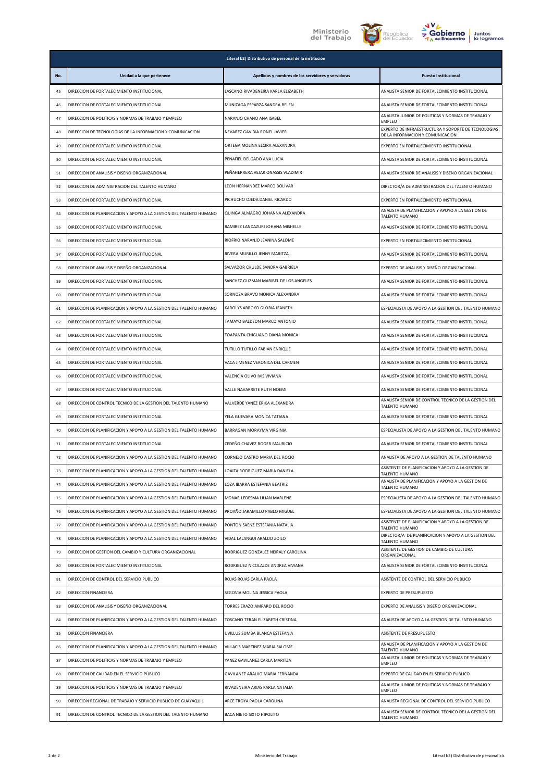





|          |                                                                                                                                | Literal b2) Distributivo de personal de la institución             |                                                                                                             |
|----------|--------------------------------------------------------------------------------------------------------------------------------|--------------------------------------------------------------------|-------------------------------------------------------------------------------------------------------------|
| No.      | Unidad a la que pertenece                                                                                                      | Apellidos y nombres de los servidores y servidoras                 | <b>Puesto Institucional</b>                                                                                 |
| 45       | DIRECCION DE FORTALECIMIENTO INSTITUCIONAL                                                                                     | LASCANO RIVADENEIRA KARLA ELIZABETH                                | ANALISTA SENIOR DE FORTALECIMIENTO INSTITUCIONAL                                                            |
| 46       | DIRECCION DE FORTALECIMIENTO INSTITUCIONAL                                                                                     | MUNIZAGA ESPARZA SANDRA BELEN                                      | ANALISTA SENIOR DE FORTALECIMIENTO INSTITUCIONAL                                                            |
| 47       | DIRECCION DE POLITICAS Y NORMAS DE TRABAJO Y EMPLEO                                                                            | NARANJO CHANO ANA ISABEL                                           | ANALISTA JUNIOR DE POLITICAS Y NORMAS DE TRABAJO Y<br><b>EMPLEO</b>                                         |
| 48       | DIRECCION DE TECNOLOGIAS DE LA INFORMACION Y COMUNICACION                                                                      | NEVAREZ GAVIDIA RONEL JAVIER                                       | EXPERTO DE INFRAESTRUCTURA Y SOPORTE DE TECNOLOGIAS<br>DE LA INFORMACION Y COMUNICACION                     |
| 49       | DIRECCION DE FORTALECIMIENTO INSTITUCIONAL                                                                                     | ORTEGA MOLINA ELCIRA ALEXANDRA                                     | EXPERTO EN FORTALECIMIENTO INSTITUCIONAL                                                                    |
| 50       | DIRECCION DE FORTALECIMIENTO INSTITUCIONAL                                                                                     | PEÑAFIEL DELGADO ANA LUCIA                                         | ANALISTA SENIOR DE FORTALECIMIENTO INSTITUCIONAL                                                            |
| 51       | DIRECCION DE ANALISIS Y DISEÑO ORGANIZACIONAL                                                                                  | PEÑAHERRERA VEJAR ONASSIS VLADIMIR                                 | ANALISTA SENIOR DE ANALISIS Y DISEÑO ORGANIZACIONAL                                                         |
| 52       | DIRECCION DE ADMINISTRACION DEL TALENTO HUMANO                                                                                 | LEON HERNANDEZ MARCO BOLIVAR                                       | DIRECTOR/A DE ADMINISTRACION DEL TALENTO HUMANO                                                             |
| 53       | DIRECCION DE FORTALECIMIENTO INSTITUCIONAL                                                                                     | PICHUCHO OJEDA DANIEL RICARDO                                      | EXPERTO EN FORTALECIMIENTO INSTITUCIONAL                                                                    |
| 54       | DIRECCION DE PLANIFICACION Y APOYO A LA GESTION DEL TALENTO HUMANO                                                             | QUINGA ALMAGRO JOHANNA ALEXANDRA                                   | ANALISTA DE PLANIFICACION Y APOYO A LA GESTION DE<br>TALENTO HUMANO                                         |
| 55       | DIRECCION DE FORTALECIMIENTO INSTITUCIONAL                                                                                     | RAMIREZ LANDAZURI JOHANA MISHELLE                                  | ANALISTA SENIOR DE FORTALECIMIENTO INSTITUCIONAL                                                            |
| 56       | DIRECCION DE FORTALECIMIENTO INSTITUCIONAL                                                                                     | RIOFRIO NARANJO JEANINA SALOME                                     | EXPERTO EN FORTALECIMIENTO INSTITUCIONAL                                                                    |
| 57       | DIRECCION DE FORTALECIMIENTO INSTITUCIONAL                                                                                     | RIVERA MURILLO JENNY MARITZA                                       | ANALISTA SENIOR DE FORTALECIMIENTO INSTITUCIONAL                                                            |
| 58       | DIRECCION DE ANALISIS Y DISEÑO ORGANIZACIONAL                                                                                  | SALVADOR CHULDE SANDRA GABRIELA                                    | EXPERTO DE ANALISIS Y DISEÑO ORGANIZACIONAL                                                                 |
| 59       | DIRECCION DE FORTALECIMIENTO INSTITUCIONAL                                                                                     | SANCHEZ GUZMAN MARIBEL DE LOS ANGELES                              | ANALISTA SENIOR DE FORTALECIMIENTO INSTITUCIONAL                                                            |
| 60       | DIRECCION DE FORTALECIMIENTO INSTITUCIONAL                                                                                     | SORNOZA BRAVO MONICA ALEXANDRA                                     | ANALISTA SENIOR DE FORTALECIMIENTO INSTITUCIONAL                                                            |
| 61       | DIRECCION DE PLANIFICACION Y APOYO A LA GESTION DEL TALENTO HUMANO                                                             | KAROLYS ARROYO GLORIA JEANETH                                      | ESPECIALISTA DE APOYO A LA GESTION DEL TALENTO HUMANO                                                       |
| 62       | DIRECCION DE FORTALECIMIENTO INSTITUCIONAL                                                                                     | TAMAYO BALDEON MARCO ANTONIO                                       | ANALISTA SENIOR DE FORTALECIMIENTO INSTITUCIONAL                                                            |
| 63       | DIRECCION DE FORTALECIMIENTO INSTITUCIONAL                                                                                     | TOAPANTA CHIGUANO DIANA MONICA                                     | ANALISTA SENIOR DE FORTALECIMIENTO INSTITUCIONAL                                                            |
| 64       | DIRECCION DE FORTALECIMIENTO INSTITUCIONAL                                                                                     | TUTILLO TUTILLO FABIAN ENRIQUE                                     | ANALISTA SENIOR DE FORTALECIMIENTO INSTITUCIONAL                                                            |
| 65       | DIRECCION DE FORTALECIMIENTO INSTITUCIONAL                                                                                     | VACA JIMENEZ VERONICA DEL CARMEN                                   | ANALISTA SENIOR DE FORTALECIMIENTO INSTITUCIONAL                                                            |
| 66       | DIRECCION DE FORTALECIMIENTO INSTITUCIONAL                                                                                     | VALENCIA OLIVO IVIS VIVIANA                                        | ANALISTA SENIOR DE FORTALECIMIENTO INSTITUCIONAL                                                            |
| 67       | DIRECCION DE FORTALECIMIENTO INSTITUCIONAL                                                                                     | VALLE NAVARRETE RUTH NOEMI                                         | ANALISTA SENIOR DE FORTALECIMIENTO INSTITUCIONAL<br>ANALISTA SENIOR DE CONTROL TECNICO DE LA GESTION DEL    |
| 68       | DIRECCION DE CONTROL TECNICO DE LA GESTION DEL TALENTO HUMANO                                                                  | VALVERDE YANEZ ERIKA ALEXANDRA                                     | TALENTO HUMANO                                                                                              |
| 69       | DIRECCION DE FORTALECIMIENTO INSTITUCIONAL                                                                                     | YELA GUEVARA MONICA TATIANA                                        | ANALISTA SENIOR DE FORTALECIMIENTO INSTITUCIONAL                                                            |
| 70       | DIRECCION DE PLANIFICACION Y APOYO A LA GESTION DEL TALENTO HUMANO                                                             | BARRAGAN MORAYMA VIRGINIA                                          | ESPECIALISTA DE APOYO A LA GESTION DEL TALENTO HUMANO                                                       |
| 71       | DIRECCION DE FORTALECIMIENTO INSTITUCIONAL                                                                                     | CEDEÑO CHAVEZ ROGER MAURICIO                                       | ANALISTA SENIOR DE FORTALECIMIENTO INSTITUCIONAL                                                            |
| 72       | DIRECCION DE PLANIFICACION Y APOYO A LA GESTION DEL TALENTO HUMANO                                                             | CORNEJO CASTRO MARIA DEL ROCIO                                     | ANALISTA DE APOYO A LA GESTION DE TALENTO HUMANO<br>ASISTENTE DE PLANIFICACION Y APOYO A LA GESTION DE      |
| 73       | DIRECCION DE PLANIFICACION Y APOYO A LA GESTION DEL TALENTO HUMANO                                                             | LOAIZA RODRIGUEZ MARIA DANIELA                                     | TALENTO HUMANO<br>ANALISTA DE PLANIFICACION Y APOYO A LA GESTION DE                                         |
| 74       | DIRECCION DE PLANIFICACION Y APOYO A LA GESTION DEL TALENTO HUMANO                                                             | LOZA IBARRA ESTEFANIA BEATRIZ                                      | TALENTO HUMANO                                                                                              |
| 75       | DIRECCION DE PLANIFICACION Y APOYO A LA GESTION DEL TALENTO HUMANO                                                             | MONAR LEDESMA LILIAN MARLENE                                       | ESPECIALISTA DE APOYO A LA GESTION DEL TALENTO HUMANO                                                       |
| 76       | DIRECCION DE PLANIFICACION Y APOYO A LA GESTION DEL TALENTO HUMANO                                                             | PROAÑO JARAMILLO PABLO MIGUEL                                      | ESPECIALISTA DE APOYO A LA GESTION DEL TALENTO HUMANO<br>ASISTENTE DE PLANIFICACION Y APOYO A LA GESTION DE |
| 77       | DIRECCION DE PLANIFICACION Y APOYO A LA GESTION DEL TALENTO HUMANO                                                             | PONTON SAENZ ESTEFANIA NATALIA                                     | TALENTO HUMANO<br>DIRECTOR/A DE PLANIFICACION Y APOYO A LA GESTION DEL                                      |
| 78<br>79 | DIRECCION DE PLANIFICACION Y APOYO A LA GESTION DEL TALENTO HUMANO<br>DIRECCION DE GESTION DEL CAMBIO Y CULTURA ORGANIZACIONAL | VIDAL LALANGUI ARALDO ZOILO<br>RODRIGUEZ GONZALEZ NEIRALY CAROLINA | TALENTO HUMANO<br>ASISTENTE DE GESTION DE CAMBIO DE CULTURA                                                 |
| 80       | DIRECCION DE FORTALECIMIENTO INSTITUCIONAL                                                                                     | RODRIGUEZ NICOLALDE ANDREA VIVIANA                                 | ORGANIZACIONAL<br>ANALISTA SENIOR DE FORTALECIMIENTO INSTITUCIONAL                                          |
| 81       | DIRECCION DE CONTROL DEL SERVICIO PUBLICO                                                                                      | ROJAS ROJAS CARLA PAOLA                                            | ASISTENTE DE CONTROL DEL SERVICIO PUBLICO                                                                   |
| 82       | DIRECCION FINANCIERA                                                                                                           | SEGOVIA MOLINA JESSICA PAOLA                                       | EXPERTO DE PRESUPUESTO                                                                                      |
| 83       | DIRECCION DE ANALISIS Y DISEÑO ORGANIZACIONAL                                                                                  | TORRES ERAZO AMPARO DEL ROCIO                                      | EXPERTO DE ANALISIS Y DISEÑO ORGANIZACIONAL                                                                 |
| 84       | DIRECCION DE PLANIFICACION Y APOYO A LA GESTION DEL TALENTO HUMANO                                                             | TOSCANO TERAN ELIZABETH CRISTINA                                   | ANALISTA DE APOYO A LA GESTION DE TALENTO HUMANO                                                            |
| 85       | DIRECCION FINANCIERA                                                                                                           | UVILLUS SUMBA BLANCA ESTEFANIA                                     | ASISTENTE DE PRESUPUESTO                                                                                    |
| 86       | DIRECCION DE PLANIFICACION Y APOYO A LA GESTION DEL TALENTO HUMANO                                                             | VILLACIS MARTINEZ MARIA SALOME                                     | ANALISTA DE PLANIFICACION Y APOYO A LA GESTION DE                                                           |
| 87       | DIRECCION DE POLITICAS Y NORMAS DE TRABAJO Y EMPLEO                                                                            | YANEZ GAVILANEZ CARLA MARITZA                                      | TALENTO HUMANO<br>ANALISTA JUNIOR DE POLITICAS Y NORMAS DE TRABAJO Y                                        |
| 88       | DIRECCION DE CALIDAD EN EL SERVICIO PÚBLICO                                                                                    | GAVILANEZ ARAUJO MARIA FERNANDA                                    | <b>EMPLEO</b><br>EXPERTO DE CALIDAD EN EL SERVICIO PUBLICO                                                  |
| 89       | DIRECCION DE POLITICAS Y NORMAS DE TRABAJO Y EMPLEO                                                                            | RIVADENEIRA ARIAS KARLA NATALIA                                    | ANALISTA JUNIOR DE POLITICAS Y NORMAS DE TRABAJO Y                                                          |
| 90       | DIRECCION REGIONAL DE TRABAJO Y SERVICIO PUBLICO DE GUAYAQUIL                                                                  | ARCE TROYA PAOLA CAROLINA                                          | <b>EMPLEO</b><br>ANALISTA REGIONAL DE CONTROL DEL SERVICIO PUBLICO                                          |
| 91       | DIRECCION DE CONTROL TECNICO DE LA GESTION DEL TALENTO HUMANO                                                                  | BACA NIETO SIXTO HIPOLITO                                          | ANALISTA SENIOR DE CONTROL TECNICO DE LA GESTION DEL<br>TALENTO HUMANO                                      |
|          |                                                                                                                                |                                                                    |                                                                                                             |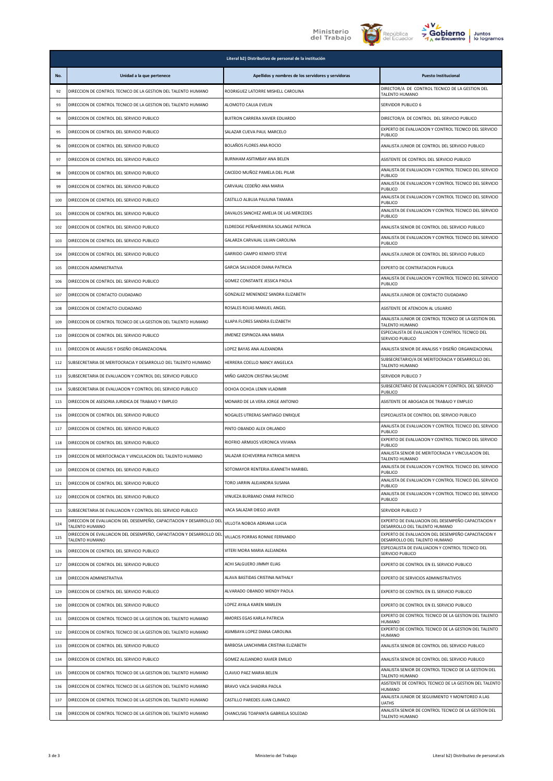





|     |                                                                                        | Literal b2) Distributivo de personal de la institución |                                                                                     |
|-----|----------------------------------------------------------------------------------------|--------------------------------------------------------|-------------------------------------------------------------------------------------|
| No. | Unidad a la que pertenece                                                              | Apellidos y nombres de los servidores y servidoras     | <b>Puesto Institucional</b>                                                         |
| 92  | DIRECCION DE CONTROL TECNICO DE LA GESTION DEL TALENTO HUMANO                          | RODRIGUEZ LATORRE MISHELL CAROLINA                     | DIRECTOR/A DE CONTROL TECNICO DE LA GESTION DEL<br>TALENTO HUMANO                   |
| 93  | DIRECCION DE CONTROL TECNICO DE LA GESTION DEL TALENTO HUMANO                          | ALOMOTO CAUJA EVELIN                                   | SERVIDOR PUBLICO 6                                                                  |
| 94  | DIRECCION DE CONTROL DEL SERVICIO PUBLICO                                              | BUITRON CARRERA XAVIER EDUARDO                         | DIRECTOR/A DE CONTROL DEL SERVICIO PUBLICO                                          |
| 95  | DIRECCION DE CONTROL DEL SERVICIO PUBLICO                                              | SALAZAR CUEVA PAUL MARCELO                             | EXPERTO DE EVALUACION Y CONTROL TECNICO DEL SERVICIO<br>PUBLICO                     |
| 96  | DIRECCION DE CONTROL DEL SERVICIO PUBLICO                                              | BOLAÑOS FLORES ANA ROCIO                               | ANALISTA JUNIOR DE CONTROL DEL SERVICIO PUBLICO                                     |
| 97  | DIRECCION DE CONTROL DEL SERVICIO PUBLICO                                              | BURNHAM ASITIMBAY ANA BELEN                            | ASISTENTE DE CONTROL DEL SERVICIO PUBLICO                                           |
| 98  | DIRECCION DE CONTROL DEL SERVICIO PUBLICO                                              | CAICEDO MUÑOZ PAMELA DEL PILAR                         | ANALISTA DE EVALUACION Y CONTROL TECNICO DEL SERVICIO<br>PUBLICO                    |
| 99  | DIRECCION DE CONTROL DEL SERVICIO PUBLICO                                              | CARVAJAL CEDEÑO ANA MARIA                              | ANALISTA DE EVALUACION Y CONTROL TECNICO DEL SERVICIO<br>PUBLICO                    |
| 100 | DIRECCION DE CONTROL DEL SERVICIO PUBLICO                                              | CASTILLO ALBUJA PAULINA TAMARA                         | ANALISTA DE EVALUACION Y CONTROL TECNICO DEL SERVICIO<br>PUBLICO                    |
| 101 | DIRECCION DE CONTROL DEL SERVICIO PUBLICO                                              | DAVALOS SANCHEZ AMELIA DE LAS MERCEDES                 | ANALISTA DE EVALUACION Y CONTROL TECNICO DEL SERVICIO<br>PUBLICO                    |
| 102 | DIRECCION DE CONTROL DEL SERVICIO PUBLICO                                              | ELDREDGE PEÑAHERRERA SOLANGE PATRICIA                  | ANALISTA SENIOR DE CONTROL DEL SERVICIO PUBLICO                                     |
| 103 | DIRECCION DE CONTROL DEL SERVICIO PUBLICO                                              | GALARZA CARVAJAL LILIAN CAROLINA                       | ANALISTA DE EVALUACION Y CONTROL TECNICO DEL SERVICIO<br>PUBLICO                    |
| 104 | DIRECCION DE CONTROL DEL SERVICIO PUBLICO                                              | GARRIDO CAMPO KENNYD STEVE                             | ANALISTA JUNIOR DE CONTROL DEL SERVICIO PUBLICO                                     |
| 105 | DIRECCION ADMINISTRATIVA                                                               | GARCIA SALVADOR DIANA PATRICIA                         | EXPERTO DE CONTRATACION PUBLICA                                                     |
| 106 | DIRECCION DE CONTROL DEL SERVICIO PUBLICO                                              | GOMEZ CONSTANTE JESSICA PAOLA                          | ANALISTA DE EVALUACION Y CONTROL TECNICO DEL SERVICIO<br>PUBLICO                    |
| 107 | DIRECCION DE CONTACTO CIUDADANO                                                        | GONZALEZ MENENDEZ SANDRA ELIZABETH                     | ANALISTA JUNIOR DE CONTACTO CIUDADANO                                               |
| 108 | DIRECCION DE CONTACTO CIUDADANO                                                        | ROSALES ROJAS MANUEL ANGEL                             | ASISTENTE DE ATENCION AL USUARIO                                                    |
| 109 | DIRECCION DE CONTROL TECNICO DE LA GESTION DEL TALENTO HUMANO                          | ILLAPA FLORES SANDRA ELIZABETH                         | ANALISTA JUNIOR DE CONTROL TECNICO DE LA GESTION DEL<br>TALENTO HUMANO              |
| 110 | DIRECCION DE CONTROL DEL SERVICIO PUBLICO                                              | JIMENEZ ESPINOZA ANA MARIA                             | ESPECIALISTA DE EVALUACION Y CONTROL TECNICO DEL<br>SERVICIO PUBLICO                |
| 111 | DIRECCION DE ANALISIS Y DISEÑO ORGANIZACIONAL                                          | LOPEZ BAYAS ANA ALEXANDRA                              | ANALISTA SENIOR DE ANALISIS Y DISEÑO ORGANIZACIONAL                                 |
| 112 | SUBSECRETARIA DE MERITOCRACIA Y DESARROLLO DEL TALENTO HUMANO                          | HERRERA COELLO NANCY ANGELICA                          | SUBSECRETARIO/A DE MERITOCRACIA Y DESARROLLO DEL<br>TALENTO HUMANO                  |
| 113 | SUBSECRETARIA DE EVALUACION Y CONTROL DEL SERVICIO PUBLICO                             | MIÑO GARZON CRISTINA SALOME                            | SERVIDOR PUBLICO 7                                                                  |
| 114 | SUBSECRETARIA DE EVALUACION Y CONTROL DEL SERVICIO PUBLICO                             | OCHOA OCHOA LENIN VLADIMIR                             | SUBSECRETARIO DE EVALUACION Y CONTROL DEL SERVICIO<br>PUBLICO                       |
| 115 | DIRECCION DE ASESORIA JURIDICA DE TRABAJO Y EMPLEO                                     | MONARD DE LA VERA JORGE ANTONIO                        | ASISTENTE DE ABOGACIA DE TRABAJO Y EMPLEO                                           |
| 116 | DIRECCION DE CONTROL DEL SERVICIO PUBLICO                                              | NOGALES UTRERAS SANTIAGO ENRIQUE                       | ESPECIALISTA DE CONTROL DEL SERVICIO PUBLICO                                        |
| 117 | DIRECCION DE CONTROL DEL SERVICIO PUBLICO                                              | PINTO OBANDO ALEX ORLANDO                              | ANALISTA DE EVALUACION Y CONTROL TECNICO DEL SERVICIO<br>PUBLICO                    |
| 118 | DIRECCION DE CONTROL DEL SERVICIO PUBLICO                                              | RIOFRIO ARMIJOS VERONICA VIVIANA                       | EXPERTO DE EVALUACION Y CONTROL TECNICO DEL SERVICIO<br>PUBLICO                     |
| 119 | DIRECCION DE MERITOCRACIA Y VINCULACION DEL TALENTO HUMANO                             | SALAZAR ECHEVERRIA PATRICIA MIREYA                     | ANALISTA SENIOR DE MERITOCRACIA Y VINCULACION DEL<br>TALENTO HUMANO                 |
| 120 | DIRECCION DE CONTROL DEL SERVICIO PUBLICO                                              | SOTOMAYOR RENTERIA JEANNETH MARIBEL                    | ANALISTA DE EVALUACION Y CONTROL TECNICO DEL SERVICIO<br>PUBLICO                    |
| 121 | DIRECCION DE CONTROL DEL SERVICIO PUBLICO                                              | TORO JARRIN ALEJANDRA SUSANA                           | ANALISTA DE EVALUACION Y CONTROL TECNICO DEL SERVICIO<br>PUBLICO                    |
| 122 | DIRECCION DE CONTROL DEL SERVICIO PUBLICO                                              | VINUEZA BURBANO OMAR PATRICIO                          | ANALISTA DE EVALUACION Y CONTROL TECNICO DEL SERVICIO<br>PUBLICO                    |
| 123 | SUBSECRETARIA DE EVALUACION Y CONTROL DEL SERVICIO PUBLICO                             | VACA SALAZAR DIEGO JAVIER                              | SERVIDOR PUBLICO 7                                                                  |
| 124 | DIRECCION DE EVALUACION DEL DESEMPEÑO, CAPACITACION Y DESARROLLO DEL<br>TALENTO HUMANO | VILLOTA NOBOA ADRIANA LUCIA                            | EXPERTO DE EVALUACION DEL DESEMPEÑO CAPACITACION Y<br>DESARROLLO DEL TALENTO HUMANO |
| 125 | DIRECCION DE EVALUACION DEL DESEMPEÑO, CAPACITACION Y DESARROLLO DEL<br>TALENTO HUMANO | VILLACIS PORRAS RONNIE FERNANDO                        | EXPERTO DE EVALUACION DEL DESEMPEÑO CAPACITACION Y<br>DESARROLLO DEL TALENTO HUMANO |
| 126 | DIRECCION DE CONTROL DEL SERVICIO PUBLICO                                              | VITERI MORA MARIA ALEJANDRA                            | ESPECIALISTA DE EVALUACION Y CONTROL TECNICO DEL<br>SERVICIO PUBLICO                |
| 127 | DIRECCION DE CONTROL DEL SERVICIO PUBLICO                                              | ACHI SALGUERO JIMMY ELIAS                              | EXPERTO DE CONTROL EN EL SERVICIO PUBLICO                                           |
| 128 | DIRECCION ADMINISTRATIVA                                                               | ALAVA BASTIDAS CRISTINA NATHALY                        | EXPERTO DE SERVICIOS ADMINISTRATIVOS                                                |
| 129 | DIRECCION DE CONTROL DEL SERVICIO PUBLICO                                              | ALVARADO OBANDO WENDY PAOLA                            | EXPERTO DE CONTROL EN EL SERVICIO PUBLICO                                           |
| 130 | DIRECCION DE CONTROL DEL SERVICIO PUBLICO                                              | LOPEZ AYALA KAREN MARLEN                               | EXPERTO DE CONTROL EN EL SERVICIO PUBLICO                                           |
| 131 | DIRECCION DE CONTROL TECNICO DE LA GESTION DEL TALENTO HUMANO                          | AMORES EGAS KARLA PATRICIA                             | EXPERTO DE CONTROL TECNICO DE LA GESTION DEL TALENTO<br>HUMANO                      |
| 132 | DIRECCION DE CONTROL TECNICO DE LA GESTION DEL TALENTO HUMANO                          | ASIMBAYA LOPEZ DIANA CAROLINA                          | EXPERTO DE CONTROL TECNICO DE LA GESTION DEL TALENTO<br>HUMANO                      |
| 133 | DIRECCION DE CONTROL DEL SERVICIO PUBLICO                                              | BARBOSA LANCHIMBA CRISTINA ELIZABETH                   | ANALISTA SENIOR DE CONTROL DEL SERVICIO PUBLICO                                     |
| 134 | DIRECCION DE CONTROL DEL SERVICIO PUBLICO                                              | GOMEZ ALEJANDRO XAVIER EMILIO                          | ANALISTA SENIOR DE CONTROL DEL SERVICIO PUBLICO                                     |
| 135 | DIRECCION DE CONTROL TECNICO DE LA GESTION DEL TALENTO HUMANO                          | CLAVIJO PAEZ MARIA BELEN                               | ANALISTA SENIOR DE CONTROL TECNICO DE LA GESTION DEL<br>TALENTO HUMANO              |
| 136 | DIRECCION DE CONTROL TECNICO DE LA GESTION DEL TALENTO HUMANO                          | BRAVO VACA SHADIRA PAOLA                               | ASISTENTE DE CONTROL TECNICO DE LA GESTION DEL TALENTO<br>HUMANO                    |
| 137 | DIRECCION DE CONTROL TECNICO DE LA GESTION DEL TALENTO HUMANO                          | CASTILLO PAREDES JUAN CLIMACO                          | ANALISTA JUNIOR DE SEGUIMIENTO Y MONITOREO A LAS<br><b>UATHS</b>                    |
| 138 | DIRECCION DE CONTROL TECNICO DE LA GESTION DEL TALENTO HUMANO                          | CHANCUSIG TOAPANTA GABRIELA SOLEDAD                    | ANALISTA SENIOR DE CONTROL TECNICO DE LA GESTION DEL<br>TALENTO HUMANO              |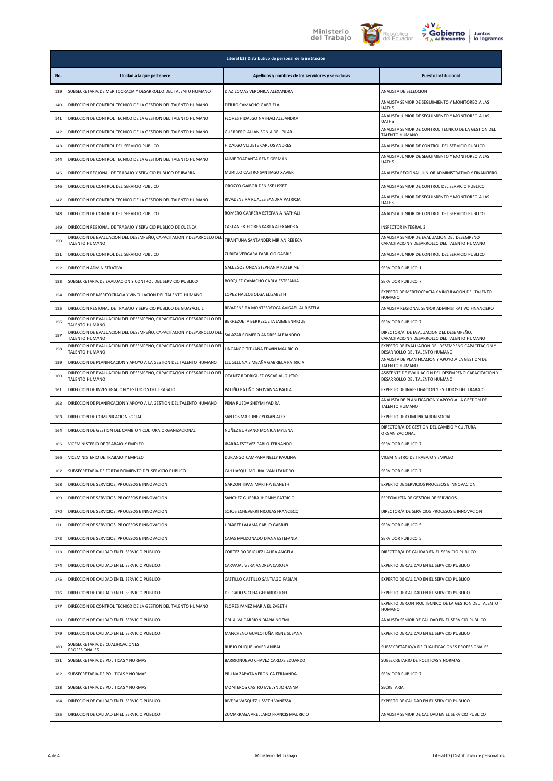





|     |                                                                                        | Literal b2) Distributivo de personal de la institución |                                                                                             |
|-----|----------------------------------------------------------------------------------------|--------------------------------------------------------|---------------------------------------------------------------------------------------------|
| No. | Unidad a la que pertenece                                                              | Apellidos y nombres de los servidores y servidoras     | <b>Puesto Institucional</b>                                                                 |
| 139 | SUBSECRETARIA DE MERITOCRACIA Y DESARROLLO DEL TALENTO HUMANO                          | DIAZ LOMAS VERONICA ALEXANDRA                          | ANALISTA DE SELECCION                                                                       |
| 140 | DIRECCION DE CONTROL TECNICO DE LA GESTION DEL TALENTO HUMANO                          | FIERRO CAMACHO GABRIELA                                | ANALISTA SENIOR DE SEGUIMIENTO Y MONITOREO A LAS<br><b>UATHS</b>                            |
| 141 | DIRECCION DE CONTROL TECNICO DE LA GESTION DEL TALENTO HUMANO                          | FLORES HIDALGO NATHALI ALEJANDRA                       | ANALISTA JUNIOR DE SEGUIMIENTO Y MONITOREO A LAS<br><b>UATHS</b>                            |
| 142 | DIRECCION DE CONTROL TECNICO DE LA GESTION DEL TALENTO HUMANO                          | GUERRERO ALLAN SONIA DEL PILAR                         | ANALISTA SENIOR DE CONTROL TECNICO DE LA GESTION DEL<br>TALENTO HUMANO                      |
| 143 | DIRECCION DE CONTROL DEL SERVICIO PUBLICO                                              | HIDALGO VIZUETE CARLOS ANDRES                          | ANALISTA JUNIOR DE CONTROL DEL SERVICIO PUBLICO                                             |
| 144 | DIRECCION DE CONTROL TECNICO DE LA GESTION DEL TALENTO HUMANO                          | JAIME TOAPANTA RENE GERMAN                             | ANALISTA JUNIOR DE SEGUIMIENTO Y MONITOREO A LAS<br>UATHS                                   |
| 145 | DIRECCION REGIONAL DE TRABAJO Y SERVICIO PUBLICO DE IBARRA                             | MURILLO CASTRO SANTIAGO XAVIER                         | ANALISTA REGIONAL JUNIOR ADMINISTRATIVO Y FINANCIERO                                        |
| 146 | DIRECCION DE CONTROL DEL SERVICIO PUBLICO                                              | OROZCO GAIBOR DENISSE LISSET                           | ANALISTA SENIOR DE CONTROL DEL SERVICIO PUBLICO                                             |
| 147 | DIRECCION DE CONTROL TECNICO DE LA GESTION DEL TALENTO HUMANO                          | RIVADENEIRA RUALES SANDRA PATRICIA                     | ANALISTA JUNIOR DE SEGUIMIENTO Y MONITOREO A LAS<br><b>UATHS</b>                            |
| 148 | DIRECCION DE CONTROL DEL SERVICIO PUBLICO                                              | ROMERO CARRERA ESTEFANIA NATHALI                       | ANALISTA JUNIOR DE CONTROL DEL SERVICIO PUBLICO                                             |
| 149 | DIRECCION REGIONAL DE TRABAJO Y SERVICIO PUBLICO DE CUENCA                             | CASTANIER FLORES KARLA ALEXANDRA                       | INSPECTOR INTEGRAL 2                                                                        |
| 150 | DIRECCION DE EVALUACION DEL DESEMPEÑO, CAPACITACION Y DESARROLLO DEL<br>TALENTO HUMANO | TIPANTUÑA SANTANDER MIRIAN REBECA                      | ANALISTA SENIOR DE EVALUACION DEL DESEMPENO<br>CAPACITACION Y DESARROLLO DEL TALENTO HUMANO |
| 151 | DIRECCION DE CONTROL DEL SERVICIO PUBLICO                                              | ZURITA VERGARA FABRICIO GABRIEL                        | ANALISTA JUNIOR DE CONTROL DEL SERVICIO PUBLICO                                             |
| 152 | DIRECCION ADMINISTRATIVA                                                               | GALLEGOS UNDA STEPHANIA KATERINE                       | SERVIDOR PUBLICO 1                                                                          |
| 153 | SUBSECRETARIA DE EVALUACION Y CONTROL DEL SERVICIO PUBLICO                             | BOSQUEZ CAMACHO CARLA ESTEFANIA                        | SERVIDOR PUBLICO 7                                                                          |
| 154 | DIRECCION DE MERITOCRACIA Y VINCULACION DEL TALENTO HUMANO                             | LOPEZ FIALLOS OLGA ELIZABETH                           | EXPERTO DE MERITOCRACIA Y VINCULACION DEL TALENTO<br><b>HUMANO</b>                          |
| 155 | DIRECCION REGIONAL DE TRABAJO Y SERVICIO PUBLICO DE GUAYAQUIL                          | RIVADENEIRA MONTESDEOCA AVIGAEL AURISTELA              | ANALISTA REGIONAL SENIOR ADMINISTRATIVO FINANCIERO                                          |
| 156 | DIRECCION DE EVALUACION DEL DESEMPEÑO, CAPACITACION Y DESARROLLO DEI<br>TALENTO HUMANO | BERREZUETA BERREZUETA JAIME ENRIQUE                    | SERVIDOR PUBLICO 7                                                                          |
| 157 | DIRECCION DE EVALUACION DEL DESEMPEÑO, CAPACITACION Y DESARROLLO DEL<br>TALENTO HUMANO | SALAZAR ROMERO ANDRES ALEJANDRO                        | DIRECTOR/A DE EVALUACION DEL DESEMPEÑO,<br>CAPACITACION Y DESARROLLO DEL TALENTO HUMANO     |
| 158 | DIRECCION DE EVALUACION DEL DESEMPEÑO, CAPACITACION Y DESARROLLO DEI<br>TALENTO HUMANO | LINCANGO TITUAÑA EDWIN MAURICIO                        | EXPERTO DE EVALUACION DEL DESEMPEÑO CAPACITACION Y<br>DESARROLLO DEL TALENTO HUMANO         |
| 159 | DIRECCION DE PLANIFICACION Y APOYO A LA GESTION DEL TALENTO HUMANO                     | LLUGLLUNA SIMBAÑA GABRIELA PATRICIA                    | ANALISTA DE PLANIFICACION Y APOYO A LA GESTION DE<br>TALENTO HUMANO                         |
| 160 | DIRECCION DE EVALUACION DEL DESEMPEÑO, CAPACITACION Y DESARROLLO DEI<br>TALENTO HUMANO | OTAÑEZ RODRIGUEZ OSCAR AUGUSTO                         | ASISTENTE DE EVALUACION DEL DESEMPENO CAPACITACION Y<br>DESARROLLO DEL TALENTO HUMANO       |
| 161 | DIRECCION DE INVESTIGACION Y ESTUDIOS DEL TRABAJO                                      | PATIÑO PATIÑO GEOVANNA PAOLA                           | EXPERTO DE INVESTIGACION Y ESTUDIOS DEL TRABAJO                                             |
| 162 | DIRECCION DE PLANIFICACION Y APOYO A LA GESTION DEL TALENTO HUMANO                     | PEÑA RUEDA SHEYMI YADIRA                               | ANALISTA DE PLANIFICACION Y APOYO A LA GESTION DE<br>TALENTO HUMANO                         |
| 163 | DIRECCION DE COMUNICACION SOCIAL                                                       | SANTOS MARTINEZ YOXAN ALEX                             | EXPERTO DE COMUNICACION SOCIAL                                                              |
| 164 | DIRECCION DE GESTION DEL CAMBIO Y CULTURA ORGANIZACIONAL                               | NUÑEZ BURBANO MONICA MYLENA                            | DIRECTOR/A DE GESTION DEL CAMBIO Y CULTURA<br>ORGANIZACIONAL                                |
| 165 | VICEMINISTERIO DE TRABAJO Y EMPLEO                                                     | IBARRA ESTEVEZ PABLO FERNANDO                          | SERVIDOR PUBLICO 7                                                                          |
| 166 | VICEMINISTERIO DE TRABAJO Y EMPLEO                                                     | DURANGO CAMPANA NELLY PAULINA                          | VICEMINISTRO DE TRABAJO Y EMPLEO                                                            |
| 167 | SUBSECRETARIA DE FORTALECIMIENTO DEL SERVICIO PUBLICO.                                 | CAHUASQUI MOLINA IVAN LEANDRO                          | SERVIDOR PUBLICO 7                                                                          |
| 168 | DIRECCION DE SERVICIOS, PROCESOS E INNOVACION                                          | <b>GARZON TIPAN MARTHA JEANETH</b>                     | EXPERTO DE SERVICIOS PROCESOS E INNOVACION                                                  |
| 169 | DIRECCION DE SERVICIOS, PROCESOS E INNOVACION                                          | SANCHEZ GUERRA JHONNY PATRICIO                         | ESPECIALISTA DE GESTION DE SERVICIOS                                                        |
| 170 | DIRECCION DE SERVICIOS, PROCESOS E INNOVACION                                          | SOJOS ECHEVERRI NICOLAS FRANCISCO                      | DIRECTOR/A DE SERVICIOS PROCESOS E INNOVACION                                               |
| 171 | DIRECCION DE SERVICIOS, PROCESOS E INNOVACION                                          | URIARTE LALAMA PABLO GABRIEL                           | SERVIDOR PUBLICO 5                                                                          |
| 172 | DIRECCION DE SERVICIOS, PROCESOS E INNOVACION                                          | CAJAS MALDONADO DIANA ESTEFANIA                        | SERVIDOR PUBLICO 5                                                                          |
| 173 | DIRECCION DE CALIDAD EN EL SERVICIO PÚBLICO                                            | CORTEZ RODRIGUEZ LAURA ANGELA                          | DIRECTOR/A DE CALIDAD EN EL SERVICIO PUBLICO                                                |
| 174 | DIRECCION DE CALIDAD EN EL SERVICIO PÚBLICO                                            | CARVAJAL VERA ANDREA CAROLA                            | EXPERTO DE CALIDAD EN EL SERVICIO PUBLICO                                                   |
| 175 | DIRECCION DE CALIDAD EN EL SERVICIO PÚBLICO                                            | CASTILLO CASTILLO SANTIAGO FABIAN                      | EXPERTO DE CALIDAD EN EL SERVICIO PUBLICO                                                   |
| 176 | DIRECCION DE CALIDAD EN EL SERVICIO PÚBLICO                                            | DELGADO SICCHA GERARDO JOEL                            | EXPERTO DE CALIDAD EN EL SERVICIO PUBLICO                                                   |
| 177 | DIRECCION DE CONTROL TECNICO DE LA GESTION DEL TALENTO HUMANO                          | FLORES YANEZ MARIA ELIZABETH                           | EXPERTO DE CONTROL TECNICO DE LA GESTION DEL TALENTO<br><b>HUMANO</b>                       |
| 178 | DIRECCION DE CALIDAD EN EL SERVICIO PÚBLICO                                            | GRIJALVA CARRION DIANA NOEMI                           | ANALISTA SENIOR DE CALIDAD EN EL SERVICIO PUBLICO                                           |
| 179 | DIRECCION DE CALIDAD EN EL SERVICIO PÚBLICO                                            | MANCHENO GUALOTUÑA IRENE SUSANA                        | EXPERTO DE CALIDAD EN EL SERVICIO PUBLICO                                                   |
| 180 | SUBSECRETARIA DE CUALIFICACIONES<br>PROFESIONALES                                      | RUBIO DUQUE JAVIER ANIBAL                              | SUBSECRETARIO/A DE CUALIFICACIONES PROFESIONALES                                            |
| 181 | SUBSECRETARIA DE POLITICAS Y NORMAS                                                    | BARRIONUEVO CHAVEZ CARLOS EDUARDO                      | SUBSECRETARIO DE POLITICAS Y NORMAS                                                         |
| 182 | SUBSECRETARIA DE POLITICAS Y NORMAS                                                    | PRUNA ZAPATA VERONICA FERNANDA                         | SERVIDOR PUBLICO 7                                                                          |
| 183 | SUBSECRETARIA DE POLITICAS Y NORMAS                                                    | MONTEROS CASTRO EVELYN JOHANNA                         | SECRETARIA                                                                                  |
| 184 | DIRECCION DE CALIDAD EN EL SERVICIO PÚBLICO                                            | RIVERA VASQUEZ LISSETH VANESSA                         | EXPERTO DE CALIDAD EN EL SERVICIO PUBLICO                                                   |
| 185 | DIRECCION DE CALIDAD EN EL SERVICIO PÚBLICO                                            | ZUMARRAGA ARELLANO FRANCIS MAURICIO                    | ANALISTA SENIOR DE CALIDAD EN EL SERVICIO PUBLICO                                           |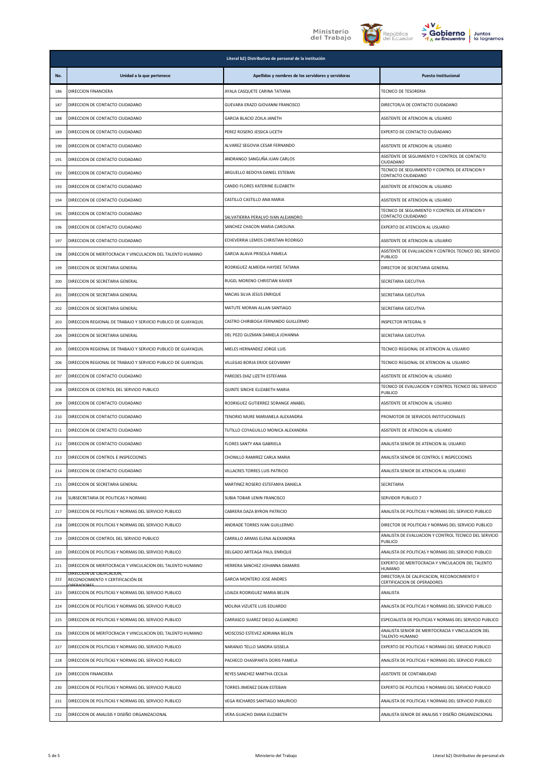





|            | Literal b2) Distributivo de personal de la institución                  |                                                                     |                                                                                          |
|------------|-------------------------------------------------------------------------|---------------------------------------------------------------------|------------------------------------------------------------------------------------------|
| No.        | Unidad a la que pertenece                                               | Apellidos y nombres de los servidores y servidoras                  | <b>Puesto Institucional</b>                                                              |
| 186        | DIRECCION FINANCIERA                                                    | AYALA CASQUETE CARINA TATIANA                                       | <b>TECNICO DE TESORERIA</b>                                                              |
| 187        | DIRECCION DE CONTACTO CIUDADANO                                         | GUEVARA ERAZO GIOVANNI FRANCISCO                                    | DIRECTOR/A DE CONTACTO CIUDADANO                                                         |
| 188        | DIRECCION DE CONTACTO CIUDADANO                                         | GARCIA BLACIO ZOILA JANETH                                          | ASISTENTE DE ATENCION AL USUARIO                                                         |
| 189        | DIRECCION DE CONTACTO CIUDADANO                                         | PEREZ ROSERO JESSICA LICETH                                         | EXPERTO DE CONTACTO CIUDADANO                                                            |
| 190        | DIRECCION DE CONTACTO CIUDADANO                                         | ALVAREZ SEGOVIA CESAR FERNANDO                                      | ASISTENTE DE ATENCION AL USUARIO                                                         |
| 191        | DIRECCION DE CONTACTO CIUDADANO                                         | ANDRANGO SANGUÑA JUAN CARLOS                                        | ASISTENTE DE SEGUIMIENTO Y CONTROL DE CONTACTO<br>CIUDADANO                              |
| 192        | DIRECCION DE CONTACTO CIUDADANO                                         | ARGUELLO BEDOYA DANIEL ESTEBAN                                      | TECNICO DE SEGUIMIENTO Y CONTROL DE ATENCION Y<br>CONTACTO CIUDADANO                     |
| 193        | DIRECCION DE CONTACTO CIUDADANO                                         | CANDO FLORES KATERINE ELIZABETH                                     | ASISTENTE DE ATENCION AL USUARIO                                                         |
| 194        | DIRECCION DE CONTACTO CIUDADANO                                         | CASTILLO CASTILLO ANA MARIA                                         | ASISTENTE DE ATENCION AL USUARIO                                                         |
| 195        | DIRECCION DE CONTACTO CIUDADANO                                         | SALVATIERRA PERALVO IVAN ALEJANDRO                                  | TECNICO DE SEGUIMIENTO Y CONTROL DE ATENCION Y<br>CONTACTO CIUDADANO                     |
| 196        | DIRECCION DE CONTACTO CIUDADANO                                         | SANCHEZ CHACON MARIA CAROLINA                                       | EXPERTO DE ATENCION AL USUARIO                                                           |
| 197        | DIRECCION DE CONTACTO CIUDADANO                                         | ECHEVERRIA LEMOS CHRISTIAN RODRIGO                                  | ASISTENTE DE ATENCION AL USUARIO                                                         |
| 198        | DIRECCION DE MERITOCRACIA Y VINCULACION DEL TALENTO HUMANO              | GARCIA ALAVA PRISCILA PAMELA                                        | ASISTENTE DE EVALUACION Y CONTROL TECNICO DEL SERVICIO<br>PUBLICO                        |
| 199        | DIRECCION DE SECRETARIA GENERAL                                         | RODRIGUEZ ALMEIDA HAYDEE TATIANA                                    | DIRECTOR DE SECRETARIA GENERAL                                                           |
| 200        | DIRECCION DE SECRETARIA GENERAL                                         | RUGEL MORENO CHRISTIAN XAVIER                                       | SECRETARIA EJECUTIVA                                                                     |
| 201        | DIRECCION DE SECRETARIA GENERAL                                         | MACIAS SILVA JESUS ENRIQUE                                          | SECRETARIA EJECUTIVA                                                                     |
| 202        | DIRECCION DE SECRETARIA GENERAL                                         | MATUTE MORAN ALLAN SANTIAGO                                         | SECRETARIA EJECUTIVA                                                                     |
| 203        | DIRECCION REGIONAL DE TRABAJO Y SERVICIO PUBLICO DE GUAYAQUIL           | CASTRO CHIRIBOGA FERNANDO GUILLERMO                                 | INSPECTOR INTEGRAL 9                                                                     |
| 204        | DIRECCION DE SECRETARIA GENERAL                                         | DEL PEZO GUZMAN DANIELA JOHANNA                                     | SECRETARIA EJECUTIVA                                                                     |
| 205        | DIRECCION REGIONAL DE TRABAJO Y SERVICIO PUBLICO DE GUAYAQUIL           | MIELES HERNANDEZ JORGE LUIS                                         | TECNICO REGIONAL DE ATENCION AL USUARIO                                                  |
| 206        | DIRECCION REGIONAL DE TRABAJO Y SERVICIO PUBLICO DE GUAYAQUIL           | VILLEGAS BORJA ERICK GEOVANNY                                       | TECNICO REGIONAL DE ATENCION AL USUARIO                                                  |
| 207        | DIRECCION DE CONTACTO CIUDADANO                                         | PAREDES DIAZ LIZETH ESTEFANIA                                       | ASISTENTE DE ATENCION AL USUARIO<br>TECNICO DE EVALUACION Y CONTROL TECNICO DEL SERVICIO |
| 208        | DIRECCION DE CONTROL DEL SERVICIO PUBLICO                               | QUINTE SINCHE ELIZABETH MARIA                                       | PUBLICO                                                                                  |
| 209        | DIRECCION DE CONTACTO CIUDADANO                                         | RODRIGUEZ GUTIERREZ SORANGE ANABEL                                  | ASISTENTE DE ATENCION AL USUARIO                                                         |
| 210        | DIRECCION DE CONTACTO CIUDADANO                                         | TENORIO MURE MARIANELA ALEXANDRA                                    | PROMOTOR DE SERVICIOS INSTITUCIONALES                                                    |
| 211        | DIRECCION DE CONTACTO CIUDADANO                                         | TUTILLO COYAGUILLO MONICA ALEXANDRA                                 | ASISTENTE DE ATENCION AL USUARIO                                                         |
| 212        | DIRECCION DE CONTACTO CIUDADANO                                         | FLORES SANTY ANA GABRIELA                                           | ANALISTA SENIOR DE ATENCION AL USUARIO                                                   |
| 213        | DIRECCION DE CONTROL E INSPECCIONES                                     | CHONILLO RAMIREZ CARLA MARIA                                        | ANALISTA SENIOR DE CONTROL E INSPECCIONES                                                |
| 214<br>215 | DIRECCION DE CONTACTO CIUDADANO<br>DIRECCION DE SECRETARIA GENERAL      | VILLACRES TORRES LUIS PATRICIO<br>MARTINEZ ROSERO ESTEFANYA DANIELA | ANALISTA SENIOR DE ATENCION AL USUARIO                                                   |
|            | SUBSECRETARIA DE POLITICAS Y NORMAS                                     |                                                                     | SECRETARIA<br>SERVIDOR PUBLICO 7                                                         |
| 216<br>217 | DIRECCION DE POLITICAS Y NORMAS DEL SERVICIO PUBLICO                    | SUBIA TOBAR LENIN FRANCISCO<br>CABRERA DAZA BYRON PATRICIO          | ANALISTA DE POLITICAS Y NORMAS DEL SERVICIO PUBLICO                                      |
| 218        | DIRECCION DE POLITICAS Y NORMAS DEL SERVICIO PUBLICO                    | ANDRADE TORRES IVAN GUILLERMO                                       | DIRECTOR DE POLITICAS Y NORMAS DEL SERVICIO PUBLICO                                      |
|            | DIRECCION DE CONTROL DEL SERVICIO PUBLICO                               | CARRILLO ARMAS ELENA ALEXANDRA                                      | ANALISTA DE EVALUACION Y CONTROL TECNICO DEL SERVICIO                                    |
| 219<br>220 | DIRECCION DE POLITICAS Y NORMAS DEL SERVICIO PUBLICO                    | DELGADO ARTEAGA PAUL ENRIQUE                                        | PUBLICO<br>ANALISTA DE POLITICAS Y NORMAS DEL SERVICIO PUBLICO                           |
| 221        | DIRECCION DE MERITOCRACIA Y VINCULACION DEL TALENTO HUMANO              | HERRERA SANCHEZ JOHANNA DAMARIS                                     | EXPERTO DE MERITOCRACIA Y VINCULACION DEL TALENTO                                        |
| 222        | JIRECCION DE CALIFCACION,<br>RECONOCIMIENTO Y CERTIFICACIÓN DE          | GARCIA MONTERO JOSE ANDRES                                          | <b>HUMANO</b><br>DIRECTOR/A DE CALIFICACION, RECONOCIMIENTO Y                            |
| 223        | <b>DEPAROPE</b><br>DIRECCION DE POLITICAS Y NORMAS DEL SERVICIO PUBLICO | LOAIZA RODRIGUEZ MARIA BELEN                                        | CERTIFICACION DE OPERADORES<br>ANALISTA                                                  |
| 224        | DIRECCION DE POLITICAS Y NORMAS DEL SERVICIO PUBLICO                    | MOLINA VIZUETE LUIS EDUARDO                                         | ANALISTA DE POLITICAS Y NORMAS DEL SERVICIO PUBLICO                                      |
| 225        | DIRECCION DE POLITICAS Y NORMAS DEL SERVICIO PUBLICO                    | CARRASCO SUAREZ DIEGO ALEJANDRO                                     | ESPECIALISTA DE POLITICAS Y NORMAS DEL SERVICIO PUBLICO                                  |
| 226        | DIRECCION DE MERITOCRACIA Y VINCULACION DEL TALENTO HUMANO              | MOSCOSO ESTEVEZ ADRIANA BELEN                                       | ANALISTA SENIOR DE MERITOCRACIA Y VINCULACION DEL                                        |
| 227        | DIRECCION DE POLITICAS Y NORMAS DEL SERVICIO PUBLICO                    | NARANJO TELLO SANDRA GISSELA                                        | TALENTO HUMANO<br>EXPERTO DE POLITICAS Y NORMAS DEL SERVICIO PUBLICO                     |
| 228        | DIRECCION DE POLITICAS Y NORMAS DEL SERVICIO PUBLICO                    | PACHECO CHASIPANTA DORIS PAMELA                                     | ANALISTA DE POLITICAS Y NORMAS DEL SERVICIO PUBLICO                                      |
| 229        | DIRECCION FINANCIERA                                                    | REYES SANCHEZ MARTHA CECILIA                                        | ASISTENTE DE CONTABILIDAD                                                                |
| 230        | DIRECCION DE POLITICAS Y NORMAS DEL SERVICIO PUBLICO                    | TORRES JIMENEZ DEAN ESTEBAN                                         | EXPERTO DE POLITICAS Y NORMAS DEL SERVICIO PUBLICO                                       |
| 231        | DIRECCION DE POLITICAS Y NORMAS DEL SERVICIO PUBLICO                    | VEGA RICHARDS SANTIAGO MAURICIO                                     | ANALISTA DE POLITICAS Y NORMAS DEL SERVICIO PUBLICO                                      |
| 232        | DIRECCION DE ANALISIS Y DISEÑO ORGANIZACIONAL                           | VERA GUACHO DIANA ELIZABETH                                         | ANALISTA SENIOR DE ANALISIS Y DISEÑO ORGANIZACIONAL                                      |
|            |                                                                         |                                                                     |                                                                                          |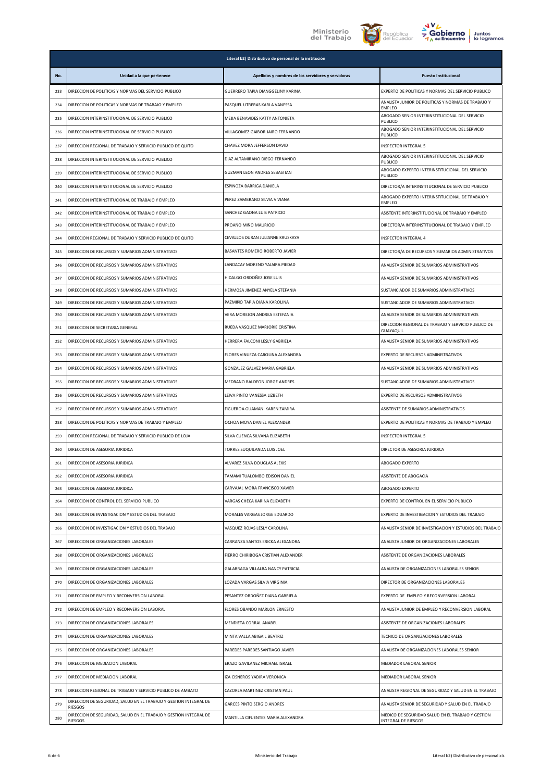





|     |                                                                                     | Literal b2) Distributivo de personal de la institución |                                                                                                    |
|-----|-------------------------------------------------------------------------------------|--------------------------------------------------------|----------------------------------------------------------------------------------------------------|
| No. | Unidad a la que pertenece                                                           | Apellidos y nombres de los servidores y servidoras     | <b>Puesto Institucional</b>                                                                        |
| 233 | DIRECCION DE POLITICAS Y NORMAS DEL SERVICIO PUBLICO                                | GUERRERO TAPIA DIANGGELINY KARINA                      | EXPERTO DE POLITICAS Y NORMAS DEL SERVICIO PUBLICO                                                 |
| 234 | DIRECCION DE POLITICAS Y NORMAS DE TRABAJO Y EMPLEO                                 | PASQUEL UTRERAS KARLA VANESSA                          | ANALISTA JUNIOR DE POLITICAS Y NORMAS DE TRABAJO Y<br><b>EMPLEO</b>                                |
| 235 | DIRECCION INTERINSTITUCIONAL DE SERVICIO PUBLICO                                    | MEJIA BENAVIDES KATTY ANTONIETA                        | ABOGADO SENIOR INTERINSTITUCIONAL DEL SERVICIO<br>PUBLICO                                          |
| 236 | DIRECCION INTERINSTITUCIONAL DE SERVICIO PUBLICO                                    | VILLAGOMEZ GAIBOR JAIRO FERNANDO                       | ABOGADO SENIOR INTERINSTITUCIONAL DEL SERVICIO<br>PUBLICO                                          |
| 237 | DIRECCION REGIONAL DE TRABAJO Y SERVICIO PUBLICO DE QUITO                           | CHAVEZ MORA JEFFERSON DAVID                            | INSPECTOR INTEGRAL 5                                                                               |
| 238 | DIRECCION INTERINSTITUCIONAL DE SERVICIO PUBLICO                                    | DIAZ ALTAMIRANO DIEGO FERNANDO                         | ABOGADO SENIOR INTERINSTITUCIONAL DEL SERVICIO<br>PUBLICO                                          |
| 239 | DIRECCION INTERINSTITUCIONAL DE SERVICIO PUBLICO                                    | <b>GUZMAN LEON ANDRES SEBASTIAN</b>                    | ABOGADO EXPERTO INTERINSTITUCIONAL DEL SERVICIO<br>PUBLICO                                         |
| 240 | DIRECCION INTERINSTITUCIONAL DE SERVICIO PUBLICO                                    | ESPINOZA BARRIGA DANIELA                               | DIRECTOR/A INTERINSTITUCIONAL DE SERVICIO PUBLICO                                                  |
| 241 | DIRECCION INTERINSTITUCIONAL DE TRABAJO Y EMPLEO                                    | PEREZ ZAMBRANO SILVIA VIVIANA                          | ABOGADO EXPERTO INTERINSTITUCIONAL DE TRABAJO Y<br><b>EMPLEO</b>                                   |
| 242 | DIRECCION INTERINSTITUCIONAL DE TRABAJO Y EMPLEO                                    | SANCHEZ GAONA LUIS PATRICIO                            | ASISTENTE INTERINSTITUCIONAL DE TRABAJO Y EMPLEO                                                   |
| 243 | DIRECCION INTERINSTITUCIONAL DE TRABAJO Y EMPLEO                                    | PROAÑO MIÑO MAURICIO                                   | DIRECTOR/A INTERINSTITUCIONAL DE TRABAJO Y EMPLEO                                                  |
| 244 | DIRECCION REGIONAL DE TRABAJO Y SERVICIO PUBLICO DE QUITO                           | CEVALLOS DURAN JULIANNE KRUSKAYA                       | <b>INSPECTOR INTEGRAL 4</b>                                                                        |
| 245 | DIRECCION DE RECURSOS Y SUMARIOS ADMINISTRATIVOS                                    | BASANTES ROMERO ROBERTO JAVIER                         | DIRECTOR/A DE RECURSOS Y SUMARIOS ADMINISTRATIVOS                                                  |
| 246 | DIRECCION DE RECURSOS Y SUMARIOS ADMINISTRATIVOS                                    | LANDACAY MORENO YAJAIRA PIEDAD                         | ANALISTA SENIOR DE SUMARIOS ADMINISTRATIVOS                                                        |
| 247 | DIRECCION DE RECURSOS Y SUMARIOS ADMINISTRATIVOS                                    | HIDALGO ORDOÑEZ JOSE LUIS                              | ANALISTA SENIOR DE SUMARIOS ADMINISTRATIVOS                                                        |
| 248 | DIRECCION DE RECURSOS Y SUMARIOS ADMINISTRATIVOS                                    | HERMOSA JIMENEZ ANYELA STEFANIA                        | SUSTANCIADOR DE SUMARIOS ADMINISTRATIVOS                                                           |
| 249 | DIRECCION DE RECURSOS Y SUMARIOS ADMINISTRATIVOS                                    | PAZMIÑO TAPIA DIANA KAROLINA                           | SUSTANCIADOR DE SUMARIOS ADMINISTRATIVOS                                                           |
| 250 | DIRECCION DE RECURSOS Y SUMARIOS ADMINISTRATIVOS                                    | VERA MOREJON ANDREA ESTEFANIA                          | ANALISTA SENIOR DE SUMARIOS ADMINISTRATIVOS<br>DIRECCION REGIONAL DE TRABAJO Y SERVICIO PUBLICO DE |
| 251 | DIRECCION DE SECRETARIA GENERAL                                                     | RUEDA VASQUEZ MARJORIE CRISTINA                        | GUAYAQUIL                                                                                          |
| 252 | DIRECCION DE RECURSOS Y SUMARIOS ADMINISTRATIVOS                                    | HERRERA FALCONI LESLY GABRIELA                         | ANALISTA SENIOR DE SUMARIOS ADMINISTRATIVOS                                                        |
| 253 | DIRECCION DE RECURSOS Y SUMARIOS ADMINISTRATIVOS                                    | FLORES VINUEZA CAROLINA ALEXANDRA                      | EXPERTO DE RECURSOS ADMINISTRATIVOS                                                                |
| 254 | DIRECCION DE RECURSOS Y SUMARIOS ADMINISTRATIVOS                                    | GONZALEZ GALVEZ MARIA GABRIELA                         | ANALISTA SENIOR DE SUMARIOS ADMINISTRATIVOS                                                        |
| 255 | DIRECCION DE RECURSOS Y SUMARIOS ADMINISTRATIVOS                                    | MEDRANO BALDEON JORGE ANDRES                           | SUSTANCIADOR DE SUMARIOS ADMINISTRATIVOS                                                           |
| 256 | DIRECCION DE RECURSOS Y SUMARIOS ADMINISTRATIVOS                                    | LEIVA PINTO VANESSA LIZBETH                            | EXPERTO DE RECURSOS ADMINISTRATIVOS                                                                |
| 257 | DIRECCION DE RECURSOS Y SUMARIOS ADMINISTRATIVOS                                    | FIGUEROA GUAMANI KAREN ZAMIRA                          | ASISTENTE DE SUMARIOS ADMINISTRATIVOS                                                              |
| 258 | DIRECCION DE POLITICAS Y NORMAS DE TRABAJO Y EMPLEO                                 | OCHOA MOYA DANIEL ALEXANDER                            | EXPERTO DE POLITICAS Y NORMAS DE TRABAJO Y EMPLEO                                                  |
| 259 | DIRECCION REGIONAL DE TRABAJO Y SERVICIO PUBLICO DE LOJA                            | SILVA CUENCA SILVANA ELIZABETH                         | <b>INSPECTOR INTEGRAL 5</b>                                                                        |
| 260 | DIRECCION DE ASESORIA JURIDICA                                                      | TORRES SUQUILANDA LUIS JOEL                            | DIRECTOR DE ASESORIA JURIDICA                                                                      |
| 261 | DIRECCION DE ASESORIA JURIDICA                                                      | ALVAREZ SILVA DOUGLAS ALEXIS                           | ABOGADO EXPERTO                                                                                    |
| 262 | DIRECCION DE ASESORIA JURIDICA                                                      | TAMAMI TUALOMBO EDISON DANIEL                          | ASISTENTE DE ABOGACIA                                                                              |
| 263 | DIRECCION DE ASESORIA JURIDICA                                                      | CARVAJAL MORA FRANCISCO XAVIER                         | ABOGADO EXPERTO                                                                                    |
| 264 | DIRECCION DE CONTROL DEL SERVICIO PUBLICO                                           | VARGAS CHECA KARINA ELIZABETH                          | EXPERTO DE CONTROL EN EL SERVICIO PUBLICO                                                          |
| 265 | DIRECCION DE INVESTIGACION Y ESTUDIOS DEL TRABAJO                                   | MORALES VARGAS JORGE EDUARDO                           | EXPERTO DE INVESTIGACION Y ESTUDIOS DEL TRABAJO                                                    |
| 266 | DIRECCION DE INVESTIGACION Y ESTUDIOS DEL TRABAJO                                   | VASQUEZ ROJAS LESLY CAROLINA                           | ANALISTA SENIOR DE INVESTIGACION Y ESTUDIOS DEL TRABAJO                                            |
| 267 | DIRECCION DE ORGANIZACIONES LABORALES                                               | CARRANZA SANTOS ERICKA ALEXANDRA                       | ANALISTA JUNIOR DE ORGANIZACIONES LABORALES                                                        |
| 268 | DIRECCION DE ORGANIZACIONES LABORALES                                               | FIERRO CHIRIBOGA CRISTIAN ALEXANDER                    | ASISTENTE DE ORGANIZACIONES LABORALES                                                              |
| 269 | DIRECCION DE ORGANIZACIONES LABORALES                                               | GALARRAGA VILLALBA NANCY PATRICIA                      | ANALISTA DE ORGANIZACIONES LABORALES SENIOR                                                        |
| 270 | DIRECCION DE ORGANIZACIONES LABORALES                                               | LOZADA VARGAS SILVIA VIRGINIA                          | DIRECTOR DE ORGANIZACIONES LABORALES                                                               |
| 271 | DIRECCION DE EMPLEO Y RECONVERSION LABORAL                                          | PESANTEZ ORDOÑEZ DIANA GABRIELA                        | EXPERTO DE EMPLEO Y RECONVERSION LABORAL                                                           |
| 272 | DIRECCION DE EMPLEO Y RECONVERSION LABORAL                                          | FLORES OBANDO MARLON ERNESTO                           | ANALISTA JUNIOR DE EMPLEO Y RECONVERSION LABORAL                                                   |
| 273 | DIRECCION DE ORGANIZACIONES LABORALES                                               | MENDIETA CORRAL ANABEL                                 | ASISTENTE DE ORGANIZACIONES LABORALES                                                              |
| 274 | DIRECCION DE ORGANIZACIONES LABORALES                                               | MINTA VALLA ABIGAIL BEATRIZ                            | TECNICO DE ORGANIZACIONES LABORALES                                                                |
| 275 | DIRECCION DE ORGANIZACIONES LABORALES                                               | PAREDES PAREDES SANTIAGO JAVIER                        | ANALISTA DE ORGANIZACIONES LABORALES SENIOR                                                        |
| 276 | DIRECCION DE MEDIACION LABORAL                                                      | ERAZO GAVILANEZ MICHAEL ISRAEL                         | MEDIADOR LABORAL SENIOR                                                                            |
| 277 | DIRECCION DE MEDIACION LABORAL                                                      | IZA CISNEROS YADIRA VERONICA                           | MEDIADOR LABORAL SENIOR                                                                            |
| 278 | DIRECCION REGIONAL DE TRABAJO Y SERVICIO PUBLICO DE AMBATO                          | CAZORLA MARTINEZ CRISTIAN PAUL                         | ANALISTA REGIONAL DE SEGURIDAD Y SALUD EN EL TRABAJO                                               |
| 279 | DIRECCION DE SEGURIDAD, SALUD EN EL TRABAJO Y GESTION INTEGRAL DE<br><b>RIESGOS</b> | GARCES PINTO SERGIO ANDRES                             | ANALISTA SENIOR DE SEGURIDAD Y SALUD EN EL TRABAJO                                                 |
| 280 | DIRECCION DE SEGURIDAD, SALUD EN EL TRABAJO Y GESTION INTEGRAL DE<br><b>RIESGOS</b> | MANTILLA CIFUENTES MARIA ALEXANDRA                     | MEDICO DE SEGURIDAD SALUD EN EL TRABAJO Y GESTION<br>INTEGRAL DE RIESGOS                           |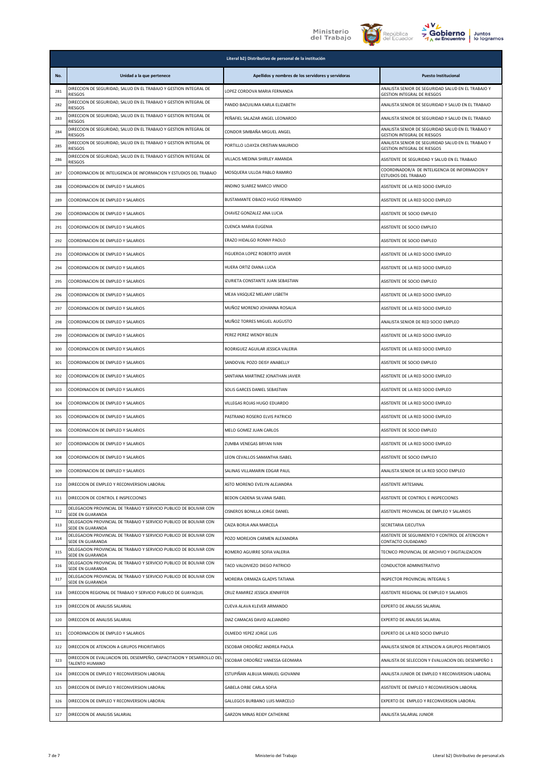



|     |                                                                                        | Literal b2) Distributivo de personal de la institución |                                                                                          |
|-----|----------------------------------------------------------------------------------------|--------------------------------------------------------|------------------------------------------------------------------------------------------|
| No. | Unidad a la que pertenece                                                              | Apellidos y nombres de los servidores y servidoras     | <b>Puesto Institucional</b>                                                              |
| 281 | DIRECCION DE SEGURIDAD, SALUD EN EL TRABAJO Y GESTION INTEGRAL DE<br>RIESGOS           | LOPEZ CORDOVA MARIA FERNANDA                           | ANALISTA SENIOR DE SEGURIDAD SALUD EN EL TRABAJO Y<br><b>GESTION INTEGRAL DE RIESGOS</b> |
| 282 | DIRECCION DE SEGURIDAD, SALUD EN EL TRABAJO Y GESTION INTEGRAL DE<br>RIESGOS           | PANDO BACUILIMA KARLA ELIZABETH                        | ANALISTA SENIOR DE SEGURIDAD Y SALUD EN EL TRABAJO                                       |
| 283 | DIRECCION DE SEGURIDAD, SALUD EN EL TRABAJO Y GESTION INTEGRAL DE<br>RIESGOS           | PEÑAFIEL SALAZAR ANGEL LEONARDO                        | ANALISTA SENIOR DE SEGURIDAD Y SALUD EN EL TRABAJO                                       |
| 284 | DIRECCION DE SEGURIDAD, SALUD EN EL TRABAJO Y GESTION INTEGRAL DE<br><b>RIESGOS</b>    | CONDOR SIMBAÑA MIGUEL ANGEL                            | ANALISTA SENIOR DE SEGURIDAD SALUD EN EL TRABAJO Y<br><b>GESTION INTEGRAL DE RIESGOS</b> |
| 285 | DIRECCION DE SEGURIDAD, SALUD EN EL TRABAJO Y GESTION INTEGRAL DE<br>RIESGOS           | PORTILLO LOAYZA CRISTIAN MAURICIO                      | ANALISTA SENIOR DE SEGURIDAD SALUD EN EL TRABAJO Y<br><b>GESTION INTEGRAL DE RIESGOS</b> |
| 286 | DIRECCION DE SEGURIDAD, SALUD EN EL TRABAJO Y GESTION INTEGRAL DE<br>RIESGOS           | VILLACIS MEDINA SHIRLEY AMANDA                         | ASISTENTE DE SEGURIDAD Y SALUD EN EL TRABAJO                                             |
| 287 | COORDINACION DE INTELIGENCIA DE INFORMACION Y ESTUDIOS DEL TRABAJO                     | MOSQUERA ULLOA PABLO RAMIRO                            | COORDINADOR/A DE INTELIGENCIA DE INFORMACION Y<br>ESTUDIOS DEL TRABAJO                   |
| 288 | COORDINACION DE EMPLEO Y SALARIOS                                                      | ANDINO SUAREZ MARCO VINICIO                            | ASISTENTE DE LA RED SOCIO EMPLEO                                                         |
| 289 | COORDINACION DE EMPLEO Y SALARIOS                                                      | BUSTAMANTE OBACO HUGO FERNANDO                         | ASISTENTE DE LA RED SOCIO EMPLEO                                                         |
| 290 | COORDINACION DE EMPLEO Y SALARIOS                                                      | CHAVEZ GONZALEZ ANA LUCIA                              | ASISTENTE DE SOCIO EMPLEO                                                                |
| 291 | COORDINACION DE EMPLEO Y SALARIOS                                                      | CUENCA MARIA EUGENIA                                   | ASISTENTE DE SOCIO EMPLEO                                                                |
| 292 | COORDINACION DE EMPLEO Y SALARIOS                                                      | ERAZO HIDALGO RONNY PAOLO                              | ASISTENTE DE SOCIO EMPLEO                                                                |
| 293 | COORDINACION DE EMPLEO Y SALARIOS                                                      | FIGUEROA LOPEZ ROBERTO JAVIER                          | ASISTENTE DE LA RED SOCIO EMPLEO                                                         |
| 294 | COORDINACION DE EMPLEO Y SALARIOS                                                      | HUERA ORTIZ DIANA LUCIA                                | ASISTENTE DE LA RED SOCIO EMPLEO                                                         |
| 295 | COORDINACION DE EMPLEO Y SALARIOS                                                      | IZURIETA CONSTANTE JUAN SEBASTIAN                      | ASISTENTE DE SOCIO EMPLEO                                                                |
| 296 | COORDINACION DE EMPLEO Y SALARIOS                                                      | MEJIA VASQUEZ MELANY LISBETH                           | ASISTENTE DE LA RED SOCIO EMPLEO                                                         |
| 297 | COORDINACION DE EMPLEO Y SALARIOS                                                      | MUÑOZ MORENO JOHANNA ROSALIA                           | ASISTENTE DE LA RED SOCIO EMPLEO                                                         |
| 298 | COORDINACION DE EMPLEO Y SALARIOS                                                      | MUÑOZ TORRES MIGUEL AUGUSTO                            | ANALISTA SENIOR DE RED SOCIO EMPLEO                                                      |
| 299 | COORDINACION DE EMPLEO Y SALARIOS                                                      | PEREZ PEREZ WENDY BELEN                                | ASISTENTE DE LA RED SOCIO EMPLEO                                                         |
| 300 | COORDINACION DE EMPLEO Y SALARIOS                                                      | RODRIGUEZ AGUILAR JESSICA VALERIA                      | ASISTENTE DE LA RED SOCIO EMPLEO                                                         |
| 301 | COORDINACION DE EMPLEO Y SALARIOS                                                      | SANDOVAL POZO DEISY ANABELLY                           | ASISTENTE DE SOCIO EMPLEO                                                                |
| 302 | COORDINACION DE EMPLEO Y SALARIOS                                                      | SANTIANA MARTINEZ JONATHAN JAVIER                      | ASISTENTE DE LA RED SOCIO EMPLEO                                                         |
| 303 | COORDINACION DE EMPLEO Y SALARIOS                                                      | SOLIS GARCES DANIEL SEBASTIAN                          | ASISTENTE DE LA RED SOCIO EMPLEO                                                         |
| 304 | COORDINACION DE EMPLEO Y SALARIOS                                                      | VILLEGAS ROJAS HUGO EDUARDO                            | ASISTENTE DE LA RED SOCIO EMPLEO                                                         |
| 305 | COORDINACION DE EMPLEO Y SALARIOS                                                      | PASTRANO ROSERO ELVIS PATRICIO                         | ASISTENTE DE LA RED SOCIO EMPLEO                                                         |
| 306 | COORDINACION DE EMPLEO Y SALARIOS                                                      | MELO GOMEZ JUAN CARLOS                                 | ASISTENTE DE SOCIO EMPLEO                                                                |
| 307 | COORDINACION DE EMPLEO Y SALARIOS                                                      | ZUMBA VENEGAS BRYAN IVAN                               | ASISTENTE DE LA RED SOCIO EMPLEO                                                         |
| 308 | COORDINACION DE EMPLEO Y SALARIOS                                                      | LEON CEVALLOS SAMANTHA ISABEL                          | ASISTENTE DE SOCIO EMPLEO                                                                |
| 309 | COORDINACION DE EMPLEO Y SALARIOS                                                      | SALINAS VILLAMARIN EDGAR PAUL                          | ANALISTA SENIOR DE LA RED SOCIO EMPLEO                                                   |
| 310 | DIRECCION DE EMPLEO Y RECONVERSION LABORAL                                             | ASTO MORENO EVELYN ALEJANDRA                           | ASISTENTE ARTESANAL                                                                      |
| 311 | DIRECCION DE CONTROL E INSPECCIONES                                                    | BEDON CADENA SILVANA ISABEL                            | ASISTENTE DE CONTROL E INSPECCIONES                                                      |
| 312 | DELEGACION PROVINCIAL DE TRABAJO Y SERVICIO PUBLICO DE BOLIVAR CON<br>SEDE EN GUARANDA | CISNEROS BONILLA JORGE DANIEL                          | ASISTENTE PROVINCIAL DE EMPLEO Y SALARIOS                                                |
| 313 | DELEGACION PROVINCIAL DE TRABAJO Y SERVICIO PUBLICO DE BOLIVAR CON<br>SEDE EN GUARANDA | CAIZA BORJA ANA MARCELA                                | SECRETARIA EJECUTIVA                                                                     |
| 314 | DELEGACION PROVINCIAL DE TRABAJO Y SERVICIO PUBLICO DE BOLIVAR CON<br>SEDE EN GUARANDA | POZO MOREJON CARMEN ALEXANDRA                          | ASISTENTE DE SEGUIMIENTO Y CONTROL DE ATENCION Y<br>CONTACTO CIUDADANO                   |
| 315 | DELEGACION PROVINCIAL DE TRABAJO Y SERVICIO PUBLICO DE BOLIVAR CON<br>SEDE EN GUARANDA | ROMERO AGUIRRE SOFIA VALERIA                           | TECNICO PROVINCIAL DE ARCHIVO Y DIGITALIZACION                                           |
| 316 | DELEGACION PROVINCIAL DE TRABAJO Y SERVICIO PUBLICO DE BOLIVAR CON<br>SEDE EN GUARANDA | TACO VALDIVIEZO DIEGO PATRICIO                         | CONDUCTOR ADMINISTRATIVO                                                                 |
| 317 | DELEGACION PROVINCIAL DE TRABAJO Y SERVICIO PUBLICO DE BOLIVAR CON<br>SEDE EN GUARANDA | MOREIRA ORMAZA GLADYS TATIANA                          | INSPECTOR PROVINCIAL INTEGRAL 5                                                          |
| 318 | DIRECCION REGIONAL DE TRABAJO Y SERVICIO PUBLICO DE GUAYAQUIL                          | CRUZ RAMIREZ JESSICA JENNIFFER                         | ASISTENTE REGIONAL DE EMPLEO Y SALARIOS                                                  |
| 319 | DIRECCION DE ANALISIS SALARIAL                                                         | CUEVA ALAVA KLEVER ARMANDO                             | EXPERTO DE ANALISIS SALARIAL                                                             |
| 320 | DIRECCION DE ANALISIS SALARIAL                                                         | DIAZ CAMACAS DAVID ALEJANDRO                           | EXPERTO DE ANALISIS SALARIAL                                                             |
| 321 | COORDINACION DE EMPLEO Y SALARIOS                                                      | OLMEDO YEPEZ JORGE LUIS                                | EXPERTO DE LA RED SOCIO EMPLEO                                                           |
| 322 | DIRECCION DE ATENCION A GRUPOS PRIORITARIOS                                            | ESCOBAR ORDOÑEZ ANDREA PAOLA                           | ANALISTA SENIOR DE ATENCION A GRUPOS PRIORITARIOS                                        |
| 323 | DIRECCION DE EVALUACION DEL DESEMPEÑO, CAPACITACION Y DESARROLLO DEI<br>TALENTO HUMANO | ESCOBAR ORDOÑEZ VANESSA GEOMARA                        | ANALISTA DE SELECCION Y EVALUACION DEL DESEMPEÑO 1                                       |
| 324 | DIRECCION DE EMPLEO Y RECONVERSION LABORAL                                             | ESTUPIÑAN ALBUJA MANUEL GIOVANNI                       | ANALISTA JUNIOR DE EMPLEO Y RECONVERSION LABORAL                                         |
| 325 | DIRECCION DE EMPLEO Y RECONVERSION LABORAL                                             | GABELA ORBE CARLA SOFIA                                | ASISTENTE DE EMPLEO Y RECONVERSION LABORAL                                               |
| 326 | DIRECCION DE EMPLEO Y RECONVERSION LABORAL                                             | GALLEGOS BURBANO LUIS MARCELO                          | EXPERTO DE EMPLEO Y RECONVERSION LABORAL                                                 |
| 327 | DIRECCION DE ANALISIS SALARIAL                                                         | GARZON MINAS REIDY CATHERINE                           | ANALISTA SALARIAL JUNIOR                                                                 |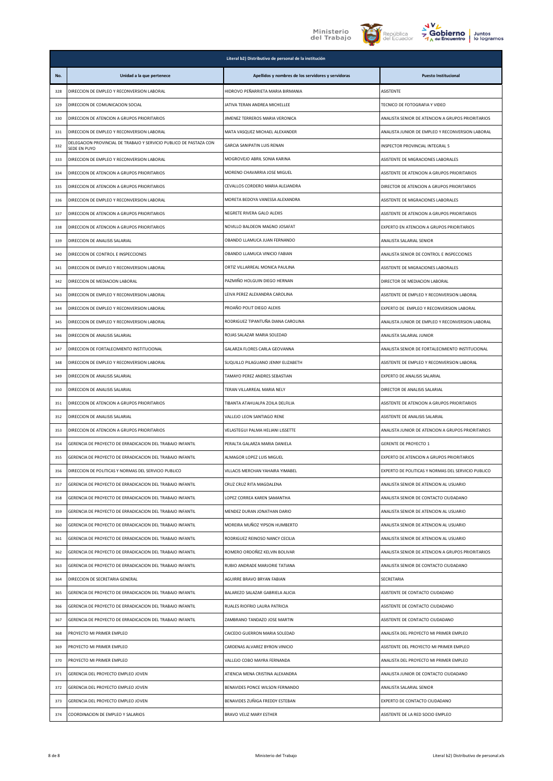





|     |                                                                                    | Literal b2) Distributivo de personal de la institución |                                                    |
|-----|------------------------------------------------------------------------------------|--------------------------------------------------------|----------------------------------------------------|
| No. | Unidad a la que pertenece                                                          | Apellidos y nombres de los servidores y servidoras     | <b>Puesto Institucional</b>                        |
| 328 | DIRECCION DE EMPLEO Y RECONVERSION LABORAL                                         | HIDROVO PEÑARRIETA MARIA BIRMANIA                      | ASISTENTE                                          |
| 329 | DIRECCION DE COMUNICACION SOCIAL                                                   | JATIVA TERAN ANDREA MICHELLEE                          | TECNICO DE FOTOGRAFIA Y VIDEO                      |
| 330 | DIRECCION DE ATENCION A GRUPOS PRIORITARIOS                                        | JIMENEZ TERREROS MARIA VERONICA                        | ANALISTA SENIOR DE ATENCION A GRUPOS PRIORITARIOS  |
| 331 | DIRECCION DE EMPLEO Y RECONVERSION LABORAL                                         | MATA VASQUEZ MICHAEL ALEXANDER                         | ANALISTA JUNIOR DE EMPLEO Y RECONVERSION LABORAL   |
| 332 | DELEGACION PROVINCIAL DE TRABAJO Y SERVICIO PUBLICO DE PASTAZA CON<br>SEDE EN PUYO | GARCIA SANIPATIN LUIS RENAN                            | INSPECTOR PROVINCIAL INTEGRAL 5                    |
| 333 | DIRECCION DE EMPLEO Y RECONVERSION LABORAL                                         | MOGROVEJO ABRIL SONIA KARINA                           | ASISTENTE DE MIGRACIONES LABORALES                 |
| 334 | DIRECCION DE ATENCION A GRUPOS PRIORITARIOS                                        | MORENO CHAVARRIA JOSE MIGUEL                           | ASISTENTE DE ATENCION A GRUPOS PRIORITARIOS        |
| 335 | DIRECCION DE ATENCION A GRUPOS PRIORITARIOS                                        | CEVALLOS CORDERO MARIA ALEJANDRA                       | DIRECTOR DE ATENCION A GRUPOS PRIORITARIOS         |
| 336 | DIRECCION DE EMPLEO Y RECONVERSION LABORAL                                         | MORETA BEDOYA VANESSA ALEXANDRA                        | ASISTENTE DE MIGRACIONES LABORALES                 |
| 337 | DIRECCION DE ATENCION A GRUPOS PRIORITARIOS                                        | NEGRETE RIVERA GALO ALEXIS                             | ASISTENTE DE ATENCION A GRUPOS PRIORITARIOS        |
| 338 | DIRECCION DE ATENCION A GRUPOS PRIORITARIOS                                        | NOVILLO BALDEON MAGNO JOSAFAT                          | EXPERTO EN ATENCION A GRUPOS PRIORITARIOS          |
| 339 | DIRECCION DE ANALISIS SALARIAL                                                     | OBANDO LLAMUCA JUAN FERNANDO                           | ANALISTA SALARIAL SENIOR                           |
| 340 | DIRECCION DE CONTROL E INSPECCIONES                                                | OBANDO LLAMUCA VINICIO FABIAN                          | ANALISTA SENIOR DE CONTROL E INSPECCIONES          |
| 341 | DIRECCION DE EMPLEO Y RECONVERSION LABORAL                                         | ORTIZ VILLARREAL MONICA PAULINA                        | ASISTENTE DE MIGRACIONES LABORALES                 |
| 342 | DIRECCION DE MEDIACION LABORAL                                                     | PAZMIÑO HOLGUIN DIEGO HERNAN                           | DIRECTOR DE MEDIACION LABORAL                      |
| 343 | DIRECCION DE EMPLEO Y RECONVERSION LABORAL                                         | LEIVA PEREZ ALEXANDRA CAROLINA                         | ASISTENTE DE EMPLEO Y RECONVERSION LABORAL         |
| 344 | DIRECCION DE EMPLEO Y RECONVERSION LABORAL                                         | PROAÑO POLIT DIEGO ALEXIS                              | EXPERTO DE EMPLEO Y RECONVERSION LABORAL           |
| 345 | DIRECCION DE EMPLEO Y RECONVERSION LABORAL                                         | RODRIGUEZ TIPANTUÑA DIANA CAROLINA                     | ANALISTA JUNIOR DE EMPLEO Y RECONVERSION LABORAL   |
| 346 | DIRECCION DE ANALISIS SALARIAL                                                     | ROJAS SALAZAR MARIA SOLEDAD                            | ANALISTA SALARIAL JUNIOR                           |
| 347 | DIRECCION DE FORTALECIMIENTO INSTITUCIONAL                                         | GALARZA FLORES CARLA GEOVANNA                          | ANALISTA SENIOR DE FORTALECIMIENTO INSTITUCIONAL   |
| 348 | DIRECCION DE EMPLEO Y RECONVERSION LABORAL                                         | SUQUILLO PILAGUANO JENNY ELIZABETH                     | ASISTENTE DE EMPLEO Y RECONVERSION LABORAL         |
| 349 | DIRECCION DE ANALISIS SALARIAL                                                     | TAMAYO PEREZ ANDRES SEBASTIAN                          | EXPERTO DE ANALISIS SALARIAL                       |
| 350 | DIRECCION DE ANALISIS SALARIAL                                                     | TERAN VILLARREAL MARIA NELY                            | DIRECTOR DE ANALISIS SALARIAL                      |
| 351 | DIRECCION DE ATENCION A GRUPOS PRIORITARIOS                                        | TIBANTA ATAHUALPA ZOILA DELFILIA                       | ASISTENTE DE ATENCION A GRUPOS PRIORITARIOS        |
| 352 | DIRECCION DE ANALISIS SALARIAL                                                     | VALLEJO LEON SANTIAGO RENE                             | ASISTENTE DE ANALISIS SALARIAL                     |
| 353 | DIRECCION DE ATENCION A GRUPOS PRIORITARIOS                                        | VELASTEGUI PALMA HELIANI LISSETTE                      | ANALISTA JUNIOR DE ATENCION A GRUPOS PRIORITARIOS  |
| 354 | GERENCIA DE PROYECTO DE ERRADICACION DEL TRABAJO INFANTIL                          | PERALTA GALARZA MARIA DANIELA                          | <b>GERENTE DE PROYECTO 1</b>                       |
| 355 | GERENCIA DE PROYECTO DE ERRADICACION DEL TRABAJO INFANTIL                          | ALMAGOR LOPEZ LUIS MIGUEL                              | EXPERTO DE ATENCION A GRUPOS PRIORITARIOS          |
| 356 | DIRECCION DE POLITICAS Y NORMAS DEL SERVICIO PUBLICO                               | VILLACIS MERCHAN YAHAIRA YIMABEL                       | EXPERTO DE POLITICAS Y NORMAS DEL SERVICIO PUBLICO |
| 357 | GERENCIA DE PROYECTO DE ERRADICACION DEL TRABAJO INFANTIL                          | CRUZ CRUZ RITA MAGDALENA                               | ANALISTA SENIOR DE ATENCION AL USUARIO             |
| 358 | GERENCIA DE PROYECTO DE ERRADICACION DEL TRABAJO INFANTIL                          | LOPEZ CORREA KAREN SAMANTHA                            | ANALISTA SENIOR DE CONTACTO CIUDADANO              |
| 359 | GERENCIA DE PROYECTO DE ERRADICACION DEL TRABAJO INFANTIL                          | MENDEZ DURAN JONATHAN DARIO                            | ANALISTA SENIOR DE ATENCION AL USUARIO             |
| 360 | GERENCIA DE PROYECTO DE ERRADICACION DEL TRABAJO INFANTIL                          | MOREIRA MUÑOZ YIPSON HUMBERTO                          | ANALISTA SENIOR DE ATENCION AL USUARIO             |
| 361 | GERENCIA DE PROYECTO DE ERRADICACION DEL TRABAJO INFANTIL                          | RODRIGUEZ REINOSO NANCY CECILIA                        | ANALISTA SENIOR DE ATENCION AL USUARIO             |
| 362 | GERENCIA DE PROYECTO DE ERRADICACION DEL TRABAJO INFANTIL                          | ROMERO ORDOÑEZ KELVIN BOLIVAR                          | ANALISTA SENIOR DE ATENCION A GRUPOS PRIORITARIOS  |
| 363 | GERENCIA DE PROYECTO DE ERRADICACION DEL TRABAJO INFANTIL                          | RUBIO ANDRADE MARJORIE TATIANA                         | ANALISTA SENIOR DE CONTACTO CIUDADANO              |
| 364 | DIRECCION DE SECRETARIA GENERAL                                                    | AGUIRRE BRAVO BRYAN FABIAN                             | SECRETARIA                                         |
| 365 | GERENCIA DE PROYECTO DE ERRADICACION DEL TRABAJO INFANTIL                          | BALAREZO SALAZAR GABRIELA ALICIA                       | ASISTENTE DE CONTACTO CIUDADANO                    |
| 366 | GERENCIA DE PROYECTO DE ERRADICACION DEL TRABAJO INFANTIL                          | RUALES RIOFRIO LAURA PATRICIA                          | ASISTENTE DE CONTACTO CIUDADANO                    |
| 367 | GERENCIA DE PROYECTO DE ERRADICACION DEL TRABAJO INFANTIL                          | ZAMBRANO TANDAZO JOSE MARTIN                           | ASISTENTE DE CONTACTO CIUDADANO                    |
| 368 | PROYECTO MI PRIMER EMPLEO                                                          | CAICEDO GUERRON MARIA SOLEDAD                          | ANALISTA DEL PROYECTO MI PRIMER EMPLEO             |
| 369 | PROYECTO MI PRIMER EMPLEO                                                          | CARDENAS ALVAREZ BYRON VINICIO                         | ASISTENTE DEL PROYECTO MI PRIMER EMPLEO            |
| 370 | PROYECTO MI PRIMER EMPLEO                                                          | VALLEJO COBO MAYRA FERNANDA                            | ANALISTA DEL PROYECTO MI PRIMER EMPLEO             |
| 371 | GERENCIA DEL PROYECTO EMPLEO JOVEN                                                 | ATIENCIA MENA CRISTINA ALEXANDRA                       | ANALISTA JUNIOR DE CONTACTO CIUDADANO              |
| 372 | GERENCIA DEL PROYECTO EMPLEO JOVEN                                                 | BENAVIDES PONCE WILSON FERNANDO                        | ANALISTA SALARIAL SENIOR                           |
| 373 | GERENCIA DEL PROYECTO EMPLEO JOVEN                                                 | BENAVIDES ZUÑIGA FREDDY ESTEBAN                        | EXPERTO DE CONTACTO CIUDADANO                      |
| 374 | COORDINACION DE EMPLEO Y SALARIOS                                                  | BRAVO VELIZ MARY ESTHER                                | ASISTENTE DE LA RED SOCIO EMPLEO                   |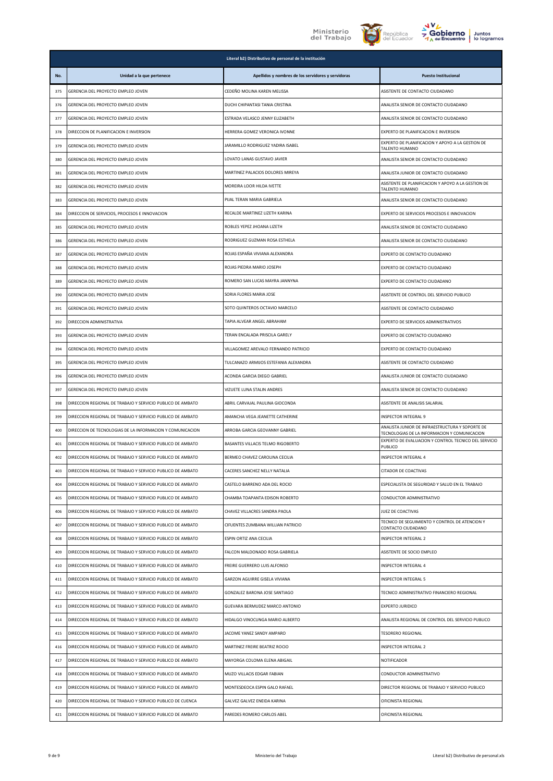





|     | Literal b2) Distributivo de personal de la institución     |                                                    |                                                                                                 |  |
|-----|------------------------------------------------------------|----------------------------------------------------|-------------------------------------------------------------------------------------------------|--|
| No. | Unidad a la que pertenece                                  | Apellidos y nombres de los servidores y servidoras | <b>Puesto Institucional</b>                                                                     |  |
| 375 | GERENCIA DEL PROYECTO EMPLEO JOVEN                         | CEDEÑO MOLINA KAREN MELISSA                        | ASISTENTE DE CONTACTO CIUDADANO                                                                 |  |
| 376 | GERENCIA DEL PROYECTO EMPLEO JOVEN                         | DUCHI CHIPANTASI TANIA CRISTINA                    | ANALISTA SENIOR DE CONTACTO CIUDADANO                                                           |  |
| 377 | GERENCIA DEL PROYECTO EMPLEO JOVEN                         | ESTRADA VELASCO JENNY ELIZABETH                    | ANALISTA SENIOR DE CONTACTO CIUDADANO                                                           |  |
| 378 | DIRECCION DE PLANIFICACION E INVERSION                     | HERRERA GOMEZ VERONICA IVONNE                      | EXPERTO DE PLANIFICACION E INVERSION                                                            |  |
| 379 | GERENCIA DEL PROYECTO EMPLEO JOVEN                         | JARAMILLO RODRIGUEZ YADIRA ISABEL                  | EXPERTO DE PLANIFICACION Y APOYO A LA GESTION DE<br>TALENTO HUMANO                              |  |
| 380 | GERENCIA DEL PROYECTO EMPLEO JOVEN                         | LOVATO LANAS GUSTAVO JAVIER                        | ANALISTA SENIOR DE CONTACTO CIUDADANO                                                           |  |
| 381 | GERENCIA DEL PROYECTO EMPLEO JOVEN                         | MARTINEZ PALACIOS DOLORES MIREYA                   | ANALISTA JUNIOR DE CONTACTO CIUDADANO                                                           |  |
| 382 | GERENCIA DEL PROYECTO EMPLEO JOVEN                         | MOREIRA LOOR HILDA IVETTE                          | ASISTENTE DE PLANIFICACION Y APOYO A LA GESTION DE<br>TALENTO HUMANO                            |  |
| 383 | GERENCIA DEL PROYECTO EMPLEO JOVEN                         | PIJAL TERAN MARIA GABRIELA                         | ANALISTA SENIOR DE CONTACTO CIUDADANO                                                           |  |
| 384 | DIRECCION DE SERVICIOS, PROCESOS E INNOVACION              | RECALDE MARTINEZ LIZETH KARINA                     | EXPERTO DE SERVICIOS PROCESOS E INNOVACION                                                      |  |
| 385 | GERENCIA DEL PROYECTO EMPLEO JOVEN                         | ROBLES YEPEZ JHOANA LIZETH                         | ANALISTA SENIOR DE CONTACTO CIUDADANO                                                           |  |
| 386 | GERENCIA DEL PROYECTO EMPLEO JOVEN                         | RODRIGUEZ GUZMAN ROSA ESTHELA                      | ANALISTA SENIOR DE CONTACTO CIUDADANO                                                           |  |
| 387 | GERENCIA DEL PROYECTO EMPLEO JOVEN                         | ROJAS ESPAÑA VIVIANA ALEXANDRA                     | EXPERTO DE CONTACTO CIUDADANO                                                                   |  |
| 388 | GERENCIA DEL PROYECTO EMPLEO JOVEN                         | ROJAS PIEDRA MARIO JOSEPH                          | EXPERTO DE CONTACTO CIUDADANO                                                                   |  |
| 389 | GERENCIA DEL PROYECTO EMPLEO JOVEN                         | ROMERO SAN LUCAS MAYRA JANNYNA                     | EXPERTO DE CONTACTO CIUDADANO                                                                   |  |
| 390 | GERENCIA DEL PROYECTO EMPLEO JOVEN                         | SORIA FLORES MARIA JOSE                            | ASISTENTE DE CONTROL DEL SERVICIO PUBLICO                                                       |  |
| 391 | GERENCIA DEL PROYECTO EMPLEO JOVEN                         | SOTO QUINTEROS OCTAVIO MARCELO                     | ASISTENTE DE CONTACTO CIUDADANO                                                                 |  |
| 392 | DIRECCION ADMINISTRATIVA                                   | TAPIA ALVEAR ANGEL ABRAHAM                         | EXPERTO DE SERVICIOS ADMINISTRATIVOS                                                            |  |
| 393 | GERENCIA DEL PROYECTO EMPLEO JOVEN                         | TERAN ENCALADA PRISCILA GARELY                     | EXPERTO DE CONTACTO CIUDADANO                                                                   |  |
| 394 | GERENCIA DEL PROYECTO EMPLEO JOVEN                         | VILLAGOMEZ AREVALO FERNANDO PATRICIO               | EXPERTO DE CONTACTO CIUDADANO                                                                   |  |
| 395 | GERENCIA DEL PROYECTO EMPLEO JOVEN                         | TULCANAZO ARMIJOS ESTEFANIA ALEXANDRA              | ASISTENTE DE CONTACTO CIUDADANO                                                                 |  |
| 396 | GERENCIA DEL PROYECTO EMPLEO JOVEN                         | ACONDA GARCIA DIEGO GABRIEL                        | ANALISTA JUNIOR DE CONTACTO CIUDADANO                                                           |  |
| 397 | GERENCIA DEL PROYECTO EMPLEO JOVEN                         | VIZUETE LUNA STALIN ANDRES                         | ANALISTA SENIOR DE CONTACTO CIUDADANO                                                           |  |
| 398 | DIRECCION REGIONAL DE TRABAJO Y SERVICIO PUBLICO DE AMBATO | ABRIL CARVAJAL PAULINA GIOCONDA                    | ASISTENTE DE ANALISIS SALARIAL                                                                  |  |
| 399 | DIRECCION REGIONAL DE TRABAJO Y SERVICIO PUBLICO DE AMBATO | AMANCHA VEGA JEANETTE CATHERINE                    | INSPECTOR INTEGRAL 9                                                                            |  |
| 400 | DIRECCION DE TECNOLOGIAS DE LA INFORMACION Y COMUNICACION  | ARROBA GARCIA GEOVANNY GABRIEL                     | ANALISTA JUNIOR DE INFRAESTRUCTURA Y SOPORTE DE<br>TECNOLOGIAS DE LA INFORMACION Y COMUNICACION |  |
| 401 | DIRECCION REGIONAL DE TRABAJO Y SERVICIO PUBLICO DE AMBATO | BASANTES VILLACIS TELMO RIGOBERTO                  | EXPERTO DE EVALUACION Y CONTROL TECNICO DEL SERVICIO<br>PUBLICO                                 |  |
| 402 | DIRECCION REGIONAL DE TRABAJO Y SERVICIO PUBLICO DE AMBATO | BERMEO CHAVEZ CAROLINA CECILIA                     | INSPECTOR INTEGRAL 4                                                                            |  |
| 403 | DIRECCION REGIONAL DE TRABAJO Y SERVICIO PUBLICO DE AMBATO | ACERES SANCHEZ NELLY NATALIA:                      | CITADOR DE COACTIVAS                                                                            |  |
| 404 | DIRECCION REGIONAL DE TRABAJO Y SERVICIO PUBLICO DE AMBATO | CASTELO BARRENO ADA DEL ROCIO                      | ESPECIALISTA DE SEGURIDAD Y SALUD EN EL TRABAJO                                                 |  |
| 405 | DIRECCION REGIONAL DE TRABAJO Y SERVICIO PUBLICO DE AMBATO | CHAMBA TOAPANTA EDISON ROBERTO                     | CONDUCTOR ADMINISTRATIVO                                                                        |  |
| 406 | DIRECCION REGIONAL DE TRABAJO Y SERVICIO PUBLICO DE AMBATO | CHAVEZ VILLACRES SANDRA PAOLA                      | JUEZ DE COACTIVAS                                                                               |  |
| 407 | DIRECCION REGIONAL DE TRABAJO Y SERVICIO PUBLICO DE AMBATO | CIFUENTES ZUMBANA WILLIAN PATRICIO                 | TECNICO DE SEGUIMIENTO Y CONTROL DE ATENCION Y<br>CONTACTO CIUDADANO                            |  |
| 408 | DIRECCION REGIONAL DE TRABAJO Y SERVICIO PUBLICO DE AMBATO | ESPIN ORTIZ ANA CECILIA                            | INSPECTOR INTEGRAL 2                                                                            |  |
| 409 | DIRECCION REGIONAL DE TRABAJO Y SERVICIO PUBLICO DE AMBATO | FALCON MALDONADO ROSA GABRIELA                     | ASISTENTE DE SOCIO EMPLEO                                                                       |  |
| 410 | DIRECCION REGIONAL DE TRABAJO Y SERVICIO PUBLICO DE AMBATO | FREIRE GUERRERO LUIS ALFONSO                       | INSPECTOR INTEGRAL 4                                                                            |  |
| 411 | DIRECCION REGIONAL DE TRABAJO Y SERVICIO PUBLICO DE AMBATO | <b>GARZON AGUIRRE GISELA VIVIANA</b>               | INSPECTOR INTEGRAL 5                                                                            |  |
| 412 | DIRECCION REGIONAL DE TRABAJO Y SERVICIO PUBLICO DE AMBATO | GONZALEZ BARONA JOSE SANTIAGO                      | TECNICO ADMINISTRATIVO FINANCIERO REGIONAL                                                      |  |
| 413 | DIRECCION REGIONAL DE TRABAJO Y SERVICIO PUBLICO DE AMBATO | GUEVARA BERMUDEZ MARCO ANTONIO                     | EXPERTO JURIDICO                                                                                |  |
| 414 | DIRECCION REGIONAL DE TRABAJO Y SERVICIO PUBLICO DE AMBATO | HIDALGO VINOCUNGA MARIO ALBERTO                    | ANALISTA REGIONAL DE CONTROL DEL SERVICIO PUBLICO                                               |  |
| 415 | DIRECCION REGIONAL DE TRABAJO Y SERVICIO PUBLICO DE AMBATO | JACOME YANEZ SANDY AMPARO                          | <b>TESORERO REGIONAL</b>                                                                        |  |
| 416 | DIRECCION REGIONAL DE TRABAJO Y SERVICIO PUBLICO DE AMBATO | MARTINEZ FREIRE BEATRIZ ROCIO                      | INSPECTOR INTEGRAL 2                                                                            |  |
| 417 | DIRECCION REGIONAL DE TRABAJO Y SERVICIO PUBLICO DE AMBATO | MAYORGA COLOMA ELENA ABIGAIL                       | NOTIFICADOR                                                                                     |  |
| 418 | DIRECCION REGIONAL DE TRABAJO Y SERVICIO PUBLICO DE AMBATO | MUZO VILLACIS EDGAR FABIAN                         | CONDUCTOR ADMINISTRATIVO                                                                        |  |
| 419 | DIRECCION REGIONAL DE TRABAJO Y SERVICIO PUBLICO DE AMBATO | MONTESDEOCA ESPIN GALO RAFAEL                      | DIRECTOR REGIONAL DE TRABAJO Y SERVICIO PUBLICO                                                 |  |
| 420 | DIRECCION REGIONAL DE TRABAJO Y SERVICIO PUBLICO DE CUENCA | GALVEZ GALVEZ ENEIDA KARINA                        | OFICINISTA REGIONAL                                                                             |  |
| 421 | DIRECCION REGIONAL DE TRABAJO Y SERVICIO PUBLICO DE AMBATO | PAREDES ROMERO CARLOS ABEL                         | OFICINISTA REGIONAL                                                                             |  |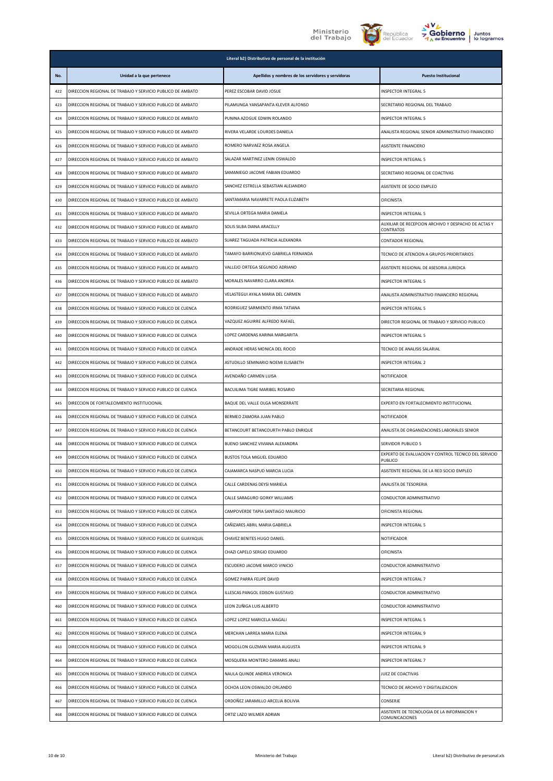





|     | Literal b2) Distributivo de personal de la institución        |                                                    |                                                                  |
|-----|---------------------------------------------------------------|----------------------------------------------------|------------------------------------------------------------------|
| No. | Unidad a la que pertenece                                     | Apellidos y nombres de los servidores y servidoras | <b>Puesto Institucional</b>                                      |
| 422 | DIRECCION REGIONAL DE TRABAJO Y SERVICIO PUBLICO DE AMBATO    | PEREZ ESCOBAR DAVID JOSUE                          | INSPECTOR INTEGRAL 5                                             |
| 423 | DIRECCION REGIONAL DE TRABAJO Y SERVICIO PUBLICO DE AMBATO    | PILAMUNGA YANSAPANTA KLEVER ALFONSO                | SECRETARIO REGIONAL DEL TRABAJO                                  |
| 424 | DIRECCION REGIONAL DE TRABAJO Y SERVICIO PUBLICO DE AMBATO    | PUNINA AZOGUE EDWIN ROLANDO                        | INSPECTOR INTEGRAL 5                                             |
| 425 | DIRECCION REGIONAL DE TRABAJO Y SERVICIO PUBLICO DE AMBATO    | RIVERA VELARDE LOURDES DANIELA                     | ANALISTA REGIONAL SENIOR ADMINISTRATIVO FINANCIERO               |
| 426 | DIRECCION REGIONAL DE TRABAJO Y SERVICIO PUBLICO DE AMBATO    | ROMERO NARVAEZ ROSA ANGELA                         | ASISTENTE FINANCIERO                                             |
| 427 | DIRECCION REGIONAL DE TRABAJO Y SERVICIO PUBLICO DE AMBATO    | SALAZAR MARTINEZ LENIN OSWALDO                     | INSPECTOR INTEGRAL 5                                             |
| 428 | DIRECCION REGIONAL DE TRABAJO Y SERVICIO PUBLICO DE AMBATO    | SAMANIEGO JACOME FABIAN EDUARDO                    | SECRETARIO REGIONAL DE COACTIVAS                                 |
| 429 | DIRECCION REGIONAL DE TRABAJO Y SERVICIO PUBLICO DE AMBATO    | SANCHEZ ESTRELLA SEBASTIAN ALEJANDRO               | ASISTENTE DE SOCIO EMPLEO                                        |
| 430 | DIRECCION REGIONAL DE TRABAJO Y SERVICIO PUBLICO DE AMBATO    | SANTAMARIA NAVARRETE PAOLA ELIZABETH               | <b>OFICINISTA</b>                                                |
| 431 | DIRECCION REGIONAL DE TRABAJO Y SERVICIO PUBLICO DE AMBATO    | SEVILLA ORTEGA MARIA DANIELA                       | INSPECTOR INTEGRAL 5                                             |
| 432 | DIRECCION REGIONAL DE TRABAJO Y SERVICIO PUBLICO DE AMBATO    | SOLIS SILBA DIANA ARACELLY                         | AUXILIAR DE RECEPCION ARCHIVO Y DESPACHO DE ACTAS Y<br>CONTRATOS |
| 433 | DIRECCION REGIONAL DE TRABAJO Y SERVICIO PUBLICO DE AMBATO    | SUAREZ TAGUADA PATRICIA ALEXANDRA                  | CONTADOR REGIONAL                                                |
| 434 | DIRECCION REGIONAL DE TRABAJO Y SERVICIO PUBLICO DE AMBATO    | TAMAYO BARRIONUEVO GABRIELA FERNANDA               | TECNICO DE ATENCION A GRUPOS PRIORITARIOS                        |
| 435 | DIRECCION REGIONAL DE TRABAJO Y SERVICIO PUBLICO DE AMBATO    | VALLEJO ORTEGA SEGUNDO ADRIANO                     | ASISTENTE REGIONAL DE ASESORIA JURIDICA                          |
| 436 | DIRECCION REGIONAL DE TRABAJO Y SERVICIO PUBLICO DE AMBATO    | MORALES NAVARRO CLARA ANDREA                       | INSPECTOR INTEGRAL 5                                             |
| 437 | DIRECCION REGIONAL DE TRABAJO Y SERVICIO PUBLICO DE AMBATO    | VELASTEGUI AYALA MARIA DEL CARMEN                  | ANALISTA ADMINISTRATIVO FINANCIERO REGIONAL                      |
| 438 | DIRECCION REGIONAL DE TRABAJO Y SERVICIO PUBLICO DE CUENCA    | RODRIGUEZ SARMIENTO IRMA TATIANA                   | <b>INSPECTOR INTEGRAL 5</b>                                      |
| 439 | DIRECCION REGIONAL DE TRABAJO Y SERVICIO PUBLICO DE CUENCA    | VAZQUEZ AGUIRRE ALFREDO RAFAEL                     | DIRECTOR REGIONAL DE TRABAJO Y SERVICIO PUBLICO                  |
| 440 | DIRECCION REGIONAL DE TRABAJO Y SERVICIO PUBLICO DE CUENCA    | LOPEZ CARDENAS KARINA MARGARITA                    | INSPECTOR INTEGRAL 5                                             |
| 441 | DIRECCION REGIONAL DE TRABAJO Y SERVICIO PUBLICO DE CUENCA    | ANDRADE HERAS MONICA DEL ROCIO                     | TECNICO DE ANALISIS SALARIAL                                     |
| 442 | DIRECCION REGIONAL DE TRABAJO Y SERVICIO PUBLICO DE CUENCA    | ASTUDILLO SEMINARIO NOEMI ELISABETH                | INSPECTOR INTEGRAL 2                                             |
| 443 | DIRECCION REGIONAL DE TRABAJO Y SERVICIO PUBLICO DE CUENCA    | AVENDAÑO CARMEN LUISA                              | <b>NOTIFICADOR</b>                                               |
| 444 | DIRECCION REGIONAL DE TRABAJO Y SERVICIO PUBLICO DE CUENCA    | BACUILIMA TIGRE MARIBEL ROSARIO                    | SECRETARIA REGIONAL                                              |
| 445 | DIRECCION DE FORTALECIMIENTO INSTITUCIONAL                    | BAQUE DEL VALLE OLGA MONSERRATE                    | EXPERTO EN FORTALECIMIENTO INSTITUCIONAL                         |
| 446 | DIRECCION REGIONAL DE TRABAJO Y SERVICIO PUBLICO DE CUENCA    | BERMEO ZAMORA JUAN PABLO                           | <b>NOTIFICADOR</b>                                               |
| 447 | DIRECCION REGIONAL DE TRABAJO Y SERVICIO PUBLICO DE CUENCA    | BETANCOURT BETANCOURTH PABLO ENRIQUE               | ANALISTA DE ORGANIZACIONES LABORALES SENIOR                      |
| 448 | DIRECCION REGIONAL DE TRABAJO Y SERVICIO PUBLICO DE CUENCA    | BUENO SANCHEZ VIVIANA ALEXANDRA                    | SERVIDOR PUBLICO 5                                               |
| 449 | DIRECCION REGIONAL DE TRABAJO Y SERVICIO PUBLICO DE CUENCA    | <b>BUSTOS TOLA MIGUEL EDUARDO</b>                  | EXPERTO DE EVALUACIÓN Y CONTROL TECNICO DEL SERVICIO<br>PUBLICO  |
| 450 | DIRECCION REGIONAL DE TRABAJO Y SERVICIO PUBLICO DE CUENCA    | CAJAMARCA NASPUD MARCIA LUCIA                      | ASISTENTE REGIONAL DE LA RED SOCIO EMPLEO                        |
| 451 | DIRECCION REGIONAL DE TRABAJO Y SERVICIO PUBLICO DE CUENCA    | CALLE CARDENAS DEYSI MARIELA                       | ANALISTA DE TESORERIA                                            |
| 452 | DIRECCION REGIONAL DE TRABAJO Y SERVICIO PUBLICO DE CUENCA    | CALLE SARAGURO GORKY WILLIAMS                      | CONDUCTOR ADMINISTRATIVO                                         |
| 453 | DIRECCION REGIONAL DE TRABAJO Y SERVICIO PUBLICO DE CUENCA    | CAMPOVERDE TAPIA SANTIAGO MAURICIO                 | OFICINISTA REGIONAL                                              |
| 454 | DIRECCION REGIONAL DE TRABAJO Y SERVICIO PUBLICO DE CUENCA    | CAÑIZARES ABRIL MARIA GABRIELA                     | <b>INSPECTOR INTEGRAL 5</b>                                      |
| 455 | DIRECCION REGIONAL DE TRABAJO Y SERVICIO PUBLICO DE GUAYAQUIL | CHAVEZ BENITES HUGO DANIEL                         | NOTIFICADOR                                                      |
| 456 | DIRECCION REGIONAL DE TRABAJO Y SERVICIO PUBLICO DE CUENCA    | CHAZI CAPELO SERGIO EDUARDO                        | OFICINISTA                                                       |
| 457 | DIRECCION REGIONAL DE TRABAJO Y SERVICIO PUBLICO DE CUENCA    | ESCUDERO JACOME MARCO VINICIO                      | CONDUCTOR ADMINISTRATIVO                                         |
| 458 | DIRECCION REGIONAL DE TRABAJO Y SERVICIO PUBLICO DE CUENCA    | GOMEZ PARRA FELIPE DAVID                           | <b>INSPECTOR INTEGRAL 7</b>                                      |
| 459 | DIRECCION REGIONAL DE TRABAJO Y SERVICIO PUBLICO DE CUENCA    | ILLESCAS PANGOL EDISON GUSTAVO                     | CONDUCTOR ADMINISTRATIVO                                         |
| 460 | DIRECCION REGIONAL DE TRABAJO Y SERVICIO PUBLICO DE CUENCA    | LEON ZUÑIGA LUIS ALBERTO                           | CONDUCTOR ADMINISTRATIVO                                         |
| 461 | DIRECCION REGIONAL DE TRABAJO Y SERVICIO PUBLICO DE CUENCA    | LOPEZ LOPEZ MARICELA MAGALI                        | INSPECTOR INTEGRAL 5                                             |
| 462 | DIRECCION REGIONAL DE TRABAJO Y SERVICIO PUBLICO DE CUENCA    | MERCHAN LARREA MARIA ELENA                         | INSPECTOR INTEGRAL 9                                             |
| 463 | DIRECCION REGIONAL DE TRABAJO Y SERVICIO PUBLICO DE CUENCA    | MOGOLLON GUZMAN MARIA AUGUSTA                      | INSPECTOR INTEGRAL 9                                             |
| 464 | DIRECCION REGIONAL DE TRABAJO Y SERVICIO PUBLICO DE CUENCA    | MOSQUERA MONTERO DAMARIS ANALI                     | INSPECTOR INTEGRAL 7                                             |
| 465 | DIRECCION REGIONAL DE TRABAJO Y SERVICIO PUBLICO DE CUENCA    | NAULA QUINDE ANDREA VERONICA                       | JUEZ DE COACTIVAS                                                |
| 466 | DIRECCION REGIONAL DE TRABAJO Y SERVICIO PUBLICO DE CUENCA    | OCHOA LEON OSWALDO ORLANDO                         | TECNICO DE ARCHIVO Y DIGITALIZACION                              |
| 467 | DIRECCION REGIONAL DE TRABAJO Y SERVICIO PUBLICO DE CUENCA    | ORDOÑEZ JARAMILLO ARCELIA BOLIVIA                  | CONSERJE                                                         |
| 468 | DIRECCION REGIONAL DE TRABAJO Y SERVICIO PUBLICO DE CUENCA    | ORTIZ LAZO WILMER ADRIAN                           | ASISTENTE DE TECNOLOGIA DE LA INFORMACION Y<br>COMUNICACIONES    |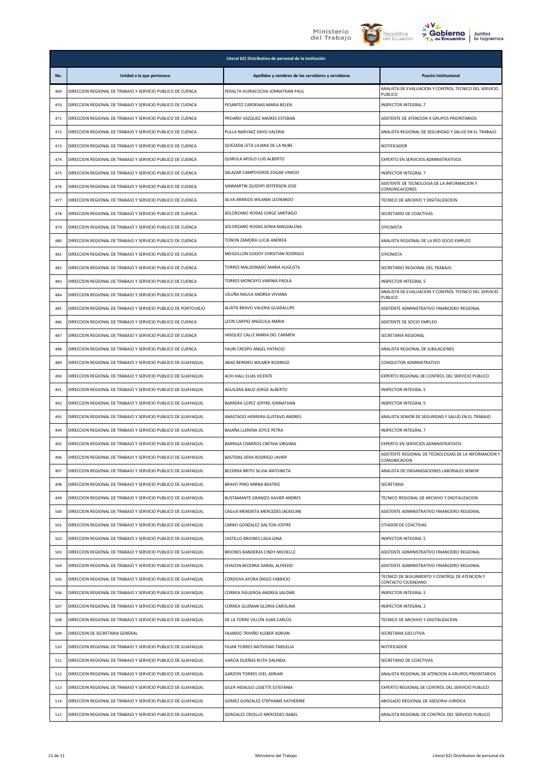





|     |                                                                | Literal b2) Distributivo de personal de la institución |                                                                                                |
|-----|----------------------------------------------------------------|--------------------------------------------------------|------------------------------------------------------------------------------------------------|
| No. | Unidad a la que pertenece                                      | Apellidos y nombres de los servidores y servidoras     | <b>Puesto Institucional</b>                                                                    |
| 469 | DIRECCION REGIONAL DE TRABAJO Y SERVICIO PUBLICO DE CUENCA     | PERALTA HUIRACOCHA JONNATHAN PAUL                      | ANALISTA DE EVALUACION Y CONTROL TECNICO DEL SERVICIO<br>PUBLICO                               |
| 470 | DIRECCION REGIONAL DE TRABAJO Y SERVICIO PUBLICO DE CUENCA     | PESANTEZ CARDENAS MARIA BELEN                          | INSPECTOR INTEGRAL 7                                                                           |
| 471 | DIRECCION REGIONAL DE TRABAJO Y SERVICIO PUBLICO DE CUENCA     | PROAÑO VAZQUEZ ANDRES ESTEBAN                          | ASISTENTE DE ATENCION A GRUPOS PRIORITARIOS                                                    |
| 472 | DIRECCION REGIONAL DE TRABAJO Y SERVICIO PUBLICO DE CUENCA     | PULLA NARVAEZ DAYSI VALERIA                            | ANALISTA REGIONAL DE SEGURIDAD Y SALUD EN EL TRABAJO                                           |
| 473 | DIRECCION REGIONAL DE TRABAJO Y SERVICIO PUBLICO DE CUENCA     | QUEZADA LETA LILIANA DE LA NUBE                        | <b>NOTIFICADOR</b>                                                                             |
| 474 | DIRECCION REGIONAL DE TRABAJO Y SERVICIO PUBLICO DE CUENCA     | QUIROLA APOLO LUIS ALBERTO                             | EXPERTO EN SERVICIOS ADMINISTRATIVOS                                                           |
| 475 | DIRECCION REGIONAL DE TRABAJO Y SERVICIO PUBLICO DE CUENCA     | SALAZAR CAMPOVERDE EDGAR VINICIO                       | INSPECTOR INTEGRAL 7                                                                           |
| 476 | DIRECCION REGIONAL DE TRABAJO Y SERVICIO PUBLICO DE CUENCA     | SANMARTIN QUIZHPI JEFFERSON JOSE                       | ASISTENTE DE TECNOLOGIA DE LA INFORMACION Y<br>COMUNICACIONES                                  |
| 477 | DIRECCION REGIONAL DE TRABAJO Y SERVICIO PUBLICO DE CUENCA     | SILVA ARMIJOS WILMAN LEONARDO                          | TECNICO DE ARCHIVO Y DIGITALIZACION                                                            |
| 478 | DIRECCION REGIONAL DE TRABAJO Y SERVICIO PUBLICO DE CUENCA     | SOLORZANO RODAS JORGE SANTIAGO                         | SECRETARIO DE COACTIVAS                                                                        |
| 479 | DIRECCION REGIONAL DE TRABAJO Y SERVICIO PUBLICO DE CUENCA     | SOLORZANO RODAS SONIA MAGDALENA                        | <b>OFICINISTA</b>                                                                              |
| 480 | DIRECCION REGIONAL DE TRABAJO Y SERVICIO PUBLICO DE CUENCA     | TONON ZAMORA LUCIA ANDREA                              | ANALISTA REGIONAL DE LA RED SOCIO EMPLEO                                                       |
| 481 | DIRECCION REGIONAL DE TRABAJO Y SERVICIO PUBLICO DE CUENCA     | MOGOLLON GODOY CHRISTIAN RODRIGO                       | OFICINISTA                                                                                     |
| 482 | DIRECCION REGIONAL DE TRABAJO Y SERVICIO PUBLICO DE CUENCA     | TORRES MALDONADO MARIA AUGUSTA                         | SECRETARIO REGIONAL DEL TRABAJO                                                                |
| 483 | DIRECCION REGIONAL DE TRABAJO Y SERVICIO PUBLICO DE CUENCA     | TORRES MONCAYO VARINIA PAOLA                           | INSPECTOR INTEGRAL 5                                                                           |
| 484 | DIRECCION REGIONAL DE TRABAJO Y SERVICIO PUBLICO DE CUENCA     | UGUÑA NAULA ANDREA VIVIANA                             | ANALISTA DE EVALUACION Y CONTROL TECNICO DEL SERVICIO<br>PUBLICO                               |
| 485 | DIRECCION REGIONAL DE TRABAJO Y SERVICIO PUBLICO DE PORTOVIEJO | ALIATIS BRAVO VALERIA GUADALUPE                        | ASISTENTE ADMINISTRATIVO FINANCIERO REGIONAL                                                   |
| 486 | DIRECCION REGIONAL DE TRABAJO Y SERVICIO PUBLICO DE CUENCA     | LEON CARPIO ANGELICA MARIA                             | ASISTENTE DE SOCIO EMPLEO                                                                      |
| 487 | DIRECCION REGIONAL DE TRABAJO Y SERVICIO PUBLICO DE CUENCA     | VASQUEZ CALLE MARIA DEL CARMEN                         | SECRETARIA REGIONAL                                                                            |
| 488 | DIRECCION REGIONAL DE TRABAJO Y SERVICIO PUBLICO DE CUENCA     | YAURI CRESPO ANGEL PATRICIO                            | ANALISTA REGIONAL DE JUBILACIONES                                                              |
| 489 | DIRECCION REGIONAL DE TRABAJO Y SERVICIO PUBLICO DE GUAYAQUIL  | ABAD BERMEO WILMER RODRIGO                             | CONDUCTOR ADMINISTRATIVO                                                                       |
| 490 | DIRECCION REGIONAL DE TRABAJO Y SERVICIO PUBLICO DE GUAYAQUIL  | ACHI HALL ELIAS VICENTE                                | EXPERTO REGIONAL DE CONTROL DEL SERVICIO PUBLICO                                               |
| 491 | DIRECCION REGIONAL DE TRABAJO Y SERVICIO PUBLICO DE GUAYAQUIL  | AGUILERA BAUZ JORGE ALBERTO                            | INSPECTOR INTEGRAL 5                                                                           |
| 492 | DIRECCION REGIONAL DE TRABAJO Y SERVICIO PUBLICO DE GUAYAQUIL  | BARRERA LOPEZ JOFFRE JONNATHAN                         | INSPECTOR INTEGRAL 5                                                                           |
| 493 | DIRECCION REGIONAL DE TRABAJO Y SERVICIO PUBLICO DE GUAYAQUIL  | ANASTACIO HERRERA GUSTAVO ANDRES                       | ANALISTA SENIOR DE SEGURIDAD Y SALUD EN EL TRABAJO                                             |
| 494 | DIRECCION REGIONAL DE TRABAJO Y SERVICIO PUBLICO DE GUAYAQUIL  | BAJAÑA LLERENA JOYCE PETRA                             | INSPECTOR INTEGRAL 7                                                                           |
| 495 | DIRECCION REGIONAL DE TRABAJO Y SERVICIO PUBLICO DE GUAYAQUIL  | BARRIGA CISNEROS CINTHIA VIRGINIA                      | EXPERTO EN SERVICIOS ADMINISTRATIVOS                                                           |
| 496 | DIRECCION REGIONAL DE TRABAJO Y SERVICIO PUBLICO DE GUAYAQUIL  | BASTIDAS VERA RODRIGO JAVIER                           | ASISTENTE REGIONAL DE TECNOLOGIAS DE LA INFORMACION Y<br>COMUNICACION                          |
| 497 | DIRECCION REGIONAL DE TRABAJO Y SERVICIO PUBLICO DE GUAYAQUIL  | BECERRA BRITO SILVIA ANTONIETA                         | ANALISTA DE ORGANIZACIONES LABORALES SENIOR                                                    |
| 498 | DIRECCION REGIONAL DE TRABAJO Y SERVICIO PUBLICO DE GUAYAQUIL  | BRAVO PINO MIRNA BEATRIZ                               | SECRETARIA                                                                                     |
| 499 | DIRECCION REGIONAL DE TRABAJO Y SERVICIO PUBLICO DE GUAYAQUIL  | BUSTAMANTE GRANIZO XAVIER ANDRES                       | TECNICO REGIONAL DE ARCHIVO Y DIGITALIZACION                                                   |
| 500 | DIRECCION REGIONAL DE TRABAJO Y SERVICIO PUBLICO DE GUAYAQUIL  | CAGUA MENDIETA MERCEDES JACKELINE                      | ASISTENTE ADMINISTRATIVO FINANCIERO REGIONAL                                                   |
| 501 | DIRECCION REGIONAL DE TRABAJO Y SERVICIO PUBLICO DE GUAYAQUIL  | CARBO GONZALEZ DALTON JOFFRE                           | CITADOR DE COACTIVAS                                                                           |
| 502 | DIRECCION REGIONAL DE TRABAJO Y SERVICIO PUBLICO DE GUAYAQUIL  | CASTILLO BRIONES LIGIA GINA                            | INSPECTOR INTEGRAL 5                                                                           |
| 503 | DIRECCION REGIONAL DE TRABAJO Y SERVICIO PUBLICO DE GUAYAQUIL  | BRIONES BANDERAS CINDY MICHELLE                        | ASISTENTE ADMINISTRATIVO FINANCIERO REGIONAL                                                   |
| 504 | DIRECCION REGIONAL DE TRABAJO Y SERVICIO PUBLICO DE GUAYAQUIL  | CHACON BECERRA DANIEL ALFREDO                          | ASISTENTE ADMINISTRATIVO FINANCIERO REGIONAL<br>TECNICO DE SEGUIMIENTO Y CONTROL DE ATENCION Y |
| 505 | DIRECCION REGIONAL DE TRABAJO Y SERVICIO PUBLICO DE GUAYAQUIL  | CORDOVA AYORA DIEGO FABRICIO                           | CONTACTO CIUDADANO                                                                             |
| 506 | DIRECCION REGIONAL DE TRABAJO Y SERVICIO PUBLICO DE GUAYAQUIL  | CORREA FIGUEROA ANDREA SALOME                          | INSPECTOR INTEGRAL 5                                                                           |
| 507 | DIRECCION REGIONAL DE TRABAJO Y SERVICIO PUBLICO DE GUAYAQUIL  | CORREA GUZMAN GLORIA CAROLINA                          | INSPECTOR INTEGRAL 2                                                                           |
| 508 | DIRECCION REGIONAL DE TRABAJO Y SERVICIO PUBLICO DE GUAYAQUIL  | DE LA TORRE VILLON JUAN CARLOS                         | TECNICO DE ARCHIVO Y DIGITALIZACION                                                            |
| 509 | DIRECCION DE SECRETARIA GENERAL                                | FAJARDO TRIVIÑO KLEBER ADRIAN                          | SECRETARIA EJECUTIVA                                                                           |
| 510 | DIRECCION REGIONAL DE TRABAJO Y SERVICIO PUBLICO DE GUAYAQUIL  | FILIAN TORRES NATIVIDAD TARGELIA                       | <b>NOTIFICADOR</b>                                                                             |
| 511 | DIRECCION REGIONAL DE TRABAJO Y SERVICIO PUBLICO DE GUAYAQUIL  | GARCIA DUEÑAS RUTH DALINDA                             | SECRETARIO DE COACTIVAS                                                                        |
| 512 | DIRECCION REGIONAL DE TRABAJO Y SERVICIO PUBLICO DE GUAYAQUIL  | <b>GARZON TORRES JOEL ADRIAN</b>                       | ANALISTA REGIONAL DE ATENCION A GRUPOS PRIORITARIOS                                            |
| 513 | DIRECCION REGIONAL DE TRABAJO Y SERVICIO PUBLICO DE GUAYAQUIL  | GILER HIDALGO LISSETTE ESTEFANIA                       | EXPERTO REGIONAL DE CONTROL DEL SERVICIO PUBLICO                                               |
| 514 | DIRECCION REGIONAL DE TRABAJO Y SERVICIO PUBLICO DE GUAYAQUIL  | GOMEZ GONZALEZ STEPHANIE KATHERINE                     | ABOGADO REGIONAL DE ASESORIA JURIDICA                                                          |
| 515 | DIRECCION REGIONAL DE TRABAJO Y SERVICIO PUBLICO DE GUAYAQUIL  | GONZALEZ CRIOLLO MERCEDES ISABEL                       | ANALISTA REGIONAL DE CONTROL DEL SERVICIO PUBLICO                                              |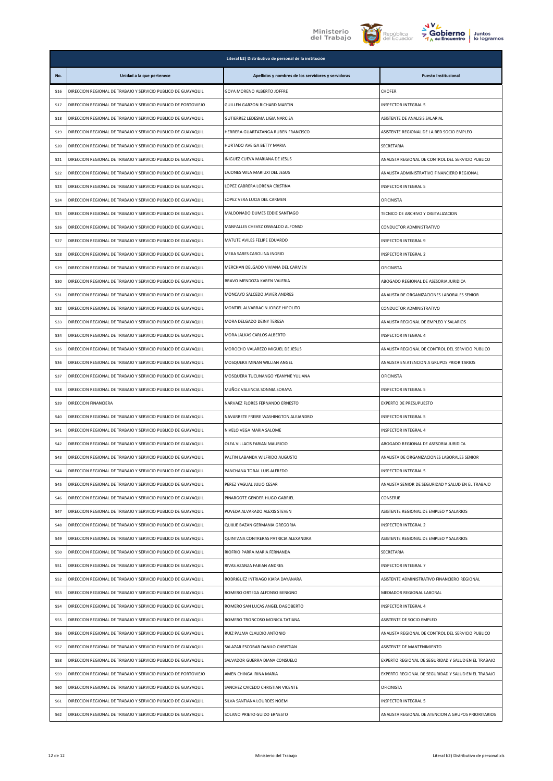

**Literal b2) Distributivo de personal de la institución**





| No. | Unidad a la que pertenece                                      | Apellidos y nombres de los servidores y servidoras | <b>Puesto Institucional</b>                         |
|-----|----------------------------------------------------------------|----------------------------------------------------|-----------------------------------------------------|
| 516 | DIRECCION REGIONAL DE TRABAJO Y SERVICIO PUBLICO DE GUAYAQUIL  | GOYA MORENO ALBERTO JOFFRE                         | CHOFER                                              |
| 517 | DIRECCION REGIONAL DE TRABAJO Y SERVICIO PUBLICO DE PORTOVIEJO | GUILLEN GARZON RICHARD MARTIN                      | INSPECTOR INTEGRAL 5                                |
| 518 | DIRECCION REGIONAL DE TRABAJO Y SERVICIO PUBLICO DE GUAYAQUIL  | GUTIERREZ LEDESMA LIGIA NARCISA                    | ASISTENTE DE ANALISIS SALARIAL                      |
| 519 | DIRECCION REGIONAL DE TRABAJO Y SERVICIO PUBLICO DE GUAYAQUIL  | HERRERA GUARTATANGA RUBEN FRANCISCO                | ASISTENTE REGIONAL DE LA RED SOCIO EMPLEO           |
| 520 | DIRECCION REGIONAL DE TRABAJO Y SERVICIO PUBLICO DE GUAYAQUIL  | HURTADO AVEIGA BETTY MARIA                         | SECRETARIA                                          |
| 521 | DIRECCION REGIONAL DE TRABAJO Y SERVICIO PUBLICO DE GUAYAQUIL  | IÑIGUEZ CUEVA MARIANA DE JESUS                     | ANALISTA REGIONAL DE CONTROL DEL SERVICIO PUBLICO   |
| 522 | DIRECCION REGIONAL DE TRABAJO Y SERVICIO PUBLICO DE GUAYAQUIL  | LAJONES WILA MARIUXI DEL JESUS                     | ANALISTA ADMINISTRATIVO FINANCIERO REGIONAL         |
| 523 | DIRECCION REGIONAL DE TRABAJO Y SERVICIO PUBLICO DE GUAYAQUIL  | LOPEZ CABRERA LORENA CRISTINA                      | INSPECTOR INTEGRAL 5                                |
| 524 | DIRECCION REGIONAL DE TRABAJO Y SERVICIO PUBLICO DE GUAYAQUIL  | LOPEZ VERA LUCIA DEL CARMEN                        | <b>OFICINISTA</b>                                   |
| 525 | DIRECCION REGIONAL DE TRABAJO Y SERVICIO PUBLICO DE GUAYAQUIL  | MALDONADO DUMES EDDIE SANTIAGO                     | TECNICO DE ARCHIVO Y DIGITALIZACION                 |
| 526 | DIRECCION REGIONAL DE TRABAJO Y SERVICIO PUBLICO DE GUAYAQUIL  | MANFALLES CHEVEZ OSWALDO ALFONSO                   | CONDUCTOR ADMINISTRATIVO                            |
| 527 | DIRECCION REGIONAL DE TRABAJO Y SERVICIO PUBLICO DE GUAYAQUIL  | MATUTE AVILES FELIPE EDUARDO                       | INSPECTOR INTEGRAL 9                                |
| 528 | DIRECCION REGIONAL DE TRABAJO Y SERVICIO PUBLICO DE GUAYAQUIL  | MEJIA SARES CAROLINA INGRID                        | INSPECTOR INTEGRAL 2                                |
| 529 | DIRECCION REGIONAL DE TRABAJO Y SERVICIO PUBLICO DE GUAYAQUIL  | MERCHAN DELGADO VIVIANA DEL CARMEN                 | <b>OFICINISTA</b>                                   |
| 530 | DIRECCION REGIONAL DE TRABAJO Y SERVICIO PUBLICO DE GUAYAQUIL  | BRAVO MENDOZA KAREN VALERIA                        | ABOGADO REGIONAL DE ASESORIA JURIDICA               |
| 531 | DIRECCION REGIONAL DE TRABAJO Y SERVICIO PUBLICO DE GUAYAQUIL  | MONCAYO SALCEDO JAVIER ANDRES                      | ANALISTA DE ORGANIZACIONES LABORALES SENIOR         |
| 532 | DIRECCION REGIONAL DE TRABAJO Y SERVICIO PUBLICO DE GUAYAQUIL  | MONTIEL ALVARRACIN JORGE HIPOLITO                  | CONDUCTOR ADMINISTRATIVO                            |
| 533 | DIRECCION REGIONAL DE TRABAJO Y SERVICIO PUBLICO DE GUAYAQUIL  | MORA DELGADO DEINY TERESA                          | ANALISTA REGIONAL DE EMPLEO Y SALARIOS              |
| 534 | DIRECCION REGIONAL DE TRABAJO Y SERVICIO PUBLICO DE GUAYAQUIL  | MORA JALKAS CARLOS ALBERTO                         | INSPECTOR INTEGRAL 4                                |
| 535 | DIRECCION REGIONAL DE TRABAJO Y SERVICIO PUBLICO DE GUAYAQUIL  | MOROCHO VALAREZO MIGUEL DE JESUS                   | ANALISTA REGIONAL DE CONTROL DEL SERVICIO PUBLICO   |
| 536 | DIRECCION REGIONAL DE TRABAJO Y SERVICIO PUBLICO DE GUAYAQUIL  | MOSQUERA MINAN WILLIAN ANGEL                       | ANALISTA EN ATENCION A GRUPOS PRIORITARIOS          |
| 537 | DIRECCION REGIONAL DE TRABAJO Y SERVICIO PUBLICO DE GUAYAQUIL  | MOSQUERA TUCUNANGO YEANYNE YULIANA                 | <b>OFICINISTA</b>                                   |
| 538 | DIRECCION REGIONAL DE TRABAJO Y SERVICIO PUBLICO DE GUAYAQUIL  | MUÑOZ VALENCIA SONNIA SORAYA                       | INSPECTOR INTEGRAL 5                                |
| 539 | DIRECCION FINANCIERA                                           | NARVAEZ FLORES FERNANDO ERNESTO                    | EXPERTO DE PRESUPUESTO                              |
| 540 | DIRECCION REGIONAL DE TRABAJO Y SERVICIO PUBLICO DE GUAYAQUIL  | NAVARRETE FREIRE WASHINGTON ALEJANDRO              | INSPECTOR INTEGRAL 5                                |
| 541 | DIRECCION REGIONAL DE TRABAJO Y SERVICIO PUBLICO DE GUAYAQUIL  | NIVELO VEGA MARIA SALOME                           | INSPECTOR INTEGRAL 4                                |
| 542 | DIRECCION REGIONAL DE TRABAJO Y SERVICIO PUBLICO DE GUAYAQUIL  | OLEA VILLACIS FABIAN MAURICIO                      | ABOGADO REGIONAL DE ASESORIA JURIDICA               |
| 543 | DIRECCION REGIONAL DE TRABAJO Y SERVICIO PUBLICO DE GUAYAQUIL  | PALTIN LABANDA WILFRIDO AUGUSTO                    | ANALISTA DE ORGANIZACIONES LABORALES SENIOR         |
| 544 | DIRECCION REGIONAL DE TRABAJO Y SERVICIO PUBLICO DE GUAYAQUIL  | PANCHANA TORAL LUIS ALFREDO                        | <b>INSPECTOR INTEGRAL 5</b>                         |
| 545 | DIRECCION REGIONAL DE TRABAJO Y SERVICIO PUBLICO DE GUAYAQUIL  | PEREZ YAGUAL JULIO CESAR                           | ANALISTA SENIOR DE SEGURIDAD Y SALUD EN EL TRABAJO  |
| 546 | DIRECCION REGIONAL DE TRABAJO Y SERVICIO PUBLICO DE GUAYAQUIL  | PINARGOTE GENDER HUGO GABRIEL                      | CONSERJE                                            |
| 547 | DIRECCION REGIONAL DE TRABAJO Y SERVICIO PUBLICO DE GUAYAQUIL  | POVEDA ALVARADO ALEXIS STEVEN                      | ASISTENTE REGIONAL DE EMPLEO Y SALARIOS             |
| 548 | DIRECCION REGIONAL DE TRABAJO Y SERVICIO PUBLICO DE GUAYAQUIL  | QUIJIJE BAZAN GERMANIA GREGORIA                    | INSPECTOR INTEGRAL 2                                |
| 549 | DIRECCION REGIONAL DE TRABAJO Y SERVICIO PUBLICO DE GUAYAQUIL  | QUINTANA CONTRERAS PATRICIA ALEXANDRA              | ASISTENTE REGIONAL DE EMPLEO Y SALARIOS             |
| 550 | DIRECCION REGIONAL DE TRABAJO Y SERVICIO PUBLICO DE GUAYAQUIL  | RIOFRIO PARRA MARIA FERNANDA                       | SECRETARIA                                          |
| 551 | DIRECCION REGIONAL DE TRABAJO Y SERVICIO PUBLICO DE GUAYAQUIL  | RIVAS AZANZA FABIAN ANDRES                         | INSPECTOR INTEGRAL 7                                |
| 552 | DIRECCION REGIONAL DE TRABAJO Y SERVICIO PUBLICO DE GUAYAQUIL  | RODRIGUEZ INTRIAGO KIARA DAYANARA                  | ASISTENTE ADMINISTRATIVO FINANCIERO REGIONAL        |
| 553 | DIRECCION REGIONAL DE TRABAJO Y SERVICIO PUBLICO DE GUAYAQUIL  | ROMERO ORTEGA ALFONSO BENIGNO                      | MEDIADOR REGIONAL LABORAL                           |
| 554 | DIRECCION REGIONAL DE TRABAJO Y SERVICIO PUBLICO DE GUAYAQUIL  | ROMERO SAN LUCAS ANGEL DAGOBERTO                   | INSPECTOR INTEGRAL 4                                |
| 555 | DIRECCION REGIONAL DE TRABAJO Y SERVICIO PUBLICO DE GUAYAQUIL  | ROMERO TRONCOSO MONICA TATIANA                     | ASISTENTE DE SOCIO EMPLEO                           |
| 556 | DIRECCION REGIONAL DE TRABAJO Y SERVICIO PUBLICO DE GUAYAQUIL  | RUIZ PALMA CLAUDIO ANTONIO                         | ANALISTA REGIONAL DE CONTROL DEL SERVICIO PUBLICO   |
| 557 | DIRECCION REGIONAL DE TRABAJO Y SERVICIO PUBLICO DE GUAYAQUIL  | SALAZAR ESCOBAR DANILO CHRISTIAN                   | ASISTENTE DE MANTENIMIENTO                          |
| 558 | DIRECCION REGIONAL DE TRABAJO Y SERVICIO PUBLICO DE GUAYAQUIL  | SALVADOR GUERRA DIANA CONSUELO                     | EXPERTO REGIONAL DE SEGURIDAD Y SALUD EN EL TRABAJO |
| 559 | DIRECCION REGIONAL DE TRABAJO Y SERVICIO PUBLICO DE PORTOVIEJO | AMEN CHINGA IRINA MARIA                            | EXPERTO REGIONAL DE SEGURIDAD Y SALUD EN EL TRABAJO |
| 560 | DIRECCION REGIONAL DE TRABAJO Y SERVICIO PUBLICO DE GUAYAQUIL  | SANCHEZ CAICEDO CHRISTIAN VICENTE                  | <b>OFICINISTA</b>                                   |
| 561 | DIRECCION REGIONAL DE TRABAJO Y SERVICIO PUBLICO DE GUAYAQUIL  | SILVA SANTIANA LOURDES NOEMI                       | INSPECTOR INTEGRAL 5                                |
| 562 | DIRECCION REGIONAL DE TRABAJO Y SERVICIO PUBLICO DE GUAYAQUIL  | SOLANO PRIETO GUIDO ERNESTO                        | ANALISTA REGIONAL DE ATENCION A GRUPOS PRIORITARIOS |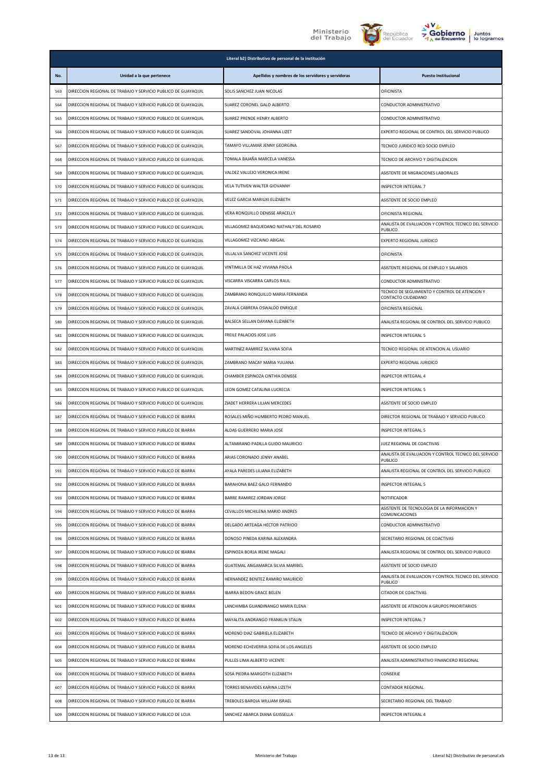





|     | Literal b2) Distributivo de personal de la institución        |                                                    |                                                                                     |
|-----|---------------------------------------------------------------|----------------------------------------------------|-------------------------------------------------------------------------------------|
| No. | Unidad a la que pertenece                                     | Apellidos y nombres de los servidores y servidoras | <b>Puesto Institucional</b>                                                         |
| 563 | DIRECCION REGIONAL DE TRABAJO Y SERVICIO PUBLICO DE GUAYAQUIL | SOLIS SANCHEZ JUAN NICOLAS                         | <b>OFICINISTA</b>                                                                   |
| 564 | DIRECCION REGIONAL DE TRABAJO Y SERVICIO PUBLICO DE GUAYAQUIL | SUAREZ CORONEL GALO ALBERTO                        | CONDUCTOR ADMINISTRATIVO                                                            |
| 565 | DIRECCION REGIONAL DE TRABAJO Y SERVICIO PUBLICO DE GUAYAQUIL | SUAREZ PRENDE HENRY ALBERTO                        | CONDUCTOR ADMINISTRATIVO                                                            |
| 566 | DIRECCION REGIONAL DE TRABAJO Y SERVICIO PUBLICO DE GUAYAQUIL | SUAREZ SANDOVAL JOHANNA LIZET                      | EXPERTO REGIONAL DE CONTROL DEL SERVICIO PUBLICO                                    |
| 567 | DIRECCION REGIONAL DE TRABAJO Y SERVICIO PUBLICO DE GUAYAQUIL | TAMAYO VILLAMAR JENNY GEORGINA                     | TECNICO JURIDICO RED SOCIO EMPLEO                                                   |
| 568 | DIRECCION REGIONAL DE TRABAJO Y SERVICIO PUBLICO DE GUAYAQUIL | TOMALA BAJAÑA MARCELA VANESSA                      | TECNICO DE ARCHIVO Y DIGITALIZACION                                                 |
| 569 | DIRECCION REGIONAL DE TRABAJO Y SERVICIO PUBLICO DE GUAYAQUIL | VALDEZ VALLEJO VERONICA IRENE                      | ASISTENTE DE MIGRACIONES LABORALES                                                  |
| 570 | DIRECCION REGIONAL DE TRABAJO Y SERVICIO PUBLICO DE GUAYAQUIL | VELA TUTIVEN WALTER GIOVANNY                       | INSPECTOR INTEGRAL 7                                                                |
| 571 | DIRECCION REGIONAL DE TRABAJO Y SERVICIO PUBLICO DE GUAYAQUIL | VELEZ GARCIA MARIUXI ELIZABETH                     | ASISTENTE DE SOCIO EMPLEO                                                           |
| 572 | DIRECCION REGIONAL DE TRABAJO Y SERVICIO PUBLICO DE GUAYAQUIL | VERA RONQUILLO DENISSE ARACELLY                    | OFICINISTA REGIONAL                                                                 |
| 573 | DIRECCION REGIONAL DE TRABAJO Y SERVICIO PUBLICO DE GUAYAQUIL | VILLAGOMEZ BAQUEDANO NATHALY DEL ROSARIO           | ANALISTA DE EVALUACION Y CONTROL TECNICO DEL SERVICIO<br>PUBLICO                    |
| 574 | DIRECCION REGIONAL DE TRABAJO Y SERVICIO PUBLICO DE GUAYAQUIL | VILLAGOMEZ VIZCAINO ABIGAIL                        | EXPERTO REGIONAL JURIDICO                                                           |
| 575 | DIRECCION REGIONAL DE TRABAJO Y SERVICIO PUBLICO DE GUAYAQUIL | VILLALVA SANCHEZ VICENTE JOSE                      | OFICINISTA                                                                          |
| 576 | DIRECCION REGIONAL DE TRABAJO Y SERVICIO PUBLICO DE GUAYAQUIL | VINTIMILLA DE HAZ VIVIANA PAOLA                    | ASISTENTE REGIONAL DE EMPLEO Y SALARIOS                                             |
| 577 | DIRECCION REGIONAL DE TRABAJO Y SERVICIO PUBLICO DE GUAYAQUIL | VISCARRA VISCARRA CARLOS RAUL                      | CONDUCTOR ADMINISTRATIVO                                                            |
| 578 | DIRECCION REGIONAL DE TRABAJO Y SERVICIO PUBLICO DE GUAYAQUIL | ZAMBRANO RONQUILLO MARIA FERNANDA                  | TECNICO DE SEGUIMIENTO Y CONTROL DE ATENCION Y<br>CONTACTO CIUDADANO                |
| 579 | DIRECCION REGIONAL DE TRABAJO Y SERVICIO PUBLICO DE GUAYAQUIL | ZAVALA CABRERA OSWALDO ENRIQUE                     | OFICINISTA REGIONAL                                                                 |
| 580 | DIRECCION REGIONAL DE TRABAJO Y SERVICIO PUBLICO DE GUAYAQUIL | BALSECA SELLAN DAYANA ELIZABETH                    | ANALISTA REGIONAL DE CONTROL DEL SERVICIO PUBLICO                                   |
| 581 | DIRECCION REGIONAL DE TRABAJO Y SERVICIO PUBLICO DE GUAYAQUIL | FREILE PALACIOS JOSE LUIS                          | INSPECTOR INTEGRAL 5                                                                |
| 582 | DIRECCION REGIONAL DE TRABAJO Y SERVICIO PUBLICO DE GUAYAQUIL | MARTINEZ RAMIREZ SILVANA SOFIA                     | TECNICO REGIONAL DE ATENCION AL USUARIO                                             |
| 583 | DIRECCION REGIONAL DE TRABAJO Y SERVICIO PUBLICO DE GUAYAQUIL | ZAMBRANO MACAY MARIA YULIANA                       | EXPERTO REGIONAL JURIDICO                                                           |
| 584 | DIRECCION REGIONAL DE TRABAJO Y SERVICIO PUBLICO DE GUAYAQUIL | CHAMBER ESPINOZA CINTHIA DENISSE                   | INSPECTOR INTEGRAL 4                                                                |
| 585 | DIRECCION REGIONAL DE TRABAJO Y SERVICIO PUBLICO DE GUAYAQUIL | LEON GOMEZ CATALINA LUCRECIA                       | INSPECTOR INTEGRAL 5                                                                |
| 586 | DIRECCION REGIONAL DE TRABAJO Y SERVICIO PUBLICO DE GUAYAQUIL | ZIADET HERRERA LILIAN MERCEDES                     | ASISTENTE DE SOCIO EMPLEO                                                           |
| 587 | DIRECCION REGIONAL DE TRABAJO Y SERVICIO PUBLICO DE IBARRA    | ROSALES MIÑO HUMBERTO PEDRO MANUEL                 | DIRECTOR REGIONAL DE TRABAJO Y SERVICIO PUBLICO                                     |
| 588 | DIRECCION REGIONAL DE TRABAJO Y SERVICIO PUBLICO DE IBARRA    | ALDAS GUERRERO MARIA JOSE                          | <b>INSPECTOR INTEGRAL 5</b>                                                         |
| 589 | DIRECCION REGIONAL DE TRABAJO Y SERVICIO PUBLICO DE IBARRA    | ALTAMIRANO PADILLA GUIDO MAURICIO                  | JUEZ REGIONAL DE COACTIVAS<br>ANALISTA DE EVALUACION Y CONTROL TECNICO DEL SERVICIO |
| 590 | DIRECCION REGIONAL DE TRABAJO Y SERVICIO PUBLICO DE IBARRA    | ARIAS CORONADO JENNY ANABEL                        | PUBLICO                                                                             |
| 591 | DIRECCION REGIONAL DE TRABAJO Y SERVICIO PUBLICO DE IBARRA    | AYALA PAREDES LILIANA ELIZABETH                    | ANALISTA REGIONAL DE CONTROL DEL SERVICIO PUBLICO                                   |
| 592 | DIRECCION REGIONAL DE TRABAJO Y SERVICIO PUBLICO DE IBARRA    | BARAHONA BAEZ GALO FERNANDO                        | <b>INSPECTOR INTEGRAL 5</b>                                                         |
| 593 | DIRECCION REGIONAL DE TRABAJO Y SERVICIO PUBLICO DE IBARRA    | BARRE RAMIREZ JORDAN JORGE                         | NOTIFICADOR<br>ASISTENTE DE TECNOLOGIA DE LA INFORMACION Y                          |
| 594 | DIRECCION REGIONAL DE TRABAJO Y SERVICIO PUBLICO DE IBARRA    | CEVALLOS MICHILENA MARIO ANDRES                    | COMUNICACIONES                                                                      |
| 595 | DIRECCION REGIONAL DE TRABAJO Y SERVICIO PUBLICO DE IBARRA    | DELGADO ARTEAGA HECTOR PATRICIO                    | CONDUCTOR ADMINISTRATIVO                                                            |
| 596 | DIRECCION REGIONAL DE TRABAJO Y SERVICIO PUBLICO DE IBARRA    | DONOSO PINEDA KARINA ALEXANDRA                     | SECRETARIO REGIONAL DE COACTIVAS                                                    |
| 597 | DIRECCION REGIONAL DE TRABAJO Y SERVICIO PUBLICO DE IBARRA    | ESPINOZA BORJA IRENE MAGALI                        | ANALISTA REGIONAL DE CONTROL DEL SERVICIO PUBLICO                                   |
| 598 | DIRECCION REGIONAL DE TRABAJO Y SERVICIO PUBLICO DE IBARRA    | GUATEMAL ANGAMARCA SILVIA MARIBEL                  | ASISTENTE DE SOCIO EMPLEO<br>ANALISTA DE EVALUACION Y CONTROL TECNICO DEL SERVICIO  |
| 599 | DIRECCION REGIONAL DE TRABAJO Y SERVICIO PUBLICO DE IBARRA    | HERNANDEZ BENITEZ RAMIRO MAURICIO                  | PUBLICO                                                                             |
| 600 | DIRECCION REGIONAL DE TRABAJO Y SERVICIO PUBLICO DE IBARRA    | <b>IBARRA BEDON GRACE BELEN</b>                    | CITADOR DE COACTIVAS                                                                |
| 601 | DIRECCION REGIONAL DE TRABAJO Y SERVICIO PUBLICO DE IBARRA    | LANCHIMBA GUANDINANGO MARIA ELENA                  | ASISTENTE DE ATENCION A GRUPOS PRIORITARIOS                                         |
| 602 | DIRECCION REGIONAL DE TRABAJO Y SERVICIO PUBLICO DE IBARRA    | MAYALITA ANDRANGO FRANKLIN STALIN                  | INSPECTOR INTEGRAL 7                                                                |
| 603 | DIRECCION REGIONAL DE TRABAJO Y SERVICIO PUBLICO DE IBARRA    | MORENO DIAZ GABRIELA ELIZABETH                     | TECNICO DE ARCHIVO Y DIGITALIZACION                                                 |
| 604 | DIRECCION REGIONAL DE TRABAJO Y SERVICIO PUBLICO DE IBARRA    | MORENO ECHEVERRIA SOFIA DE LOS ANGELES             | ASISTENTE DE SOCIO EMPLEO                                                           |
| 605 | DIRECCION REGIONAL DE TRABAJO Y SERVICIO PUBLICO DE IBARRA    | PULLES LIMA ALBERTO VICENTE                        | ANALISTA ADMINISTRATIVO FINANCIERO REGIONAL                                         |
| 606 | DIRECCION REGIONAL DE TRABAJO Y SERVICIO PUBLICO DE IBARRA    | SOSA PIEDRA MARGOTH ELIZABETH                      | CONSERJE                                                                            |
| 607 | DIRECCION REGIONAL DE TRABAJO Y SERVICIO PUBLICO DE IBARRA    | TORRES BENAVIDES KARINA LIZETH                     | CONTADOR REGIONAL                                                                   |
| 608 | DIRECCION REGIONAL DE TRABAJO Y SERVICIO PUBLICO DE IBARRA    | TREBOLES BAROJA WILLIAM ISRAEL                     | SECRETARIO REGIONAL DEL TRABAJO                                                     |
| 609 | DIRECCION REGIONAL DE TRABAJO Y SERVICIO PUBLICO DE LOJA      | SANCHEZ ABARCA DIANA GUISSELLA                     | INSPECTOR INTEGRAL 4                                                                |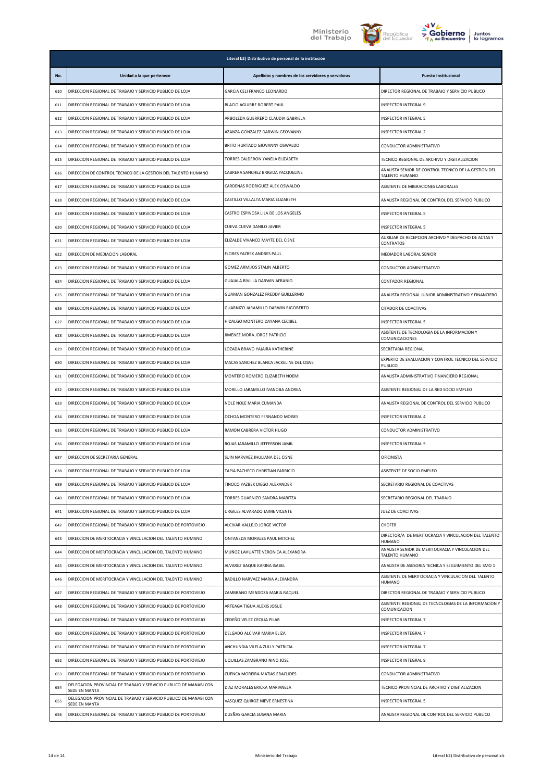





| Juntos      |
|-------------|
| lo logramos |

|     |                                                                                    | Literal b2) Distributivo de personal de la institución |                                                                         |
|-----|------------------------------------------------------------------------------------|--------------------------------------------------------|-------------------------------------------------------------------------|
| No. | Unidad a la que pertenece                                                          | Apellidos y nombres de los servidores y servidoras     | <b>Puesto Institucional</b>                                             |
| 610 | DIRECCION REGIONAL DE TRABAJO Y SERVICIO PUBLICO DE LOJA                           | GARCIA CELI FRANCO LEONARDO                            | DIRECTOR REGIONAL DE TRABAJO Y SERVICIO PUBLICO                         |
| 611 | DIRECCION REGIONAL DE TRABAJO Y SERVICIO PUBLICO DE LOJA                           | BLACIO AGUIRRE ROBERT PAUL                             | INSPECTOR INTEGRAL 9                                                    |
| 612 | DIRECCION REGIONAL DE TRABAJO Y SERVICIO PUBLICO DE LOJA                           | ARBOLEDA GUERRERO CLAUDIA GABRIELA                     | INSPECTOR INTEGRAL 5                                                    |
| 613 | DIRECCION REGIONAL DE TRABAJO Y SERVICIO PUBLICO DE LOJA                           | AZANZA GONZALEZ DARWIN GEOVANNY                        | INSPECTOR INTEGRAL 2                                                    |
| 614 | DIRECCION REGIONAL DE TRABAJO Y SERVICIO PUBLICO DE LOJA                           | BRITO HURTADO GIOVANNY OSWALDO                         | CONDUCTOR ADMINISTRATIVO                                                |
| 615 | DIRECCION REGIONAL DE TRABAJO Y SERVICIO PUBLICO DE LOJA                           | TORRES CALDERON YANELA ELIZABETH                       | TECNICO REGIONAL DE ARCHIVO Y DIGITALIZACION                            |
| 616 | DIRECCION DE CONTROL TECNICO DE LA GESTION DEL TALENTO HUMANO                      | CABRERA SANCHEZ BRIGIDA YACQUELINE                     | ANALISTA SENIOR DE CONTROL TECNICO DE LA GESTION DEL<br>TALENTO HUMANO  |
| 617 | DIRECCION REGIONAL DE TRABAJO Y SERVICIO PUBLICO DE LOJA                           | CARDENAS RODRIGUEZ ALEX OSWALDO                        | ASISTENTE DE MIGRACIONES LABORALES                                      |
| 618 | DIRECCION REGIONAL DE TRABAJO Y SERVICIO PUBLICO DE LOJA                           | CASTILLO VILLALTA MARIA ELIZABETH                      | ANALISTA REGIONAL DE CONTROL DEL SERVICIO PUBLICO                       |
| 619 | DIRECCION REGIONAL DE TRABAJO Y SERVICIO PUBLICO DE LOJA                           | CASTRO ESPINOSA LILA DE LOS ANGELES                    | INSPECTOR INTEGRAL 5                                                    |
| 620 | DIRECCION REGIONAL DE TRABAJO Y SERVICIO PUBLICO DE LOJA                           | CUEVA CUEVA DANILO JAVIER                              | INSPECTOR INTEGRAL 5                                                    |
| 621 | DIRECCION REGIONAL DE TRABAJO Y SERVICIO PUBLICO DE LOJA                           | ELIZALDE VIVANCO MAYTE DEL CISNE                       | AUXILIAR DE RECEPCION ARCHIVO Y DESPACHO DE ACTAS Y<br><b>CONTRATOS</b> |
| 622 | DIRECCION DE MEDIACION LABORAL                                                     | FLORES YAZBEK ANDRES PAUL                              | MEDIADOR LABORAL SENIOR                                                 |
| 623 | DIRECCION REGIONAL DE TRABAJO Y SERVICIO PUBLICO DE LOJA                           | GOMEZ ARMIJOS STALIN ALBERTO                           | CONDUCTOR ADMINISTRATIVO                                                |
| 624 | DIRECCION REGIONAL DE TRABAJO Y SERVICIO PUBLICO DE LOJA                           | GUAJALA RIVILLA DARWIN AFRANIO                         | CONTADOR REGIONAL                                                       |
| 625 | DIRECCION REGIONAL DE TRABAJO Y SERVICIO PUBLICO DE LOJA                           | GUAMAN GONZALEZ FREDDY GUILLERMO                       | ANALISTA REGIONAL JUNIOR ADMINISTRATIVO Y FINANCIERO                    |
| 626 | DIRECCION REGIONAL DE TRABAJO Y SERVICIO PUBLICO DE LOJA                           | GUARNIZO JARAMILLO DARWIN RIGOBERTO                    | CITADOR DE COACTIVAS                                                    |
| 627 | DIRECCION REGIONAL DE TRABAJO Y SERVICIO PUBLICO DE LOJA                           | HIDALGO MONTERO DAYANA CECIBEL                         | INSPECTOR INTEGRAL 5                                                    |
| 628 | DIRECCION REGIONAL DE TRABAJO Y SERVICIO PUBLICO DE LOJA                           | JIMENEZ MORA JORGE PATRICIO                            | ASISTENTE DE TECNOLOGIA DE LA INFORMACION Y<br>COMUNICACIONES           |
| 629 | DIRECCION REGIONAL DE TRABAJO Y SERVICIO PUBLICO DE LOJA                           | LOZADA BRAVO YAJAIRA KATHERINE                         | SECRETARIA REGIONAL                                                     |
| 630 | DIRECCION REGIONAL DE TRABAJO Y SERVICIO PUBLICO DE LOJA                           | MACAS SANCHEZ BLANCA JACKELINE DEL CISNE               | EXPERTO DE EVALUACION Y CONTROL TECNICO DEL SERVICIO<br>PUBLICO         |
| 631 | DIRECCION REGIONAL DE TRABAJO Y SERVICIO PUBLICO DE LOJA                           | MONTERO ROMERO ELIZABETH NOEMI                         | ANALISTA ADMINISTRATIVO FINANCIERO REGIONAL                             |
| 632 | DIRECCION REGIONAL DE TRABAJO Y SERVICIO PUBLICO DE LOJA                           | MORILLO JARAMILLO IVANOBA ANDREA                       | ASISTENTE REGIONAL DE LA RED SOCIO EMPLEO                               |
| 633 | DIRECCION REGIONAL DE TRABAJO Y SERVICIO PUBLICO DE LOJA                           | NOLE NOLE MARIA CUMANDA                                | ANALISTA REGIONAL DE CONTROL DEL SERVICIO PUBLICO                       |
| 634 | DIRECCION REGIONAL DE TRABAJO Y SERVICIO PUBLICO DE LOJA                           | OCHOA MONTERO FERNANDO MOISES                          | INSPECTOR INTEGRAL 4                                                    |
| 635 | DIRECCION REGIONAL DE TRABAJO Y SERVICIO PUBLICO DE LOJA                           | RAMON CABRERA VICTOR HUGO                              | CONDUCTOR ADMINISTRATIVO                                                |
| 636 | DIRECCION REGIONAL DE TRABAJO Y SERVICIO PUBLICO DE LOJA                           | ROJAS JARAMILLO JEFFERSON JAMIL                        | INSPECTOR INTEGRAL 5                                                    |
| 637 | DIRECCION DE SECRETARIA GENERAL                                                    | SUIN NARVAEZ JHULIANA DEL CISNE                        | <b>OFICINISTA</b>                                                       |
| 638 | DIRECCION REGIONAL DE TRABAJO Y SERVICIO PUBLICO DE LOJA                           | TAPIA PACHECO CHRISTIAN FABRICIO                       | ASISTENTE DE SOCIO EMPLEO                                               |
| 639 | DIRECCION REGIONAL DE TRABAJO Y SERVICIO PUBLICO DE LOJA                           | TINOCO YAZBEK DIEGO ALEXANDER                          | SECRETARIO REGIONAL DE COACTIVAS                                        |
| 640 | DIRECCION REGIONAL DE TRABAJO Y SERVICIO PUBLICO DE LOJA                           | TORRES GUARNIZO SANDRA MARITZA                         | SECRETARIO REGIONAL DEL TRABAJO                                         |
| 641 | DIRECCION REGIONAL DE TRABAJO Y SERVICIO PUBLICO DE LOJA                           | URGILES ALVARADO JAIME VICENTE                         | JUEZ DE COACTIVAS                                                       |
| 642 | DIRECCION REGIONAL DE TRABAJO Y SERVICIO PUBLICO DE PORTOVIEJO                     | ALCIVAR VALLEJO JORGE VICTOR                           | <b>CHOFER</b>                                                           |
| 643 | DIRECCION DE MERITOCRACIA Y VINCULACION DEL TALENTO HUMANO                         | ONTANEDA MORALES PAUL MITCHEL                          | DIRECTOR/A DE MERITOCRACIA Y VINCULACION DEL TALENTO<br>HUMANO          |
| 644 | DIRECCION DE MERITOCRACIA Y VINCULACION DEL TALENTO HUMANO                         | MUÑOZ LAHUATTE VERONICA ALEXANDRA                      | ANALISTA SENIOR DE MERITOCRACIA Y VINCULACION DEL<br>TALENTO HUMANO     |
| 645 | DIRECCION DE MERITOCRACIA Y VINCULACION DEL TALENTO HUMANO                         | ALVAREZ BAQUE KARINA ISABEL                            | ANALISTA DE ASESORIA TECNICA Y SEGUIMIENTO DEL SMO 1                    |
| 646 | DIRECCION DE MERITOCRACIA Y VINCULACION DEL TALENTO HUMANO                         | BADILLO NARVAEZ MARIA ALEXANDRA                        | ASISTENTE DE MERITOCRACIA Y VINCULACION DEL TALENTO<br><b>HUMANO</b>    |
| 647 | DIRECCION REGIONAL DE TRABAJO Y SERVICIO PUBLICO DE PORTOVIEJO                     | ZAMBRANO MENDOZA MARIA RAQUEL                          | DIRECTOR REGIONAL DE TRABAJO Y SERVICIO PUBLICO                         |
| 648 | DIRECCION REGIONAL DE TRABAJO Y SERVICIO PUBLICO DE PORTOVIEJO                     | ARTEAGA TIGUA ALEXIS JOSUE                             | ASISTENTE REGIONAL DE TECNOLOGIAS DE LA INFORMACION Y<br>COMUNICACION   |
| 649 | DIRECCION REGIONAL DE TRABAJO Y SERVICIO PUBLICO DE PORTOVIEJO                     | CEDEÑO VELEZ CECILIA PILAR                             | INSPECTOR INTEGRAL 7                                                    |
| 650 | DIRECCION REGIONAL DE TRABAJO Y SERVICIO PUBLICO DE PORTOVIEJO                     | DELGADO ALCIVAR MARIA ELIZA                            | INSPECTOR INTEGRAL 7                                                    |
| 651 | DIRECCION REGIONAL DE TRABAJO Y SERVICIO PUBLICO DE PORTOVIEJO                     | ANCHUNDIA VILELA ZULLY PATRICIA                        | INSPECTOR INTEGRAL 7                                                    |
| 652 | DIRECCION REGIONAL DE TRABAJO Y SERVICIO PUBLICO DE PORTOVIEJO                     | UQUILLAS ZAMBRANO NINO JOSE                            | INSPECTOR INTEGRAL 9                                                    |
| 653 | DIRECCION REGIONAL DE TRABAJO Y SERVICIO PUBLICO DE PORTOVIEJO                     | CUENCA MOREIRA MATIAS ERACLIDES                        | CONDUCTOR ADMINISTRATIVO                                                |
| 654 | DELEGACION PROVINCIAL DE TRABAJO Y SERVICIO PUBLICO DE MANABI CON<br>SEDE EN MANTA | DIAZ MORALES ERICKA MARIANELA                          | TECNICO PROVINCIAL DE ARCHIVO Y DIGITALIZACION                          |
| 655 | DELEGACION PROVINCIAL DE TRABAJO Y SERVICIO PUBLICO DE MANABI CON<br>SEDE EN MANTA | VASQUEZ QUIROZ NIEVE ERNESTINA                         | INSPECTOR INTEGRAL 5                                                    |
| 656 | DIRECCION REGIONAL DE TRABAJO Y SERVICIO PUBLICO DE PORTOVIEJO                     | DUEÑAS GARCIA SUSANA MARIA                             | ANALISTA REGIONAL DE CONTROL DEL SERVICIO PUBLICO                       |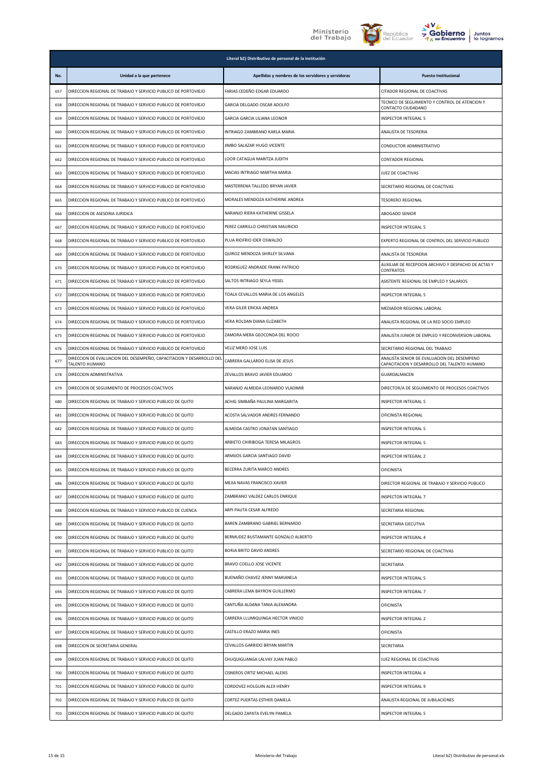

**Literal b2) Distributivo de personal de la institución** 





| No. | Unidad a la que pertenece                                                              | Apellidos y nombres de los servidores y servidoras | <b>Puesto Institucional</b>                                                                 |
|-----|----------------------------------------------------------------------------------------|----------------------------------------------------|---------------------------------------------------------------------------------------------|
| 657 | DIRECCION REGIONAL DE TRABAJO Y SERVICIO PUBLICO DE PORTOVIEJO                         | FARIAS CEDEÑO EDGAR EDUARDO                        | CITADOR REGIONAL DE COACTIVAS                                                               |
| 658 | DIRECCION REGIONAL DE TRABAJO Y SERVICIO PUBLICO DE PORTOVIEJO                         | GARCIA DELGADO OSCAR ADOLFO                        | TECNICO DE SEGUIMIENTO Y CONTROL DE ATENCION Y<br>CONTACTO CIUDADANO                        |
| 659 | DIRECCION REGIONAL DE TRABAJO Y SERVICIO PUBLICO DE PORTOVIEJO                         | GARCIA GARCIA LILIANA LEONOR                       | INSPECTOR INTEGRAL 5                                                                        |
| 660 | DIRECCION REGIONAL DE TRABAJO Y SERVICIO PUBLICO DE PORTOVIEJO                         | INTRIAGO ZAMBRANO KARLA MARIA                      | ANALISTA DE TESORERIA                                                                       |
| 661 | DIRECCION REGIONAL DE TRABAJO Y SERVICIO PUBLICO DE PORTOVIEJO                         | JIMBO SALAZAR HUGO VICENTE                         | CONDUCTOR ADMINISTRATIVO                                                                    |
| 662 | DIRECCION REGIONAL DE TRABAJO Y SERVICIO PUBLICO DE PORTOVIEJO                         | LOOR CATAGUA MARITZA JUDITH                        | CONTADOR REGIONAL                                                                           |
| 663 | DIRECCION REGIONAL DE TRABAJO Y SERVICIO PUBLICO DE PORTOVIEJO                         | MACIAS INTRIAGO MARTHA MARIA                       | JUEZ DE COACTIVAS                                                                           |
| 664 | DIRECCION REGIONAL DE TRABAJO Y SERVICIO PUBLICO DE PORTOVIEJO                         | MASTERRENA TALLEDO BRYAN JAVIER                    | SECRETARIO REGIONAL DE COACTIVAS                                                            |
| 665 | DIRECCION REGIONAL DE TRABAJO Y SERVICIO PUBLICO DE PORTOVIEJO                         | MORALES MENDOZA KATHERINE ANDREA                   | <b>TESORERO REGIONAL</b>                                                                    |
| 666 | DIRECCION DE ASESORIA JURIDICA                                                         | NARANJO RIERA KATHERINE GISSELA                    | ABOGADO SENIOR                                                                              |
| 667 | DIRECCION REGIONAL DE TRABAJO Y SERVICIO PUBLICO DE PORTOVIEJO                         | PEREZ CARRILLO CHRISTIAN MAURICIO                  | INSPECTOR INTEGRAL 5                                                                        |
| 668 | DIRECCION REGIONAL DE TRABAJO Y SERVICIO PUBLICO DE PORTOVIEJO                         | PLUA RIOFRIO IDER OSWALDO                          | EXPERTO REGIONAL DE CONTROL DEL SERVICIO PUBLICO                                            |
| 669 | DIRECCION REGIONAL DE TRABAJO Y SERVICIO PUBLICO DE PORTOVIEJO                         | QUIROZ MENDOZA SHIRLEY SILVANA                     | ANALISTA DE TESORERIA                                                                       |
| 670 | DIRECCION REGIONAL DE TRABAJO Y SERVICIO PUBLICO DE PORTOVIEJO                         | RODRIGUEZ ANDRADE FRANK PATRICIO                   | AUXILIAR DE RECEPCION ARCHIVO Y DESPACHO DE ACTAS Y<br>CONTRATOS                            |
| 671 | DIRECCION REGIONAL DE TRABAJO Y SERVICIO PUBLICO DE PORTOVIEJO                         | SALTOS INTRIAGO SEYLA YISSEL                       | ASISTENTE REGIONAL DE EMPLEO Y SALARIOS                                                     |
| 672 | DIRECCION REGIONAL DE TRABAJO Y SERVICIO PUBLICO DE PORTOVIEJO                         | TOALA CEVALLOS MARIA DE LOS ANGELES                | <b>INSPECTOR INTEGRAL 5</b>                                                                 |
| 673 | DIRECCION REGIONAL DE TRABAJO Y SERVICIO PUBLICO DE PORTOVIEJO                         | VERA GILER ERICKA ANDREA                           | MEDIADOR REGIONAL LABORAL                                                                   |
| 674 | DIRECCION REGIONAL DE TRABAJO Y SERVICIO PUBLICO DE PORTOVIEJO                         | VERA ROLDAN DIANA ELIZABETH                        | ANALISTA REGIONAL DE LA RED SOCIO EMPLEO                                                    |
| 675 | DIRECCION REGIONAL DE TRABAJO Y SERVICIO PUBLICO DE PORTOVIEJO                         | ZAMORA MERA GEOCONDA DEL ROCIO                     | ANALISTA JUNIOR DE EMPLEO Y RECONVERSION LABORAL                                            |
| 676 | DIRECCION REGIONAL DE TRABAJO Y SERVICIO PUBLICO DE PORTOVIEJO                         | VELIZ MERO JOSE LUIS                               | SECRETARIO REGIONAL DEL TRABAJO                                                             |
| 677 | DIRECCION DE EVALUACION DEL DESEMPEÑO, CAPACITACION Y DESARROLLO DEL<br>TALENTO HUMANO | CABRERA GALLARDO ELISA DE JESUS                    | ANALISTA SENIOR DE EVALUACION DEL DESEMPENO<br>CAPACITACION Y DESARROLLO DEL TALENTO HUMANO |
| 678 | DIRECCION ADMINISTRATIVA                                                               | ZEVALLOS BRAVO JAVIER EDUARDO                      | GUARDALMACEN                                                                                |
| 679 | DIRECCION DE SEGUIMIENTO DE PROCESOS COACTIVOS                                         | NARANJO ALMEIDA LEONARDO VLADIMIR                  | DIRECTOR/A DE SEGUIMIENTO DE PROCESOS COACTIVOS                                             |
| 680 | DIRECCION REGIONAL DE TRABAJO Y SERVICIO PUBLICO DE QUITO                              | ACHIG SIMBAÑA PAULINA MARGARITA                    | INSPECTOR INTEGRAL 5                                                                        |
| 681 | DIRECCION REGIONAL DE TRABAJO Y SERVICIO PUBLICO DE QUITO                              | ACOSTA SALVADOR ANDRES FERNANDO                    | OFICINISTA REGIONAL                                                                         |
| 682 | DIRECCION REGIONAL DE TRABAJO Y SERVICIO PUBLICO DE QUITO                              | ALMEIDA CASTRO JONATAN SANTIAGO                    | INSPECTOR INTEGRAL 5                                                                        |
| 683 | DIRECCION REGIONAL DE TRABAJO Y SERVICIO PUBLICO DE QUITO                              | ARBIETO CHIRIBOGA TERESA MILAGROS                  | INSPECTOR INTEGRAL 5                                                                        |
| 684 | DIRECCION REGIONAL DE TRABAJO Y SERVICIO PUBLICO DE QUITO                              | ARMIJOS GARCIA SANTIAGO DAVID                      | INSPECTOR INTEGRAL 2                                                                        |
| 685 | DIRECCION REGIONAL DE TRABAJO Y SERVICIO PUBLICO DE QUITO                              | BECERRA ZURITA MARCO ANDRES                        | OFICINISTA                                                                                  |
| 686 | DIRECCION REGIONAL DE TRABAJO Y SERVICIO PUBLICO DE QUITO                              | MEJIA NAVAS FRANCISCO XAVIER                       | DIRECTOR REGIONAL DE TRABAJO Y SERVICIO PUBLICO                                             |
| 687 | DIRECCION REGIONAL DE TRABAJO Y SERVICIO PUBLICO DE QUITO                              | ZAMBRANO VALDEZ CARLOS ENRIQUE                     | INSPECTOR INTEGRAL 7                                                                        |
| 688 | DIRECCION REGIONAL DE TRABAJO Y SERVICIO PUBLICO DE CUENCA                             | ARPI PAUTA CESAR ALFREDO                           | SECRETARIA REGIONAL                                                                         |
| 689 | DIRECCION REGIONAL DE TRABAJO Y SERVICIO PUBLICO DE QUITO                              | BAREN ZAMBRANO GABRIEL BERNARDO                    | SECRETARIA EJECUTIVA                                                                        |
| 690 | DIRECCION REGIONAL DE TRABAJO Y SERVICIO PUBLICO DE QUITO                              | BERMUDEZ BUSTAMANTE GONZALO ALBERTO                | INSPECTOR INTEGRAL 4                                                                        |
| 691 | DIRECCION REGIONAL DE TRABAJO Y SERVICIO PUBLICO DE QUITO                              | BORJA BRITO DAVID ANDRES                           | SECRETARIO REGIONAL DE COACTIVAS                                                            |
| 692 | DIRECCION REGIONAL DE TRABAJO Y SERVICIO PUBLICO DE QUITO                              | BRAVO COELLO JOSE VICENTE                          | SECRETARIA                                                                                  |
| 693 | DIRECCION REGIONAL DE TRABAJO Y SERVICIO PUBLICO DE QUITO                              | BUENAÑO CHAVEZ JENNY MARIANELA                     | INSPECTOR INTEGRAL 5                                                                        |
| 694 | DIRECCION REGIONAL DE TRABAJO Y SERVICIO PUBLICO DE QUITO                              | CABRERA LEMA BAYRON GUILLERMO                      | INSPECTOR INTEGRAL 7                                                                        |
| 695 | DIRECCION REGIONAL DE TRABAJO Y SERVICIO PUBLICO DE QUITO                              | CANTUÑA ALDANA TANIA ALEXANDRA                     | <b>OFICINISTA</b>                                                                           |
| 696 | DIRECCION REGIONAL DE TRABAJO Y SERVICIO PUBLICO DE QUITO                              | CARRERA LLUMIQUINGA HECTOR VINICIO                 | INSPECTOR INTEGRAL 2                                                                        |
| 697 | DIRECCION REGIONAL DE TRABAJO Y SERVICIO PUBLICO DE QUITO                              | CASTILLO ERAZO MARIA INES                          | OFICINISTA                                                                                  |
| 698 | DIRECCION DE SECRETARIA GENERAL                                                        | CEVALLOS GARRIDO BRYAN MARTIN                      | SECRETARIA                                                                                  |
| 699 | DIRECCION REGIONAL DE TRABAJO Y SERVICIO PUBLICO DE QUITO                              | CHUQUIGUANGA LALVAY JUAN PABLO                     | JUEZ REGIONAL DE COACTIVAS                                                                  |
| 700 | DIRECCION REGIONAL DE TRABAJO Y SERVICIO PUBLICO DE QUITO                              | CISNEROS ORTIZ MICHAEL ALEXIS                      | INSPECTOR INTEGRAL 4                                                                        |
| 701 | DIRECCION REGIONAL DE TRABAJO Y SERVICIO PUBLICO DE QUITO                              | CORDOVEZ HOLGUIN ALEX HENRY                        | INSPECTOR INTEGRAL 9                                                                        |
| 702 | DIRECCION REGIONAL DE TRABAJO Y SERVICIO PUBLICO DE QUITO                              | CORTEZ PUERTAS ESTHER DANIELA                      | ANALISTA REGIONAL DE JUBILACIONES                                                           |
| 703 | DIRECCION REGIONAL DE TRABAJO Y SERVICIO PUBLICO DE QUITO                              | DELGADO ZAPATA EVELYN PAMELA                       | <b>INSPECTOR INTEGRAL 5</b>                                                                 |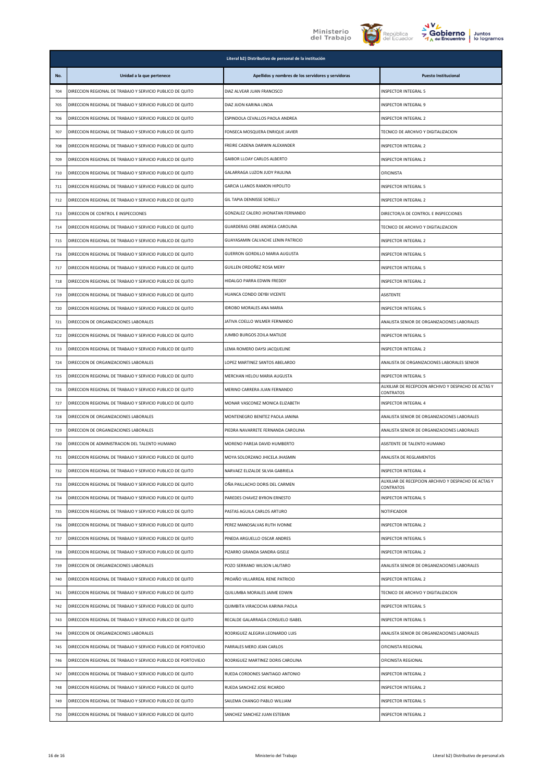





| O   | <b>Juntos</b> |
|-----|---------------|
| :ro | lo logramos   |

|     | Literal b2) Distributivo de personal de la institución         |                                                    |                                                                  |  |
|-----|----------------------------------------------------------------|----------------------------------------------------|------------------------------------------------------------------|--|
| No. | Unidad a la que pertenece                                      | Apellidos y nombres de los servidores y servidoras | <b>Puesto Institucional</b>                                      |  |
| 704 | DIRECCION REGIONAL DE TRABAJO Y SERVICIO PUBLICO DE QUITO      | DIAZ ALVEAR JUAN FRANCISCO                         | INSPECTOR INTEGRAL 5                                             |  |
| 705 | DIRECCION REGIONAL DE TRABAJO Y SERVICIO PUBLICO DE QUITO      | DIAZ JIJON KARINA LINDA                            | INSPECTOR INTEGRAL 9                                             |  |
| 706 | DIRECCION REGIONAL DE TRABAJO Y SERVICIO PUBLICO DE QUITO      | ESPINDOLA CEVALLOS PAOLA ANDREA                    | INSPECTOR INTEGRAL 2                                             |  |
| 707 | DIRECCION REGIONAL DE TRABAJO Y SERVICIO PUBLICO DE QUITO      | FONSECA MOSQUERA ENRIQUE JAVIER                    | TECNICO DE ARCHIVO Y DIGITALIZACION                              |  |
| 708 | DIRECCION REGIONAL DE TRABAJO Y SERVICIO PUBLICO DE QUITO      | FREIRE CADENA DARWIN ALEXANDER                     | <b>INSPECTOR INTEGRAL 2</b>                                      |  |
| 709 | DIRECCION REGIONAL DE TRABAJO Y SERVICIO PUBLICO DE QUITO      | GAIBOR LLOAY CARLOS ALBERTO                        | INSPECTOR INTEGRAL 2                                             |  |
| 710 | DIRECCION REGIONAL DE TRABAJO Y SERVICIO PUBLICO DE QUITO      | GALARRAGA LUZON JUDY PAULINA                       | OFICINISTA                                                       |  |
| 711 | DIRECCION REGIONAL DE TRABAJO Y SERVICIO PUBLICO DE QUITO      | GARCIA LLANOS RAMON HIPOLITO                       | INSPECTOR INTEGRAL 5                                             |  |
| 712 | DIRECCION REGIONAL DE TRABAJO Y SERVICIO PUBLICO DE QUITO      | GIL TAPIA DENNISSE SORELLY                         | INSPECTOR INTEGRAL 2                                             |  |
| 713 | DIRECCION DE CONTROL E INSPECCIONES                            | GONZALEZ CALERO JHONATAN FERNANDO                  | DIRECTOR/A DE CONTROL E INSPECCIONES                             |  |
| 714 | DIRECCION REGIONAL DE TRABAJO Y SERVICIO PUBLICO DE QUITO      | GUARDERAS ORBE ANDREA CAROLINA                     | TECNICO DE ARCHIVO Y DIGITALIZACION                              |  |
| 715 | DIRECCION REGIONAL DE TRABAJO Y SERVICIO PUBLICO DE QUITO      | GUAYASAMIN CALVACHE LENIN PATRICIO                 | <b>INSPECTOR INTEGRAL 2</b>                                      |  |
| 716 | DIRECCION REGIONAL DE TRABAJO Y SERVICIO PUBLICO DE QUITO      | GUERRON GORDILLO MARIA AUGUSTA                     | INSPECTOR INTEGRAL 5                                             |  |
| 717 | DIRECCION REGIONAL DE TRABAJO Y SERVICIO PUBLICO DE QUITO      | GUILLEN ORDOÑEZ ROSA MERY                          | <b>INSPECTOR INTEGRAL 5</b>                                      |  |
| 718 | DIRECCION REGIONAL DE TRABAJO Y SERVICIO PUBLICO DE QUITO      | HIDALGO PARRA EDWIN FREDDY                         | INSPECTOR INTEGRAL 2                                             |  |
| 719 | DIRECCION REGIONAL DE TRABAJO Y SERVICIO PUBLICO DE QUITO      | HUANCA CONDO DEYBI VICENTE                         | <b>ASISTENTE</b>                                                 |  |
| 720 | DIRECCION REGIONAL DE TRABAJO Y SERVICIO PUBLICO DE QUITO      | <b>IDROBO MORALES ANA MARIA</b>                    | INSPECTOR INTEGRAL 5                                             |  |
| 721 | DIRECCION DE ORGANIZACIONES LABORALES                          | JATIVA COELLO WILMER FERNANDO                      | ANALISTA SENIOR DE ORGANIZACIONES LABORALES                      |  |
| 722 | DIRECCION REGIONAL DE TRABAJO Y SERVICIO PUBLICO DE QUITO      | JUMBO BURGOS ZOILA MATILDE                         | INSPECTOR INTEGRAL 5                                             |  |
| 723 | DIRECCION REGIONAL DE TRABAJO Y SERVICIO PUBLICO DE QUITO      | LEMA ROMERO DAYSI JACQUELINE                       | INSPECTOR INTEGRAL 2                                             |  |
| 724 | DIRECCION DE ORGANIZACIONES LABORALES                          | LOPEZ MARTINEZ SANTOS ABELARDO                     | ANALISTA DE ORGANIZACIONES LABORALES SENIOR                      |  |
| 725 | DIRECCION REGIONAL DE TRABAJO Y SERVICIO PUBLICO DE QUITO      | MERCHAN HELOU MARIA AUGUSTA                        | <b>INSPECTOR INTEGRAL 5</b>                                      |  |
| 726 | DIRECCION REGIONAL DE TRABAJO Y SERVICIO PUBLICO DE QUITO      | MERINO CARRERA JUAN FERNANDO                       | AUXILIAR DE RECEPCION ARCHIVO Y DESPACHO DE ACTAS Y<br>CONTRATOS |  |
| 727 | DIRECCION REGIONAL DE TRABAJO Y SERVICIO PUBLICO DE QUITO      | MONAR VASCONEZ MONICA ELIZABETH                    | INSPECTOR INTEGRAL 4                                             |  |
| 728 | DIRECCION DE ORGANIZACIONES LABORALES                          | MONTENEGRO BENITEZ PAOLA JANINA                    | ANALISTA SENIOR DE ORGANIZACIONES LABORALES                      |  |
| 729 | DIRECCION DE ORGANIZACIONES LABORALES                          | PIEDRA NAVARRETE FERNANDA CAROLINA                 | ANALISTA SENIOR DE ORGANIZACIONES LABORALES                      |  |
| 730 | DIRECCION DE ADMINISTRACION DEL TALENTO HUMANO                 | MORENO PAREJA DAVID HUMBERTO                       | ASISTENTE DE TALENTO HUMANO                                      |  |
| 731 | DIRECCION REGIONAL DE TRABAJO Y SERVICIO PUBLICO DE QUITO      | MOYA SOLORZANO JHICELA JHASMIN                     | ANALISTA DE REGLAMENTOS                                          |  |
| 732 | DIRECCION REGIONAL DE TRABAJO Y SERVICIO PUBLICO DE QUITO      | NARVAEZ ELIZALDE SILVIA GABRIELA                   | INSPECTOR INTEGRAL 4                                             |  |
| 733 | DIRECCION REGIONAL DE TRABAJO Y SERVICIO PUBLICO DE QUITO      | OÑA PAILLACHO DORIS DEL CARMEN                     | AUXILIAR DE RECEPCION ARCHIVO Y DESPACHO DE ACTAS Y<br>CONTRATOS |  |
| 734 | DIRECCION REGIONAL DE TRABAJO Y SERVICIO PUBLICO DE QUITO      | PAREDES CHAVEZ BYRON ERNESTO                       | <b>INSPECTOR INTEGRAL 5</b>                                      |  |
| 735 | DIRECCION REGIONAL DE TRABAJO Y SERVICIO PUBLICO DE QUITO      | PASTAS AGUILA CARLOS ARTURO                        | NOTIFICADOR                                                      |  |
| 736 | DIRECCION REGIONAL DE TRABAJO Y SERVICIO PUBLICO DE QUITO      | PEREZ MANOSALVAS RUTH IVONNE                       | INSPECTOR INTEGRAL 2                                             |  |
| 737 | DIRECCION REGIONAL DE TRABAJO Y SERVICIO PUBLICO DE QUITO      | PINEDA ARGUELLO OSCAR ANDRES                       | INSPECTOR INTEGRAL 5                                             |  |
| 738 | DIRECCION REGIONAL DE TRABAJO Y SERVICIO PUBLICO DE QUITO      | PIZARRO GRANDA SANDRA GISELE                       | INSPECTOR INTEGRAL 2                                             |  |
| 739 | DIRECCION DE ORGANIZACIONES LABORALES                          | POZO SERRANO WILSON LAUTARO                        | ANALISTA SENIOR DE ORGANIZACIONES LABORALES                      |  |
| 740 | DIRECCION REGIONAL DE TRABAJO Y SERVICIO PUBLICO DE QUITO      | PROAÑO VILLARREAL RENE PATRICIO                    | INSPECTOR INTEGRAL 2                                             |  |
| 741 | DIRECCION REGIONAL DE TRABAJO Y SERVICIO PUBLICO DE QUITO      | QUILUMBA MORALES JAIME EDWIN                       | TECNICO DE ARCHIVO Y DIGITALIZACION                              |  |
| 742 | DIRECCION REGIONAL DE TRABAJO Y SERVICIO PUBLICO DE QUITO      | QUIMBITA VIRACOCHA KARINA PAOLA                    | INSPECTOR INTEGRAL 5                                             |  |
| 743 | DIRECCION REGIONAL DE TRABAJO Y SERVICIO PUBLICO DE QUITO      | RECALDE GALARRAGA CONSUELO ISABEL                  | INSPECTOR INTEGRAL 5                                             |  |
| 744 | DIRECCION DE ORGANIZACIONES LABORALES                          | RODRIGUEZ ALEGRIA LEONARDO LUIS                    | ANALISTA SENIOR DE ORGANIZACIONES LABORALES                      |  |
| 745 | DIRECCION REGIONAL DE TRABAJO Y SERVICIO PUBLICO DE PORTOVIEJO | PARRALES MERO JEAN CARLOS                          | OFICINISTA REGIONAL                                              |  |
| 746 | DIRECCION REGIONAL DE TRABAJO Y SERVICIO PUBLICO DE PORTOVIEJO | RODRIGUEZ MARTINEZ DORIS CAROLINA                  | OFICINISTA REGIONAL                                              |  |
| 747 | DIRECCION REGIONAL DE TRABAJO Y SERVICIO PUBLICO DE QUITO      | RUEDA CORDONES SANTIAGO ANTONIO                    | INSPECTOR INTEGRAL 2                                             |  |
| 748 | DIRECCION REGIONAL DE TRABAJO Y SERVICIO PUBLICO DE QUITO      | RUEDA SANCHEZ JOSE RICARDO                         | INSPECTOR INTEGRAL 2                                             |  |
| 749 | DIRECCION REGIONAL DE TRABAJO Y SERVICIO PUBLICO DE QUITO      | SAILEMA CHANGO PABLO WILLIAM                       | INSPECTOR INTEGRAL 5                                             |  |
| 750 | DIRECCION REGIONAL DE TRABAJO Y SERVICIO PUBLICO DE QUITO      | SANCHEZ SANCHEZ JUAN ESTEBAN                       | INSPECTOR INTEGRAL 2                                             |  |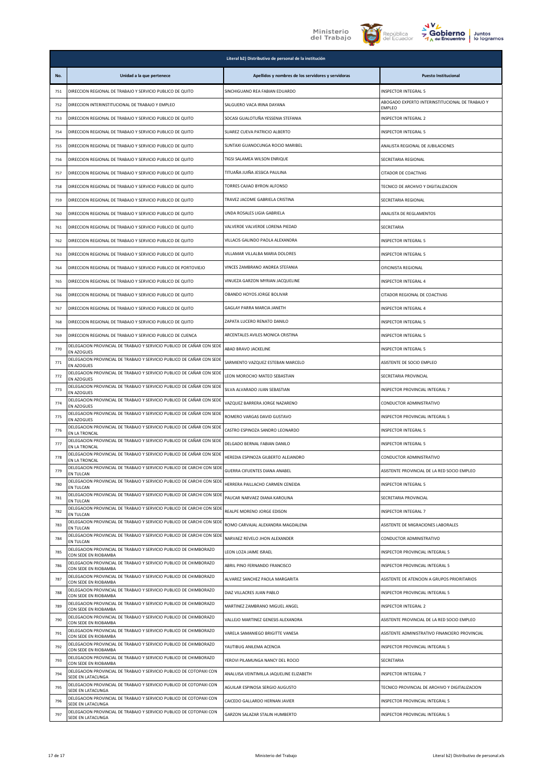





| <b>Juntos</b> |
|---------------|
| lo logramos   |

|     |                                                                                           | Literal b2) Distributivo de personal de la institución |                                                                  |
|-----|-------------------------------------------------------------------------------------------|--------------------------------------------------------|------------------------------------------------------------------|
| No. | Unidad a la que pertenece                                                                 | Apellidos y nombres de los servidores y servidoras     | <b>Puesto Institucional</b>                                      |
| 751 | DIRECCION REGIONAL DE TRABAJO Y SERVICIO PUBLICO DE QUITO                                 | SINCHIGUANO REA FABIAN EDUARDO                         | INSPECTOR INTEGRAL 5                                             |
| 752 | DIRECCION INTERINSTITUCIONAL DE TRABAJO Y EMPLEO                                          | SALGUERO VACA IRINA DAYANA                             | ABOGADO EXPERTO INTERINSTITUCIONAL DE TRABAJO Y<br><b>EMPLEO</b> |
| 753 | DIRECCION REGIONAL DE TRABAJO Y SERVICIO PUBLICO DE QUITO                                 | SOCASI GUALOTUÑA YESSENIA STEFANIA                     | INSPECTOR INTEGRAL 2                                             |
| 754 | DIRECCION REGIONAL DE TRABAJO Y SERVICIO PUBLICO DE QUITO                                 | SUAREZ CUEVA PATRICIO ALBERTO                          | INSPECTOR INTEGRAL 5                                             |
| 755 | DIRECCION REGIONAL DE TRABAJO Y SERVICIO PUBLICO DE QUITO                                 | SUNTAXI GUANOCUNGA ROCIO MARIBEL                       | ANALISTA REGIONAL DE JUBILACIONES                                |
| 756 | DIRECCION REGIONAL DE TRABAJO Y SERVICIO PUBLICO DE QUITO                                 | TIGSI SALAMEA WILSON ENRIQUE                           | SECRETARIA REGIONAL                                              |
| 757 | DIRECCION REGIONAL DE TRABAJO Y SERVICIO PUBLICO DE QUITO                                 | TITUAÑA JUIÑA JESSICA PAULINA                          | CITADOR DE COACTIVAS                                             |
| 758 | DIRECCION REGIONAL DE TRABAJO Y SERVICIO PUBLICO DE QUITO                                 | TORRES CAJIAO BYRON ALFONSO                            | TECNICO DE ARCHIVO Y DIGITALIZACION                              |
| 759 | DIRECCION REGIONAL DE TRABAJO Y SERVICIO PUBLICO DE QUITO                                 | TRAVEZ JACOME GABRIELA CRISTINA                        | SECRETARIA REGIONAL                                              |
| 760 | DIRECCION REGIONAL DE TRABAJO Y SERVICIO PUBLICO DE QUITO                                 | UNDA ROSALES LIGIA GABRIELA                            | ANALISTA DE REGLAMENTOS                                          |
| 761 | DIRECCION REGIONAL DE TRABAJO Y SERVICIO PUBLICO DE QUITO                                 | VALVERDE VALVERDE LORENA PIEDAD                        | SECRETARIA                                                       |
| 762 | DIRECCION REGIONAL DE TRABAJO Y SERVICIO PUBLICO DE QUITO                                 | VILLACIS GALINDO PAOLA ALEXANDRA                       | <b>INSPECTOR INTEGRAL 5</b>                                      |
| 763 | DIRECCION REGIONAL DE TRABAJO Y SERVICIO PUBLICO DE QUITO                                 | VILLAMAR VILLALBA MARIA DOLORES                        | INSPECTOR INTEGRAL 5                                             |
| 764 | DIRECCION REGIONAL DE TRABAJO Y SERVICIO PUBLICO DE PORTOVIEJO                            | VINCES ZAMBRANO ANDREA STEFANIA                        | OFICINISTA REGIONAL                                              |
| 765 | DIRECCION REGIONAL DE TRABAJO Y SERVICIO PUBLICO DE QUITO                                 | VINUEZA GARZON MYRIAN JACQUELINE                       | INSPECTOR INTEGRAL 4                                             |
| 766 | DIRECCION REGIONAL DE TRABAJO Y SERVICIO PUBLICO DE QUITO                                 | OBANDO HOYOS JORGE BOLIVAR                             | CITADOR REGIONAL DE COACTIVAS                                    |
| 767 | DIRECCION REGIONAL DE TRABAJO Y SERVICIO PUBLICO DE QUITO                                 | GAGLAY PARRA MARCIA JANETH                             | INSPECTOR INTEGRAL 4                                             |
| 768 | DIRECCION REGIONAL DE TRABAJO Y SERVICIO PUBLICO DE QUITO                                 | ZAPATA LUCERO RENATO DANILO                            | INSPECTOR INTEGRAL 5                                             |
| 769 | DIRECCION REGIONAL DE TRABAJO Y SERVICIO PUBLICO DE CUENCA                                | ARCENTALES AVILES MONICA CRISTINA                      | INSPECTOR INTEGRAL 5                                             |
| 770 | DELEGACION PROVINCIAL DE TRABAJO Y SERVICIO PUBLICO DE CAÑAR CON SEDE<br>EN AZOGUES       | ABAD BRAVO JACKELINE                                   | INSPECTOR INTEGRAL 5                                             |
| 771 | DELEGACION PROVINCIAL DE TRABAJO Y SERVICIO PUBLICO DE CAÑAR CON SEDE<br>EN AZOGUES       | SARMIENTO VAZQUEZ ESTEBAN MARCELO                      | ASISTENTE DE SOCIO EMPLEO                                        |
| 772 | DELEGACION PROVINCIAL DE TRABAJO Y SERVICIO PUBLICO DE CAÑAR CON SEDE<br>EN AZOGUES       | LEON MOROCHO MATEO SEBASTIAN                           | SECRETARIA PROVINCIAL                                            |
| 773 | DELEGACION PROVINCIAL DE TRABAJO Y SERVICIO PUBLICO DE CAÑAR CON SEDE<br>EN AZOGUES       | SILVA ALVARADO JUAN SEBASTIAN                          | INSPECTOR PROVINCIAL INTEGRAL 7                                  |
| 774 | DELEGACION PROVINCIAL DE TRABAJO Y SERVICIO PUBLICO DE CAÑAR CON SEDE<br>EN AZOGUES       | VAZQUEZ BARRERA JORGE NAZARENO                         | CONDUCTOR ADMINISTRATIVO                                         |
| 775 | DELEGACION PROVINCIAL DE TRABAJO Y SERVICIO PUBLICO DE CAÑAR CON SEDE<br>EN AZOGUES       | ROMERO VARGAS DAVID GUSTAVO                            | INSPECTOR PROVINCIAL INTEGRAL 5                                  |
| 776 | DELEGACION PROVINCIAL DE TRABAJO Y SERVICIO PUBLICO DE CAÑAR CON SEDE<br>EN LA TRONCAL    | CASTRO ESPINOZA SANDRO LEONARDO                        | <b>INSPECTOR INTEGRAL 5</b>                                      |
| 777 | DELEGACION PROVINCIAL DE TRABAJO Y SERVICIO PUBLICO DE CAÑAR CON SEDE<br>EN LA TRONCAL    | DELGADO BERNAL FABIAN DANILO                           | INSPECTOR INTEGRAL 5                                             |
| 778 | DELEGACION PROVINCIAL DE TRABAJO Y SERVICIO PUBLICO DE CAÑAR CON SEDE<br>EN LA TRONCAL    | HEREDIA ESPINOZA GILBERTO ALEJANDRO                    | CONDUCTOR ADMINISTRATIVO                                         |
| 779 | DELEGACION PROVINCIAL DE TRABAJO Y SERVICIO PUBLICO DE CARCHI CON SED<br>EN TULCAN        | GUERRA CIFUENTES DIANA ANABEL                          | ASISTENTE PROVINCIAL DE LA RED SOCIO EMPLEO                      |
| 780 | DELEGACION PROVINCIAL DE TRABAJO Y SERVICIO PUBLICO DE CARCHI CON SEDE<br>EN TULCAN       | HERRERA PAILLACHO CARMEN CENEIDA                       | <b>INSPECTOR INTEGRAL 5</b>                                      |
| 781 | DELEGACION PROVINCIAL DE TRABAJO Y SERVICIO PUBLICO DE CARCHI CON SEDE<br>EN TULCAN       | PAUCAR NARVAEZ DIANA KAROLINA                          | SECRETARIA PROVINCIAL                                            |
| 782 | DELEGACION PROVINCIAL DE TRABAJO Y SERVICIO PUBLICO DE CARCHI CON SEDE<br>EN TULCAN       | REALPE MORENO JORGE EDISON                             | INSPECTOR INTEGRAL 7                                             |
| 783 | DELEGACION PROVINCIAL DE TRABAJO Y SERVICIO PUBLICO DE CARCHI CON SEDE<br>EN TULCAN       | ROMO CARVAJAL ALEXANDRA MAGDALENA                      | ASISTENTE DE MIGRACIONES LABORALES                               |
| 784 | DELEGACION PROVINCIAL DE TRABAJO Y SERVICIO PUBLICO DE CARCHI CON SEDE<br>EN TULCAN       | NARVAEZ REVELO JHON ALEXANDER                          | CONDUCTOR ADMINISTRATIVO                                         |
| 785 | DELEGACION PROVINCIAL DE TRABAJO Y SERVICIO PUBLICO DE CHIMBORAZO<br>CON SEDE EN RIOBAMBA | LEON LOZA JAIME ISRAEL                                 | INSPECTOR PROVINCIAL INTEGRAL 5                                  |
| 786 | DELEGACION PROVINCIAL DE TRABAJO Y SERVICIO PUBLICO DE CHIMBORAZO<br>CON SEDE EN RIOBAMBA | ABRIL PINO FERNANDO FRANCISCO                          | INSPECTOR PROVINCIAL INTEGRAL 5                                  |
| 787 | DELEGACION PROVINCIAL DE TRABAJO Y SERVICIO PUBLICO DE CHIMBORAZO<br>CON SEDE EN RIOBAMBA | ALVAREZ SANCHEZ PAOLA MARGARITA                        | ASISTENTE DE ATENCION A GRUPOS PRIORITARIOS                      |
| 788 | DELEGACION PROVINCIAL DE TRABAJO Y SERVICIO PUBLICO DE CHIMBORAZO<br>CON SEDE EN RIOBAMBA | DIAZ VILLACRES JUAN PABLO                              | INSPECTOR PROVINCIAL INTEGRAL 5                                  |
| 789 | DELEGACION PROVINCIAL DE TRABAJO Y SERVICIO PUBLICO DE CHIMBORAZO<br>CON SEDE EN RIOBAMBA | MARTINEZ ZAMBRANO MIGUEL ANGEL                         | INSPECTOR INTEGRAL 2                                             |
| 790 | DELEGACION PROVINCIAL DE TRABAJO Y SERVICIO PUBLICO DE CHIMBORAZO<br>CON SEDE EN RIOBAMBA | VALLEJO MARTINEZ GENESIS ALEXANDRA                     | ASISTENTE PROVINCIAL DE LA RED SOCIO EMPLEO                      |
| 791 | DELEGACION PROVINCIAL DE TRABAJO Y SERVICIO PUBLICO DE CHIMBORAZO<br>CON SEDE EN RIOBAMBA | VARELA SAMANIEGO BRIGITTE VANESA                       | ASISTENTE ADMINISTRATIVO FINANCIERO PROVINCIAL                   |
| 792 | DELEGACION PROVINCIAL DE TRABAJO Y SERVICIO PUBLICO DE CHIMBORAZO<br>CON SEDE EN RIOBAMBA | YAUTIBUG ANILEMA ACENCIA                               | INSPECTOR PROVINCIAL INTEGRAL 5                                  |
| 793 | DELEGACION PROVINCIAL DE TRABAJO Y SERVICIO PUBLICO DE CHIMBORAZO<br>CON SEDE EN RIOBAMBA | YEROVI PILAMUNGA NANCY DEL ROCIO                       | SECRETARIA                                                       |
| 794 | DELEGACION PROVINCIAL DE TRABAJO Y SERVICIO PUBLICO DE COTOPAXI CON<br>SEDE EN LATACUNGA  | ANALUISA VEINTIMILLA JAQUELINE ELIZABETH               | INSPECTOR INTEGRAL 7                                             |
| 795 | DELEGACION PROVINCIAL DE TRABAJO Y SERVICIO PUBLICO DE COTOPAXI CON<br>SEDE EN LATACUNGA  | AGUILAR ESPINOSA SERGIO AUGUSTO                        | TECNICO PROVINCIAL DE ARCHIVO Y DIGITALIZACION                   |
| 796 | DELEGACION PROVINCIAL DE TRABAJO Y SERVICIO PUBLICO DE COTOPAXI CON<br>SEDE EN LATACUNGA  | CAICEDO GALLARDO HERNAN JAVIER                         | INSPECTOR PROVINCIAL INTEGRAL 5                                  |
| 797 | DELEGACION PROVINCIAL DE TRABAJO Y SERVICIO PUBLICO DE COTOPAXI CON<br>SEDE EN LATACUNGA  | GARZON SALAZAR STALIN HUMBERTO                         | INSPECTOR PROVINCIAL INTEGRAL 5                                  |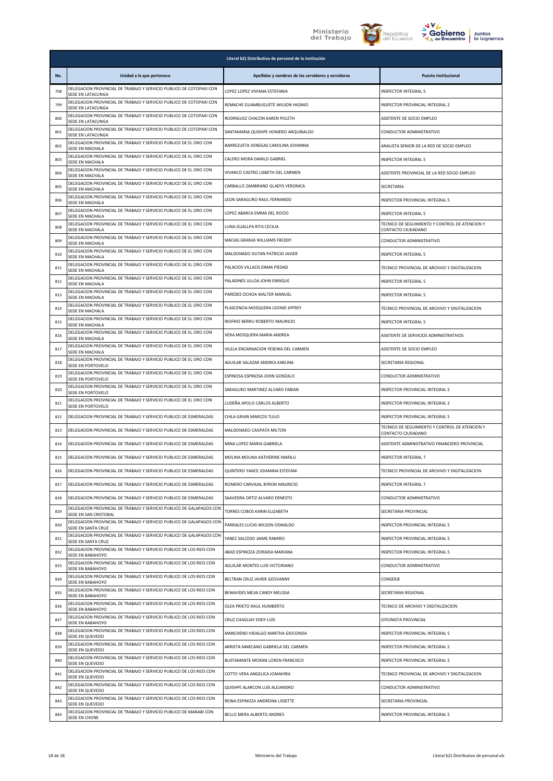



| <b>Juntos</b> |
|---------------|
| lo logramos   |

|     |                                                                                               | Literal b2) Distributivo de personal de la institución |                                                                      |
|-----|-----------------------------------------------------------------------------------------------|--------------------------------------------------------|----------------------------------------------------------------------|
| No. | Unidad a la que pertenece                                                                     | Apellidos y nombres de los servidores y servidoras     | <b>Puesto Institucional</b>                                          |
| 798 | DELEGACION PROVINCIAL DE TRABAJO Y SERVICIO PUBLICO DE COTOPAXI CON<br>SEDE EN LATACUNGA      | LOPEZ LOPEZ VIVIANA ESTEFANIA                          | INSPECTOR INTEGRAL 5                                                 |
| 799 | DELEGACION PROVINCIAL DE TRABAJO Y SERVICIO PUBLICO DE COTOPAXI CON<br>SEDE EN LATACUNGA      | REMACHE GUAMBUGUETE WILSON HIGINIO                     | INSPECTOR PROVINCIAL INTEGRAL 2                                      |
| 800 | DELEGACION PROVINCIAL DE TRABAJO Y SERVICIO PUBLICO DE COTOPAXI CON<br>SEDE EN LATACUNGA      | RODRIGUEZ CHACON KAREN POLETH                          | ASISTENTE DE SOCIO EMPLEO                                            |
| 801 | DELEGACION PROVINCIAL DE TRABAJO Y SERVICIO PUBLICO DE COTOPAXI CON<br>SEDE EN LATACUNGA      | SANTAMARIA QUISHPE HOMERO ARQUIBALDO                   | CONDUCTOR ADMINISTRATIVO                                             |
| 802 | DELEGACION PROVINCIAL DE TRABAJO Y SERVICIO PUBLICO DE EL ORO CON<br>SEDE EN MACHALA          | BARREZUETA VENEGAS CAROLINA JOHANNA                    | ANALISTA SENIOR DE LA RED DE SOCIO EMPLEO                            |
| 803 | DELEGACION PROVINCIAL DE TRABAJO Y SERVICIO PUBLICO DE EL ORO CON<br>SEDE EN MACHALA          | CALERO MORA DANILO GABRIEL                             | INSPECTOR INTEGRAL 5                                                 |
| 804 | DELEGACION PROVINCIAL DE TRABAJO Y SERVICIO PUBLICO DE EL ORO CON<br>SEDE EN MACHALA          | VIVANCO CASTRO LISBETH DEL CARMEN                      | ASISTENTE PROVINCIAL DE LA RED SOCIO EMPLEO                          |
| 805 | DELEGACION PROVINCIAL DE TRABAJO Y SERVICIO PUBLICO DE EL ORO CON<br>SEDE EN MACHALA          | CARBALLO ZAMBRANO GLADYS VERONICA                      | <b>SECRETARIA</b>                                                    |
| 806 | DELEGACION PROVINCIAL DE TRABAJO Y SERVICIO PUBLICO DE EL ORO CON<br>SEDE EN MACHALA          | LEON SARAGURO RAUL FERNANDO                            | INSPECTOR PROVINCIAL INTEGRAL 5                                      |
| 807 | DELEGACION PROVINCIAL DE TRABAJO Y SERVICIO PUBLICO DE EL ORO CON<br>SEDE EN MACHALA          | LOPEZ ABARCA EMMA DEL ROCIO                            | INSPECTOR INTEGRAL 5                                                 |
| 808 | DELEGACION PROVINCIAL DE TRABAJO Y SERVICIO PUBLICO DE EL ORO CON<br>SEDE EN MACHALA          | LUNA GUALLPA RITA CECILIA                              | TECNICO DE SEGUIMIENTO Y CONTROL DE ATENCION Y<br>CONTACTO CIUDADANO |
| 809 | DELEGACION PROVINCIAL DE TRABAJO Y SERVICIO PUBLICO DE EL ORO CON<br>SEDE EN MACHALA          | MACIAS GRANJA WILLIAMS FREDDY                          | CONDUCTOR ADMINISTRATIVO                                             |
| 810 | DELEGACION PROVINCIAL DE TRABAJO Y SERVICIO PUBLICO DE EL ORO CON<br>SEDE EN MACHALA          | MALDONADO DUTAN PATRICIO JAVIER                        | INSPECTOR INTEGRAL 5                                                 |
| 811 | DELEGACION PROVINCIAL DE TRABAJO Y SERVICIO PUBLICO DE EL ORO CON<br>SEDE EN MACHALA          | PALACIOS VILLACIS ENMA PIEDAD                          | TECNICO PROVINCIAL DE ARCHIVO Y DIGITALIZACION                       |
| 812 | DELEGACION PROVINCIAL DE TRABAJO Y SERVICIO PUBLICO DE EL ORO CON<br>SEDE EN MACHALA          | PALADINES ULLOA JOHN ENRIQUE                           | INSPECTOR INTEGRAL 5                                                 |
| 813 | DELEGACION PROVINCIAL DE TRABAJO Y SERVICIO PUBLICO DE EL ORO CON<br>SEDE EN MACHALA          | PAREDES OCHOA WALTER MANUEL                            | INSPECTOR INTEGRAL 5                                                 |
| 814 | DELEGACION PROVINCIAL DE TRABAJO Y SERVICIO PUBLICO DE EL ORO CON<br>SEDE EN MACHALA          | PLASCENCIA MOSQUERA LEONID JIFFREY                     | TECNICO PROVINCIAL DE ARCHIVO Y DIGITALIZACION                       |
| 815 | DELEGACION PROVINCIAL DE TRABAJO Y SERVICIO PUBLICO DE EL ORO CON<br>SEDE EN MACHALA          | RIOFRIO BERRU ROBERTO MAURICIO                         | INSPECTOR INTEGRAL 5                                                 |
| 816 | DELEGACION PROVINCIAL DE TRABAJO Y SERVICIO PUBLICO DE EL ORO CON<br>SEDE EN MACHALA          | VERA MOSQUERA MARIA ANDREA                             | ASISTENTE DE SERVICIOS ADMINISTRATIVOS                               |
| 817 | DELEGACION PROVINCIAL DE TRABAJO Y SERVICIO PUBLICO DE EL ORO CON<br>SEDE EN MACHALA          | VILELA ENCARNACION YESENIA DEL CARMEN                  | ASISTENTE DE SOCIO EMPLEO                                            |
| 818 | DELEGACION PROVINCIAL DE TRABAJO Y SERVICIO PUBLICO DE EL ORO CON<br>SEDE EN PORTOVELO        | AGUILAR SALAZAR ANDREA KARLINA                         | SECRETARIA REGIONAL                                                  |
| 819 | DELEGACION PROVINCIAL DE TRABAJO Y SERVICIO PUBLICO DE EL ORO CON<br>SEDE EN PORTOVELO        | ESPINOSA ESPINOSA JOHN GONZALO                         | CONDUCTOR ADMINISTRATIVO                                             |
| 820 | DELEGACION PROVINCIAL DE TRABAJO Y SERVICIO PUBLICO DE EL ORO CON<br>SEDE EN PORTOVELO        | SARAGURO MARTINEZ ALVARO FABIAN                        | INSPECTOR PROVINCIAL INTEGRAL 5                                      |
| 821 | DELEGACION PROVINCIAL DE TRABAJO Y SERVICIO PUBLICO DE EL ORO CON<br>SEDE EN PORTOVELO        | LUDEÑA APOLO CARLOS ALBERTO                            | INSPECTOR PROVINCIAL INTEGRAL 2                                      |
| 822 | DELEGACION PROVINCIAL DE TRABAJO Y SERVICIO PUBLICO DE ESMERALDAS                             | CHILA GRAIN MARCOS TULIO                               | INSPECTOR PROVINCIAL INTEGRAL 5                                      |
| 823 | DELEGACION PROVINCIAL DE TRABAJO Y SERVICIO PUBLICO DE ESMERALDAS                             | MALDONADO CAGPATA MILTON                               | TECNICO DE SEGUIMIENTO Y CONTROL DE ATENCION Y<br>CONTACTO CIUDADANO |
| 824 | DELEGACION PROVINCIAL DE TRABAJO Y SERVICIO PUBLICO DE ESMERALDAS                             | MINA I OPEZ MARIA GABRIELA                             | ASISTENTE ADMINISTRATIVO FINANCIERO PROVINCIAL                       |
| 825 | DELEGACION PROVINCIAL DE TRABAJO Y SERVICIO PUBLICO DE ESMERALDAS                             | MOLINA MOLINA KATHERINE MARILU                         | <b>INSPECTOR INTEGRAL 7</b>                                          |
| 826 | DELEGACION PROVINCIAL DE TRABAJO Y SERVICIO PUBLICO DE ESMERALDAS                             | QUINTERO YANCE JOHANNA ESTEFANI                        | TECNICO PROVINCIAL DE ARCHIVO Y DIGITALIZACION                       |
| 827 | DELEGACION PROVINCIAL DE TRABAJO Y SERVICIO PUBLICO DE ESMERALDAS                             | ROMERO CARVAJAL BYRON MAURICIO                         | INSPECTOR INTEGRAL 7                                                 |
| 828 | DELEGACION PROVINCIAL DE TRABAJO Y SERVICIO PUBLICO DE ESMERALDAS                             | SAAVEDRA ORTIZ ALVARO ERNESTO                          | CONDUCTOR ADMINISTRATIVO                                             |
| 829 | DELEGACION PROVINCIAL DE TRABAJO Y SERVICIO PUBLICO DE GALAPAGOS CON<br>SEDE EN SAN CRISTOBAL | TORRES COBOS KARIN ELIZABETH                           | SECRETARIA PROVINCIAL                                                |
| 830 | DELEGACION PROVINCIAL DE TRABAJO Y SERVICIO PUBLICO DE GALAPAGOS CON<br>SEDE EN SANTA CRUZ    | PARRALES LUCAS WILSON OSWALDO                          | INSPECTOR PROVINCIAL INTEGRAL 5                                      |
| 831 | DELEGACION PROVINCIAL DE TRABAJO Y SERVICIO PUBLICO DE GALAPAGOS CON<br>SEDE EN SANTA CRUZ    | YANEZ SALCEDO JAIME RAMIRO                             | INSPECTOR PROVINCIAL INTEGRAL 5                                      |
| 832 | DELEGACION PROVINCIAL DE TRABAJO Y SERVICIO PUBLICO DE LOS RIOS CON<br>SEDE EN BABAHOYO       | ABAD ESPINOZA ZORAIDA MARIANA                          | INSPECTOR PROVINCIAL INTEGRAL 5                                      |
| 833 | DELEGACION PROVINCIAL DE TRABAJO Y SERVICIO PUBLICO DE LOS RIOS CON<br>SEDE EN BABAHOYO       | AGUILAR MONTES LUIS VICTORIANO                         | CONDUCTOR ADMINISTRATIVO                                             |
| 834 | DELEGACION PROVINCIAL DE TRABAJO Y SERVICIO PUBLICO DE LOS RIOS CON<br>SEDE EN BABAHOYO       | BELTRAN CRUZ JAVIER GEOVANNY                           | CONSERJE                                                             |
| 835 | DELEGACION PROVINCIAL DE TRABAJO Y SERVICIO PUBLICO DE LOS RIOS CON<br>SEDE EN BABAHOYO       | BENAVIDES MEJIA CANDY MELISSA                          | SECRETARIA REGIONAL                                                  |
| 836 | DELEGACION PROVINCIAL DE TRABAJO Y SERVICIO PUBLICO DE LOS RIOS CON<br>SEDE EN BABAHOYO       | OLEA PRIETO RAUL HUMBERTO                              | TECNICO DE ARCHIVO Y DIGITALIZACION                                  |
| 837 | DELEGACION PROVINCIAL DE TRABAJO Y SERVICIO PUBLICO DE LOS RIOS CON<br>SEDE EN BABAHOYO       | CRUZ CHAGUAY EDDY LUIS                                 | OFICINISTA PROVINCIAL                                                |
| 838 | DELEGACION PROVINCIAL DE TRABAJO Y SERVICIO PUBLICO DE LOS RIOS CON<br>SEDE EN QUEVEDO        | MANCHENO HIDALGO MARTHA GIOCONDA                       | INSPECTOR PROVINCIAL INTEGRAL 5                                      |
| 839 | DELEGACION PROVINCIAL DE TRABAJO Y SERVICIO PUBLICO DE LOS RIOS CON<br>SEDE EN QUEVEDO        | ARRIETA MARCANO GABRIELA DEL CARMEN                    | INSPECTOR PROVINCIAL INTEGRAL 5                                      |
| 840 | DELEGACION PROVINCIAL DE TRABAJO Y SERVICIO PUBLICO DE LOS RIOS CON<br>SEDE EN QUEVEDO        | BUSTAMANTE MORAN LOREN FRANCISCO                       | INSPECTOR PROVINCIAL INTEGRAL 5                                      |
| 841 | DELEGACION PROVINCIAL DE TRABAJO Y SERVICIO PUBLICO DE LOS RIOS CON<br>SEDE EN QUEVEDO        | COTTO VERA ANGELICA JOMAHIRA                           | TECNICO PROVINCIAL DE ARCHIVO Y DIGITALIZACION                       |
| 842 | DELEGACION PROVINCIAL DE TRABAJO Y SERVICIO PUBLICO DE LOS RIOS CON<br>SEDE EN QUEVEDO        | QUISHPE ALARCON LUIS ALEJANDRO                         | CONDUCTOR ADMINISTRATIVO                                             |
| 843 | DELEGACION PROVINCIAL DE TRABAJO Y SERVICIO PUBLICO DE LOS RIOS CON<br>SEDE EN QUEVEDO        | REINA ESPINOZA ANDREINA LISSETTE                       | SECRETARIA PROVINCIAL                                                |
| 844 | DELEGACION PROVINCIAL DE TRABAJO Y SERVICIO PUBLICO DE MANABI CON<br>SEDE EN CHONE            | BELLO MERA ALBERTO ANDRES                              | INSPECTOR PROVINCIAL INTEGRAL 5                                      |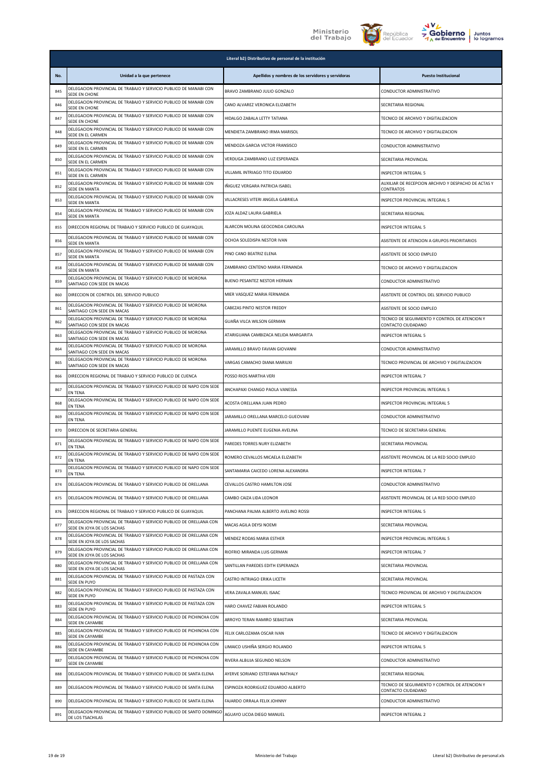





|     | Literal b2) Distributivo de personal de la institución                                            |                                                    |                                                                      |
|-----|---------------------------------------------------------------------------------------------------|----------------------------------------------------|----------------------------------------------------------------------|
| No. | Unidad a la que pertenece                                                                         | Apellidos y nombres de los servidores y servidoras | <b>Puesto Institucional</b>                                          |
| 845 | DELEGACION PROVINCIAL DE TRABAJO Y SERVICIO PUBLICO DE MANABI CON<br>SEDE EN CHONE                | BRAVO ZAMBRANO JULIO GONZALO                       | CONDUCTOR ADMINISTRATIVO                                             |
| 846 | DELEGACION PROVINCIAL DE TRABAJO Y SERVICIO PUBLICO DE MANABI CON<br>SEDE EN CHONE                | CANO ALVAREZ VERONICA ELIZABETH                    | SECRETARIA REGIONAL                                                  |
| 847 | DELEGACION PROVINCIAL DE TRABAJO Y SERVICIO PUBLICO DE MANABI CON<br>SEDE EN CHONE                | HIDALGO ZABALA LETTY TATIANA                       | TECNICO DE ARCHIVO Y DIGITALIZACION                                  |
| 848 | DELEGACION PROVINCIAL DE TRABAJO Y SERVICIO PUBLICO DE MANABI CON<br>SEDE EN EL CARMEN            | MENDIETA ZAMBRANO IRMA MARISOL                     | TECNICO DE ARCHIVO Y DIGITALIZACION                                  |
| 849 | DELEGACION PROVINCIAL DE TRABAJO Y SERVICIO PUBLICO DE MANABI CON<br>SEDE EN EL CARMEN            | MENDOZA GARCIA VICTOR FRANSISCO                    | CONDUCTOR ADMINISTRATIVO                                             |
| 850 | DELEGACION PROVINCIAL DE TRABAJO Y SERVICIO PUBLICO DE MANABI CON<br>SEDE EN EL CARMEN            | VERDUGA ZAMBRANO LUZ ESPERANZA                     | SECRETARIA PROVINCIAL                                                |
| 851 | DELEGACION PROVINCIAL DE TRABAJO Y SERVICIO PUBLICO DE MANABI CON<br>SEDE EN EL CARMEN            | VILLAMIL INTRIAGO TITO EDUARDO                     | INSPECTOR INTEGRAL 5                                                 |
| 852 | DELEGACION PROVINCIAL DE TRABAJO Y SERVICIO PUBLICO DE MANABI CON<br>SEDE EN MANTA                | IÑIGUEZ VERGARA PATRICIA ISABEL                    | AUXILIAR DE RECEPCION ARCHIVO Y DESPACHO DE ACTAS Y<br>CONTRATOS     |
| 853 | DELEGACION PROVINCIAL DE TRABAJO Y SERVICIO PUBLICO DE MANABI CON<br>SEDE EN MANTA                | VILLACRESES VITERI ANGELA GABRIELA                 | INSPECTOR PROVINCIAL INTEGRAL 5                                      |
| 854 | DELEGACION PROVINCIAL DE TRABAJO Y SERVICIO PUBLICO DE MANABI CON<br>SEDE EN MANTA                | JOZA ALDAZ LAURA GABRIELA                          | SECRETARIA REGIONAL                                                  |
| 855 | DIRECCION REGIONAL DE TRABAJO Y SERVICIO PUBLICO DE GUAYAQUIL                                     | ALARCON MOLINA GEOCONDA CAROLINA                   | INSPECTOR INTEGRAL 5                                                 |
| 856 | DELEGACION PROVINCIAL DE TRABAJO Y SERVICIO PUBLICO DE MANABI CON<br>SEDE EN MANTA                | OCHOA SOLEDISPA NESTOR IVAN                        | ASISTENTE DE ATENCION A GRUPOS PRIORITARIOS                          |
| 857 | DELEGACION PROVINCIAL DE TRABAJO Y SERVICIO PUBLICO DE MANABI CON<br><b>SEDE EN MANTA</b>         | PINO CANO BEATRIZ ELENA                            | ASISTENTE DE SOCIO EMPLEO                                            |
| 858 | DELEGACION PROVINCIAL DE TRABAJO Y SERVICIO PUBLICO DE MANABI CON<br>SEDE EN MANTA                | ZAMBRANO CENTENO MARIA FERNANDA                    | TECNICO DE ARCHIVO Y DIGITALIZACION                                  |
| 859 | DELEGACION PROVINCIAL DE TRABAJO Y SERVICIO PUBLICO DE MORONA<br>SANTIAGO CON SEDE EN MACAS       | BUENO PESANTEZ NESTOR HERNAN                       | CONDUCTOR ADMINISTRATIVO                                             |
| 860 | DIRECCION DE CONTROL DEL SERVICIO PUBLICO                                                         | MIER VASQUEZ MARIA FERNANDA                        | ASISTENTE DE CONTROL DEL SERVICIO PUBLICO                            |
| 861 | DELEGACION PROVINCIAL DE TRABAJO Y SERVICIO PUBLICO DE MORONA<br>SANTIAGO CON SEDE EN MACAS       | CABEZAS PINTO NESTOR FREDDY                        | ASISTENTE DE SOCIO EMPLEO                                            |
| 862 | DELEGACION PROVINCIAL DE TRABAJO Y SERVICIO PUBLICO DE MORONA<br>SANTIAGO CON SEDE EN MACAS       | GUAÑA VILCA WILSON GERMAN                          | TECNICO DE SEGUIMIENTO Y CONTROL DE ATENCION Y<br>CONTACTO CIUDADANO |
| 863 | DELEGACION PROVINCIAL DE TRABAJO Y SERVICIO PUBLICO DE MORONA<br>SANTIAGO CON SEDE EN MACAS       | ATARIGUANA CAMBIZACA NELIDA MARGARITA              | INSPECTOR INTEGRAL 5                                                 |
| 864 | DELEGACION PROVINCIAL DE TRABAJO Y SERVICIO PUBLICO DE MORONA<br>SANTIAGO CON SEDE EN MACAS       | JARAMILLO BRAVO FAVIAN GIOVANNI                    | CONDUCTOR ADMINISTRATIVO                                             |
| 865 | DELEGACION PROVINCIAL DE TRABAJO Y SERVICIO PUBLICO DE MORONA<br>SANTIAGO CON SEDE EN MACAS       | VARGAS CAMACHO DIANA MARIUXI                       | TECNICO PROVINCIAL DE ARCHIVO Y DIGITALIZACION                       |
| 866 | DIRECCION REGIONAL DE TRABAJO Y SERVICIO PUBLICO DE CUENCA                                        | POSSO RIOS MARTHA VERI                             | INSPECTOR INTEGRAL 7                                                 |
| 867 | DELEGACION PROVINCIAL DE TRABAJO Y SERVICIO PUBLICO DE NAPO CON SEDE<br>EN TENA                   | ANCHAPAXI CHANGO PAOLA VANESSA                     | INSPECTOR PROVINCIAL INTEGRAL 5                                      |
| 868 | DELEGACION PROVINCIAL DE TRABAJO Y SERVICIO PUBLICO DE NAPO CON SEDE<br><b>EN TENA</b>            | ACOSTA ORELLANA JUAN PEDRO                         | INSPECTOR PROVINCIAL INTEGRAL 5                                      |
| 869 | DELEGACION PROVINCIAL DE TRABAJO Y SERVICIO PUBLICO DE NAPO CON SEDE<br>EN TENA                   | JARAMILLO ORELLANA MARCELO GUEOVANI                | CONDUCTOR ADMINISTRATIVO                                             |
| 870 | DIRECCION DE SECRETARIA GENERAL                                                                   | JARAMILLO PUENTE EUGENIA AVELINA                   | TECNICO DE SECRETARIA GENERAL                                        |
| 871 | DELEGACION PROVINCIAL DE TRABAJO Y SERVICIO PUBLICO DE NAPO CON SEDE<br>EN TENA                   | PAREDES TORRES NURY ELIZABETH                      | SECRETARIA PROVINCIAL                                                |
| 872 | DELEGACION PROVINCIAL DE TRABAJO Y SERVICIO PUBLICO DE NAPO CON SEDE<br>EN TENA                   | ROMERO CEVALLOS MICAELA ELIZABETH                  | ASISTENTE PROVINCIAL DE LA RED SOCIO EMPLEO                          |
| 873 | DELEGACION PROVINCIAL DE TRABAJO Y SERVICIO PUBLICO DE NAPO CON SEDE<br>EN TENA                   | SANTAMARIA CAICEDO LORENA ALEXANDRA                | INSPECTOR INTEGRAL 7                                                 |
| 874 | DELEGACION PROVINCIAL DE TRABAJO Y SERVICIO PUBLICO DE ORELLANA                                   | CEVALLOS CASTRO HAMILTON JOSE                      | CONDUCTOR ADMINISTRATIVO                                             |
| 875 | DELEGACION PROVINCIAL DE TRABAJO Y SERVICIO PUBLICO DE ORELLANA                                   | CAMBO CAIZA LIDA LEONOR                            | ASISTENTE PROVINCIAL DE LA RED SOCIO EMPLEO                          |
| 876 | DIRECCION REGIONAL DE TRABAJO Y SERVICIO PUBLICO DE GUAYAQUIL                                     | PANCHANA PALMA ALBERTO AVELINO ROSSI               | INSPECTOR INTEGRAL 5                                                 |
| 877 | DELEGACION PROVINCIAL DE TRABAJO Y SERVICIO PUBLICO DE ORELLANA CON<br>SEDE EN JOYA DE LOS SACHAS | MACAS AGILA DEYSI NOEMI                            | SECRETARIA PROVINCIAL                                                |
| 878 | DELEGACION PROVINCIAL DE TRABAJO Y SERVICIO PUBLICO DE ORELLANA CON<br>SEDE EN JOYA DE LOS SACHAS | MENDEZ RODAS MARIA ESTHER                          | INSPECTOR PROVINCIAL INTEGRAL 5                                      |
| 879 | DELEGACION PROVINCIAL DE TRABAJO Y SERVICIO PUBLICO DE ORELLANA CON<br>SEDE EN JOYA DE LOS SACHAS | RIOFRIO MIRANDA LUIS GERMAN                        | INSPECTOR INTEGRAL 7                                                 |
| 880 | DELEGACION PROVINCIAL DE TRABAJO Y SERVICIO PUBLICO DE ORELLANA CON<br>SEDE EN JOYA DE LOS SACHAS | SANTILLAN PAREDES EDITH ESPERANZA                  | SECRETARIA PROVINCIAL                                                |
| 881 | DELEGACION PROVINCIAL DE TRABAJO Y SERVICIO PUBLICO DE PASTAZA CON<br>SEDE EN PUYO                | CASTRO INTRIAGO ERIKA LICETH                       | SECRETARIA PROVINCIAL                                                |
| 882 | DELEGACION PROVINCIAL DE TRABAJO Y SERVICIO PUBLICO DE PASTAZA CON<br>SEDE EN PUYO                | VERA ZAVALA MANUEL ISAAC                           | TECNICO PROVINCIAL DE ARCHIVO Y DIGITALIZACION                       |
| 883 | DELEGACION PROVINCIAL DE TRABAJO Y SERVICIO PUBLICO DE PASTAZA CON<br>SEDE EN PUYO                | HARO CHAVEZ FABIAN ROLANDO                         | INSPECTOR INTEGRAL 5                                                 |
| 884 | DELEGACION PROVINCIAL DE TRABAJO Y SERVICIO PUBLICO DE PICHINCHA CON<br>SEDE EN CAYAMBE           | ARROYO TERAN RAMIRO SEBASTIAN                      | SECRETARIA PROVINCIAL                                                |
| 885 | DELEGACION PROVINCIAL DE TRABAJO Y SERVICIO PUBLICO DE PICHINCHA CON<br>SEDE EN CAYAMBE           | FELIX CARLOZAMA OSCAR IVAN                         | TECNICO DE ARCHIVO Y DIGITALIZACION                                  |
| 886 | DELEGACION PROVINCIAL DE TRABAJO Y SERVICIO PUBLICO DE PICHINCHA CON<br>SEDE EN CAYAMBE           | LIMAICO USHIÑA SERGIO ROLANDO                      | INSPECTOR INTEGRAL 5                                                 |
| 887 | DELEGACION PROVINCIAL DE TRABAJO Y SERVICIO PUBLICO DE PICHINCHA CON<br>SEDE EN CAYAMBE           | RIVERA ALBUJA SEGUNDO NELSON                       | CONDUCTOR ADMINISTRATIVO                                             |
| 888 | DELEGACION PROVINCIAL DE TRABAJO Y SERVICIO PUBLICO DE SANTA ELENA                                | AYERVE SORIANO ESTEFANIA NATHALY                   | SECRETARIA REGIONAL                                                  |
| 889 | DELEGACION PROVINCIAL DE TRABAJO Y SERVICIO PUBLICO DE SANTA ELENA                                | ESPINOZA RODRIGUEZ EDUARDO ALBERTO                 | TECNICO DE SEGUIMIENTO Y CONTROL DE ATENCION Y<br>CONTACTO CIUDADANO |
| 890 | DELEGACION PROVINCIAL DE TRABAJO Y SERVICIO PUBLICO DE SANTA ELENA                                | FAJARDO ORRALA FELIX JOHNNY                        | CONDUCTOR ADMINISTRATIVO                                             |
| 891 | DELEGACION PROVINCIAL DE TRABAJO Y SERVICIO PUBLICO DE SANTO DOMINGO<br>DE LOS TSACHILAS          | AGUAYO LICOA DIEGO MANUEL                          | INSPECTOR INTEGRAL 2                                                 |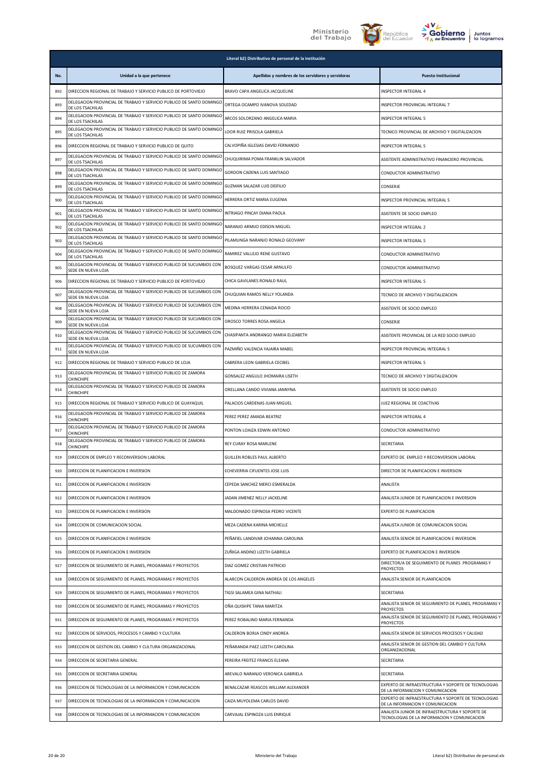





|     | Literal b2) Distributivo de personal de la institución                                     |                                                    |                                                                                                 |
|-----|--------------------------------------------------------------------------------------------|----------------------------------------------------|-------------------------------------------------------------------------------------------------|
| No. | Unidad a la que pertenece                                                                  | Apellidos y nombres de los servidores y servidoras | <b>Puesto Institucional</b>                                                                     |
| 892 | DIRECCION REGIONAL DE TRABAJO Y SERVICIO PUBLICO DE PORTOVIEJO                             | BRAVO CAPA ANGELICA JACQUELINE                     | INSPECTOR INTEGRAL 4                                                                            |
| 893 | DELEGACION PROVINCIAL DE TRABAJO Y SERVICIO PUBLICO DE SANTO DOMINGO<br>DE LOS TSACHILAS   | ORTEGA OCAMPO IVANOVA SOLEDAD                      | INSPECTOR PROVINCIAL INTEGRAL 7                                                                 |
| 894 | DELEGACION PROVINCIAL DE TRABAJO Y SERVICIO PUBLICO DE SANTO DOMINGO<br>DE LOS TSACHILAS   | ARCOS SOLORZANO ANGELICA MARIA                     | <b>INSPECTOR INTEGRAL 5</b>                                                                     |
| 895 | DELEGACION PROVINCIAL DE TRABAJO Y SERVICIO PUBLICO DE SANTO DOMINGO<br>DE LOS TSACHILAS   | LOOR RUIZ PRISCILA GABRIELA                        | TECNICO PROVINCIAL DE ARCHIVO Y DIGITALIZACION                                                  |
| 896 | DIRECCION REGIONAL DE TRABAJO Y SERVICIO PUBLICO DE QUITO                                  | CALVOPIÑA IGLESIAS DAVID FERNANDO                  | <b>INSPECTOR INTEGRAL 5</b>                                                                     |
| 897 | DELEGACION PROVINCIAL DE TRABAJO Y SERVICIO PUBLICO DE SANTO DOMINGO<br>DE LOS TSACHILAS   | CHUQUIRIMA POMA FRANKLIN SALVADOR                  | ASISTENTE ADMINISTRATIVO FINANCIERO PROVINCIAL                                                  |
| 898 | DELEGACION PROVINCIAL DE TRABAJO Y SERVICIO PUBLICO DE SANTO DOMINGO<br>DE LOS TSACHILAS   | GORDON CADENA LUIS SANTIAGO                        | CONDUCTOR ADMINISTRATIVO                                                                        |
| 899 | DELEGACION PROVINCIAL DE TRABAJO Y SERVICIO PUBLICO DE SANTO DOMINGO<br>DE LOS TSACHILAS   | GUZMAN SALAZAR LUIS DEIFILIO                       | CONSERJE                                                                                        |
| 900 | DELEGACION PROVINCIAL DE TRABAJO Y SERVICIO PUBLICO DE SANTO DOMINGO<br>DE LOS TSACHILAS   | HERRERA ORTIZ MARIA EUGENIA                        | INSPECTOR PROVINCIAL INTEGRAL 5                                                                 |
| 901 | DELEGACION PROVINCIAL DE TRABAJO Y SERVICIO PUBLICO DE SANTO DOMINGO<br>DE LOS TSACHILAS   | INTRIAGO PINCAY DIANA PAOLA                        | ASISTENTE DE SOCIO EMPLEO                                                                       |
| 902 | DELEGACION PROVINCIAL DE TRABAJO Y SERVICIO PUBLICO DE SANTO DOMINGO<br>DE LOS TSACHILAS   | NARANJO ARMIJO EDISON MIGUEL                       | INSPECTOR INTEGRAL 2                                                                            |
| 903 | DELEGACION PROVINCIAL DE TRABAJO Y SERVICIO PUBLICO DE SANTO DOMINGO<br>DE LOS TSACHILAS   | PILAMUNGA NARANJO RONALD GEOVANY                   | <b>INSPECTOR INTEGRAL 5</b>                                                                     |
| 904 | DELEGACION PROVINCIAL DE TRABAJO Y SERVICIO PUBLICO DE SANTO DOMINGO<br>DE LOS TSACHILAS   | RAMIREZ VALLEJO RENE GUSTAVO                       | CONDUCTOR ADMINISTRATIVO                                                                        |
| 905 | DELEGACION PROVINCIAL DE TRABAJO Y SERVICIO PUBLICO DE SUCUMBIOS CON<br>SEDE EN NUEVA LOJA | BOSQUEZ VARGAS CESAR ARNULFO                       | CONDUCTOR ADMINISTRATIVO                                                                        |
| 906 | DIRECCION REGIONAL DE TRABAJO Y SERVICIO PUBLICO DE PORTOVIEJO                             | CHICA GAVILANES RONALD RAUL                        | <b>INSPECTOR INTEGRAL 5</b>                                                                     |
| 907 | DELEGACION PROVINCIAL DE TRABAJO Y SERVICIO PUBLICO DE SUCUMBIOS CON<br>SEDE EN NUEVA LOJA | CHUQUIAN RAMOS NELLY YOLANDA                       | TECNICO DE ARCHIVO Y DIGITALIZACION                                                             |
| 908 | DELEGACION PROVINCIAL DE TRABAJO Y SERVICIO PUBLICO DE SUCUMBIOS CON<br>SEDE EN NUEVA LOJA | MEDINA HERRERA CENAIDA ROCIO                       | ASISTENTE DE SOCIO EMPLEO                                                                       |
| 909 | DELEGACION PROVINCIAL DE TRABAJO Y SERVICIO PUBLICO DE SUCUMBIOS CON<br>SEDE EN NUEVA LOJA | OROSCO TORRES ROSA ANGELA                          | CONSERJE                                                                                        |
| 910 | DELEGACION PROVINCIAL DE TRABAJO Y SERVICIO PUBLICO DE SUCUMBIOS CON<br>SEDE EN NUEVA LOJA | CHASIPANTA ANDRANGO MARIA ELIZABETH                | ASISTENTE PROVINCIAL DE LA RED SOCIO EMPLEO                                                     |
| 911 | DELEGACION PROVINCIAL DE TRABAJO Y SERVICIO PUBLICO DE SUCUMBIOS CON<br>SEDE EN NUEVA LOJA | PAZMIÑO VALENCIA YAJAIRA MABEL                     | INSPECTOR PROVINCIAL INTEGRAL 5                                                                 |
| 912 | DIRECCION REGIONAL DE TRABAJO Y SERVICIO PUBLICO DE LOJA                                   | CABRERA LEON GABRIELA CECIBEL                      | INSPECTOR INTEGRAL 5                                                                            |
| 913 | DELEGACION PROVINCIAL DE TRABAJO Y SERVICIO PUBLICO DE ZAMORA<br>CHINCHIPE                 | GONSALEZ ANGULO JHOMAIRA LISETH                    | TECNICO DE ARCHIVO Y DIGITALIZACION                                                             |
| 914 | DELEGACION PROVINCIAL DE TRABAJO Y SERVICIO PUBLICO DE ZAMORA<br><b>CHINCHIPE</b>          | ORELLANA CANDO VIVIANA JANNYNA                     | ASISTENTE DE SOCIO EMPLEO                                                                       |
| 915 | DIRECCION REGIONAL DE TRABAJO Y SERVICIO PUBLICO DE GUAYAQUIL                              | PALACIOS CARDENAS JUAN MIGUEL                      | JUEZ REGIONAL DE COACTIVAS                                                                      |
| 916 | DELEGACION PROVINCIAL DE TRABAJO Y SERVICIO PUBLICO DE ZAMORA<br>CHINCHIPE                 | PEREZ PEREZ AMADA BEATRIZ                          | <b>INSPECTOR INTEGRAL 4</b>                                                                     |
| 917 | DELEGACION PROVINCIAL DE TRABAJO Y SERVICIO PUBLICO DE ZAMORA<br>CHINCHIPE                 | PONTON LOAIZA EDWIN ANTONIO                        | CONDUCTOR ADMINISTRATIVO                                                                        |
| 918 | DELEGACION PROVINCIAL DE TRABAJO Y SERVICIO PUBLICO DE ZAMORA<br><b>CHINCHIPE</b>          | REY CURAY ROSA MARLENE                             | SECRETARIA                                                                                      |
| 919 | DIRECCION DE EMPLEO Y RECONVERSION LABORAL                                                 | GUILLEN ROBLES PAUL ALBERTO                        | EXPERTO DE EMPLEO Y RECONVERSION LABORAL                                                        |
| 920 | DIRECCION DE PLANIFICACION E INVERSION                                                     | ECHEVERRIA CIFUENTES JOSE LUIS                     | DIRECTOR DE PLANIFICACION E INVERSION                                                           |
| 921 | DIRECCION DE PLANIFICACION E INVERSION                                                     | CEPEDA SANCHEZ MERCI ESMERALDA                     | ANALISTA                                                                                        |
| 922 | DIRECCION DE PLANIFICACION E INVERSION                                                     | JADAN JIMENEZ NELLY JACKELINE                      | ANALISTA JUNIOR DE PLANIFICACION E INVERSION                                                    |
| 923 | DIRECCION DE PLANIFICACION E INVERSION                                                     | MALDONADO ESPINOSA PEDRO VICENTE                   | EXPERTO DE PLANIFICACION                                                                        |
| 924 | DIRECCION DE COMUNICACION SOCIAL                                                           | MEZA CADENA KARINA MICHELLE                        | ANALISTA JUNIOR DE COMUNICACION SOCIAL                                                          |
| 925 | DIRECCION DE PLANIFICACION E INVERSION                                                     | PEÑAFIEL LANDIVAR JOHANNA CAROLINA                 | ANALISTA SENIOR DE PLANIFICACION E INVERSION                                                    |
| 926 | DIRECCION DE PLANIFICACION E INVERSION                                                     | ZUÑIGA ANDINO LIZETH GABRIELA                      | EXPERTO DE PLANIFICACION E INVERSION                                                            |
| 927 | DIRECCION DE SEGUIMIENTO DE PLANES, PROGRAMAS Y PROYECTOS                                  | DIAZ GOMEZ CRISTIAN PATRICIO                       | DIRECTOR/A DE SEGUIMIENTO DE PLANES PROGRAMAS Y<br>PROYECTOS                                    |
| 928 | DIRECCION DE SEGUIMIENTO DE PLANES, PROGRAMAS Y PROYECTOS                                  | ALARCON CALDERON ANDREA DE LOS ANGELES             | ANALISTA SENIOR DE PLANIFICACION                                                                |
| 929 | DIRECCION DE SEGUIMIENTO DE PLANES, PROGRAMAS Y PROYECTOS                                  | TIGSI SALAMEA GINA NATHALI                         | SECRETARIA                                                                                      |
| 930 | DIRECCION DE SEGUIMIENTO DE PLANES, PROGRAMAS Y PROYECTOS                                  | OÑA QUISHPE TANIA MARITZA                          | ANALISTA SENIOR DE SEGUIMIENTO DE PLANES, PROGRAMAS Y<br><b>PROYECTOS</b>                       |
| 931 | DIRECCION DE SEGUIMIENTO DE PLANES, PROGRAMAS Y PROYECTOS                                  | PEREZ ROBALINO MARIA FERNANDA                      | ANALISTA SENIOR DE SEGUIMIENTO DE PLANES, PROGRAMAS Y<br><b>PROYECTOS</b>                       |
| 932 | DIRECCION DE SERVICIOS, PROCESOS Y CAMBIO Y CULTURA                                        | CALDERON BORJA CINDY ANDREA                        | ANALISTA SENIOR DE SERVICIOS PROCESOS Y CALIDAD                                                 |
| 933 | DIRECCION DE GESTION DEL CAMBIO Y CULTURA ORGANIZACIONAL                                   | PEÑARANDA PAEZ LIZETH CAROLINA                     | ANALISTA SENIOR DE GESTION DEL CAMBIO Y CULTURA<br>ORGANIZACIONAL                               |
| 934 | DIRECCION DE SECRETARIA GENERAL                                                            | PEREIRA FREITEZ FRANCIS ELEANA                     | SECRETARIA                                                                                      |
| 935 | DIRECCION DE SECRETARIA GENERAL                                                            | AREVALO NARANJO VERONICA GABRIELA                  | SECRETARIA                                                                                      |
| 936 | DIRECCION DE TECNOLOGIAS DE LA INFORMACION Y COMUNICACION                                  | BENALCAZAR REASCOS WILLIAM ALEXANDER               | EXPERTO DE INFRAESTRUCTURA Y SOPORTE DE TECNOLOGIAS<br>DE LA INFORMACION Y COMUNICACION         |
| 937 | DIRECCION DE TECNOLOGIAS DE LA INFORMACION Y COMUNICACION                                  | CAIZA MUYOLEMA CARLOS DAVID                        | EXPERTO DE INFRAESTRUCTURA Y SOPORTE DE TECNOLOGIAS<br>DE LA INFORMACION Y COMUNICACION         |
| 938 | DIRECCION DE TECNOLOGIAS DE LA INFORMACION Y COMUNICACION                                  | CARVAJAL ESPINOZA LUIS ENRIQUE                     | ANALISTA JUNIOR DE INFRAESTRUCTURA Y SOPORTE DE<br>TECNOLOGIAS DE LA INFORMACION Y COMUNICACION |
|     |                                                                                            |                                                    |                                                                                                 |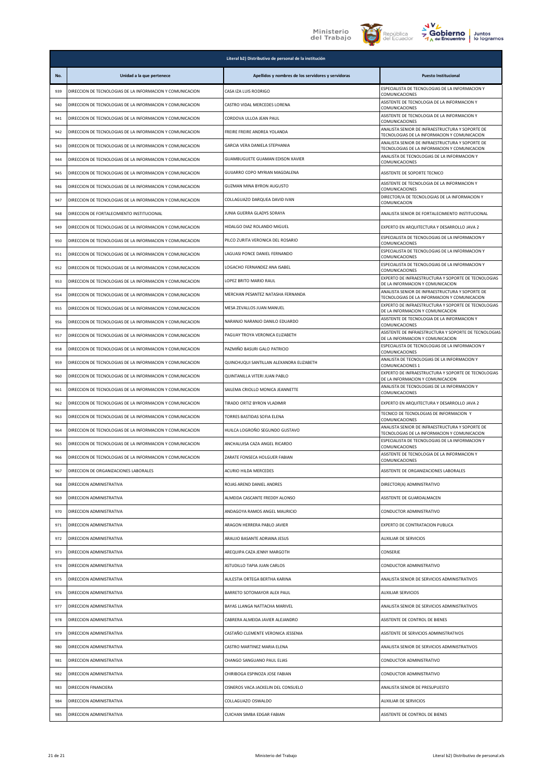





|     | Literal b2) Distributivo de personal de la institución    |                                                    |                                                                                                 |
|-----|-----------------------------------------------------------|----------------------------------------------------|-------------------------------------------------------------------------------------------------|
| No. | Unidad a la que pertenece                                 | Apellidos y nombres de los servidores y servidoras | <b>Puesto Institucional</b>                                                                     |
| 939 | DIRECCION DE TECNOLOGIAS DE LA INFORMACION Y COMUNICACION | CASA IZA LUIS RODRIGO                              | ESPECIALISTA DE TECNOLOGIAS DE LA INFORMACION Y<br>COMUNICACIONES                               |
| 940 | DIRECCION DE TECNOLOGIAS DE LA INFORMACION Y COMUNICACION | CASTRO VIDAL MERCEDES LORENA                       | ASISTENTE DE TECNOLOGIA DE LA INFORMACION Y<br>COMUNICACIONES                                   |
| 941 | DIRECCION DE TECNOLOGIAS DE LA INFORMACION Y COMUNICACION | CORDOVA ULLOA JEAN PAUL                            | ASISTENTE DE TECNOLOGIA DE LA INFORMACION Y<br>COMUNICACIONES                                   |
| 942 | DIRECCION DE TECNOLOGIAS DE LA INFORMACION Y COMUNICACION | FREIRE FREIRE ANDREA YOLANDA                       | ANALISTA SENIOR DE INFRAESTRUCTURA Y SOPORTE DE<br>TECNOLOGIAS DE LA INFORMACION Y COMUNICACION |
| 943 | DIRECCION DE TECNOLOGIAS DE LA INFORMACION Y COMUNICACION | GARCIA VERA DANIELA STEPHANIA                      | ANALISTA SENIOR DE INFRAESTRUCTURA Y SOPORTE DE<br>TECNOLOGIAS DE LA INFORMACION Y COMUNICACION |
| 944 | DIRECCION DE TECNOLOGIAS DE LA INFORMACION Y COMUNICACION | <b>GUAMBUGUETE GUAMAN EDISON XAVIER</b>            | ANALISTA DE TECNOLOGIAS DE LA INFORMACION Y<br>COMUNICACIONES                                   |
| 945 | DIRECCION DE TECNOLOGIAS DE LA INFORMACION Y COMUNICACION | GUIJARRO COPO MYRIAN MAGDALENA                     | ASISTENTE DE SOPORTE TECNICO                                                                    |
| 946 | DIRECCION DE TECNOLOGIAS DE LA INFORMACION Y COMUNICACION | <b>GUZMAN MINA BYRON AUGUSTO</b>                   | ASISTENTE DE TECNOLOGIA DE LA INFORMACION Y<br>COMUNICACIONES                                   |
| 947 | DIRECCION DE TECNOLOGIAS DE LA INFORMACION Y COMUNICACION | COLLAGUAZO DARQUEA DAVID IVAN                      | DIRECTOR/A DE TECNOLOGIAS DE LA INFORMACION Y<br>COMUNICACION                                   |
| 948 | DIRECCION DE FORTALECIMIENTO INSTITUCIONAL                | JUNIA GUERRA GLADYS SORAYA                         | ANALISTA SENIOR DE FORTALECIMIENTO INSTITUCIONAL                                                |
| 949 | DIRECCION DE TECNOLOGIAS DE LA INFORMACION Y COMUNICACION | HIDALGO DIAZ ROLANDO MIGUEL                        | EXPERTO EN ARQUITECTURA Y DESARROLLO JAVA 2                                                     |
| 950 | DIRECCION DE TECNOLOGIAS DE LA INFORMACION Y COMUNICACION | PILCO ZURITA VERONICA DEL ROSARIO                  | ESPECIALISTA DE TECNOLOGIAS DE LA INFORMACION Y<br>COMUNICACIONES                               |
| 951 | DIRECCION DE TECNOLOGIAS DE LA INFORMACION Y COMUNICACION | LAGUASI PONCE DANIEL FERNANDO                      | ESPECIALISTA DE TECNOLOGIAS DE LA INFORMACION Y<br>COMUNICACIONES                               |
| 952 | DIRECCION DE TECNOLOGIAS DE LA INFORMACION Y COMUNICACION | LOGACHO FERNANDEZ ANA ISABEL                       | ESPECIALISTA DE TECNOLOGIAS DE LA INFORMACION Y<br>COMUNICACIONES                               |
| 953 | DIRECCION DE TECNOLOGIAS DE LA INFORMACION Y COMUNICACION | LOPEZ BRITO MARIO RAUL                             | EXPERTO DE INFRAESTRUCTURA Y SOPORTE DE TECNOLOGIAS<br>DE LA INFORMACION Y COMUNICACION         |
| 954 | DIRECCION DE TECNOLOGIAS DE LA INFORMACION Y COMUNICACION | MERCHAN PESANTEZ NATASHA FERNANDA                  | ANALISTA SENIOR DE INFRAESTRUCTURA Y SOPORTE DE<br>TECNOLOGIAS DE LA INFORMACION Y COMUNICACION |
| 955 | DIRECCION DE TECNOLOGIAS DE LA INFORMACION Y COMUNICACION | MESA ZEVALLOS JUAN MANUEL                          | EXPERTO DE INFRAESTRUCTURA Y SOPORTE DE TECNOLOGIAS<br>DE LA INFORMACION Y COMUNICACION         |
| 956 | DIRECCION DE TECNOLOGIAS DE LA INFORMACION Y COMUNICACION | NARANJO NARANJO DANILO EDUARDO                     | ASISTENTE DE TECNOLOGIA DE LA INFORMACION Y<br>COMUNICACIONES                                   |
| 957 | DIRECCION DE TECNOLOGIAS DE LA INFORMACION Y COMUNICACION | PAGUAY TROYA VERONICA ELIZABETH                    | ASISTENTE DE INFRAESTRUCTURA Y SOPORTE DE TECNOLOGIAS<br>DE LA INFORMACION Y COMUNICACION       |
| 958 | DIRECCION DE TECNOLOGIAS DE LA INFORMACION Y COMUNICACION | PAZMIÑO BASURI GALO PATRICIO                       | ESPECIALISTA DE TECNOLOGIAS DE LA INFORMACION Y<br>COMUNICACIONES                               |
| 959 | DIRECCION DE TECNOLOGIAS DE LA INFORMACION Y COMUNICACION | QUINCHUQUI SANTILLAN ALEXANDRA ELIZABETH           | ANALISTA DE TECNOLOGIAS DE LA INFORMACION Y<br>COMUNICACIONES 1                                 |
| 960 | DIRECCION DE TECNOLOGIAS DE LA INFORMACION Y COMUNICACION | QUINTANILLA VITERI JUAN PABLO                      | EXPERTO DE INFRAESTRUCTURA Y SOPORTE DE TECNOLOGIAS<br>DE LA INFORMACION Y COMUNICACION         |
| 961 | DIRECCION DE TECNOLOGIAS DE LA INFORMACION Y COMUNICACION | SAILEMA CRIOLLO MONICA JEANNETTE                   | ANALISTA DE TECNOLOGIAS DE LA INFORMACION Y<br>COMUNICACIONES                                   |
| 962 | DIRECCION DE TECNOLOGIAS DE LA INFORMACION Y COMUNICACION | TIRADO ORTIZ BYRON VLADIMIR                        | EXPERTO EN ARQUITECTURA Y DESARROLLO JAVA 2                                                     |
| 963 | DIRECCION DE TECNOLOGIAS DE LA INFORMACION Y COMUNICACION | TORRES BASTIDAS SOFIA ELENA                        | TECNICO DE TECNOLOGIAS DE INFORMACION Y<br>COMUNICACIONES                                       |
| 964 | DIRECCION DE TECNOLOGIAS DE LA INFORMACION Y COMUNICACION | HUILCA LOGROÑO SEGUNDO GUSTAVO                     | ANALISTA SENIOR DE INFRAESTRUCTURA Y SOPORTE DE<br>TECNOLOGIAS DE LA INFORMACION Y COMUNICACION |
| 965 | DIRECCION DE TECNOLOGIAS DE LA INFORMACION Y COMUNICACION | ANCHALUISA CAZA ANGEL RICARDO                      | ESPECIALISTA DE TECNOLOGIAS DE LA INFORMACION Y<br>COMUNICACIONES                               |
| 966 | DIRECCION DE TECNOLOGIAS DE LA INFORMACION Y COMUNICACION | ZARATE FONSECA HOLGUER FABIAN                      | ASISTENTE DE TECNOLOGIA DE LA INFORMACION Y<br>COMUNICACIONES                                   |
| 967 | DIRECCION DE ORGANIZACIONES LABORALES                     | <b>ACURIO HILDA MERCEDES</b>                       | ASISTENTE DE ORGANIZACIONES LABORALES                                                           |
| 968 | DIRECCION ADMINISTRATIVA                                  | ROJAS AREND DANIEL ANDRES                          | DIRECTOR(A) ADMINISTRATIVO                                                                      |
| 969 | DIRECCION ADMINISTRATIVA                                  | ALMEIDA CASCANTE FREDDY ALONSO                     | ASISTENTE DE GUARDALMACEN                                                                       |
| 970 | DIRECCION ADMINISTRATIVA                                  | ANDAGOYA RAMOS ANGEL MAURICIO                      | CONDUCTOR ADMINISTRATIVO                                                                        |
| 971 | DIRECCION ADMINISTRATIVA                                  | ARAGON HERRERA PABLO JAVIER                        | EXPERTO DE CONTRATACION PUBLICA                                                                 |
| 972 | DIRECCION ADMINISTRATIVA                                  | ARAUJO BASANTE ADRIANA JESUS                       | AUXILIAR DE SERVICIOS                                                                           |
| 973 | DIRECCION ADMINISTRATIVA                                  | AREQUIPA CAZA JENNY MARGOTH                        | CONSERJE                                                                                        |
| 974 | DIRECCION ADMINISTRATIVA                                  | ASTUDILLO TAPIA JUAN CARLOS                        | CONDUCTOR ADMINISTRATIVO                                                                        |
| 975 | DIRECCION ADMINISTRATIVA                                  | AULESTIA ORTEGA BERTHA KARINA                      | ANALISTA SENIOR DE SERVICIOS ADMINISTRATIVOS                                                    |
| 976 | DIRECCION ADMINISTRATIVA                                  | BARRETO SOTOMAYOR ALEX PAUL                        | <b>AUXILIAR SERVICIOS</b>                                                                       |
| 977 | DIRECCION ADMINISTRATIVA                                  | BAYAS LLANGA NATTACHA MARIVEL                      | ANALISTA SENIOR DE SERVICIOS ADMINISTRATIVOS                                                    |
| 978 | DIRECCION ADMINISTRATIVA                                  | CABRERA ALMEIDA JAVIER ALEJANDRO                   | ASISTENTE DE CONTROL DE BIENES                                                                  |
| 979 | DIRECCION ADMINISTRATIVA                                  | CASTAÑO CLEMENTE VERONICA JESSENIA                 | ASISTENTE DE SERVICIOS ADMINISTRATIVOS                                                          |
| 980 | DIRECCION ADMINISTRATIVA                                  | CASTRO MARTINEZ MARIA ELENA                        | ANALISTA SENIOR DE SERVICIOS ADMINISTRATIVOS                                                    |
| 981 | DIRECCION ADMINISTRATIVA                                  | CHANGO SANGUANO PAUL ELIAS                         | CONDUCTOR ADMINISTRATIVO                                                                        |
| 982 | DIRECCION ADMINISTRATIVA                                  | CHIRIBOGA ESPINOZA JOSE FABIAN                     | CONDUCTOR ADMINISTRATIVO                                                                        |
| 983 | DIRECCION FINANCIERA                                      | CISNEROS VACA JACKELIN DEL CONSUELO                | ANALISTA SENIOR DE PRESUPUESTO                                                                  |
| 984 | DIRECCION ADMINISTRATIVA                                  | COLLAGUAZO OSWALDO                                 | AUXILIAR DE SERVICIOS                                                                           |
| 985 | DIRECCION ADMINISTRATIVA                                  | CUICHAN SIMBA EDGAR FABIAN                         | ASISTENTE DE CONTROL DE BIENES                                                                  |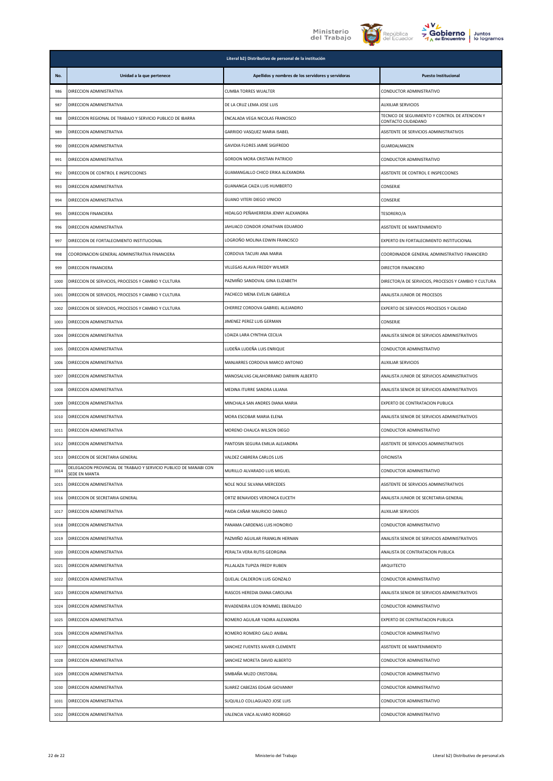





|      | Literal b2) Distributivo de personal de la institución                             |                                                    |                                                                      |  |
|------|------------------------------------------------------------------------------------|----------------------------------------------------|----------------------------------------------------------------------|--|
| No.  | Unidad a la que pertenece                                                          | Apellidos y nombres de los servidores y servidoras | <b>Puesto Institucional</b>                                          |  |
| 986  | DIRECCION ADMINISTRATIVA                                                           | <b>CUMBA TORRES WUALTER</b>                        | CONDUCTOR ADMINISTRATIVO                                             |  |
| 987  | DIRECCION ADMINISTRATIVA                                                           | DE LA CRUZ LEMA JOSE LUIS                          | <b>AUXILIAR SERVICIOS</b>                                            |  |
| 988  | DIRECCION REGIONAL DE TRABAJO Y SERVICIO PUBLICO DE IBARRA                         | ENCALADA VEGA NICOLAS FRANCISCO                    | TECNICO DE SEGUIMIENTO Y CONTROL DE ATENCION Y<br>CONTACTO CIUDADANO |  |
| 989  | DIRECCION ADMINISTRATIVA                                                           | GARRIDO VASQUEZ MARIA ISABEL                       | ASISTENTE DE SERVICIOS ADMINISTRATIVOS                               |  |
| 990  | DIRECCION ADMINISTRATIVA                                                           | GAVIDIA FLORES JAIME SIGIFREDO                     | GUARDALMACEN                                                         |  |
| 991  | DIRECCION ADMINISTRATIVA                                                           | GORDON MORA CRISTIAN PATRICIO                      | CONDUCTOR ADMINISTRATIVO                                             |  |
| 992  | DIRECCION DE CONTROL E INSPECCIONES                                                | GUAMANGALLO CHICO ERIKA ALEXANDRA                  | ASISTENTE DE CONTROL E INSPECCIONES                                  |  |
| 993  | DIRECCION ADMINISTRATIVA                                                           | GUANANGA CAIZA LUIS HUMBERTO                       | CONSERJE                                                             |  |
| 994  | DIRECCION ADMINISTRATIVA                                                           | <b>GUANO VITERI DIEGO VINICIO</b>                  | CONSERJE                                                             |  |
| 995  | DIRECCION FINANCIERA                                                               | HIDALGO PEÑAHERRERA JENNY ALEXANDRA                | TESORERO/A                                                           |  |
| 996  | DIRECCION ADMINISTRATIVA                                                           | JAHUACO CONDOR JONATHAN EDUARDO                    | ASISTENTE DE MANTENIMIENTO                                           |  |
| 997  | DIRECCION DE FORTALECIMIENTO INSTITUCIONAL                                         | LOGROÑO MOLINA EDWIN FRANCISCO                     | EXPERTO EN FORTALECIMIENTO INSTITUCIONAL                             |  |
| 998  | COORDINACION GENERAL ADMINISTRATIVA FINANCIERA                                     | CORDOVA TACURI ANA MARIA                           | COORDINADOR GENERAL ADMINISTRATIVO FINANCIERO                        |  |
| 999  | DIRECCION FINANCIERA                                                               | VILLEGAS ALAVA FREDDY WILMER                       | DIRECTOR FINANCIERO                                                  |  |
| 1000 | DIRECCION DE SERVICIOS, PROCESOS Y CAMBIO Y CULTURA                                | PAZMIÑO SANDOVAL GINA ELIZABETH                    | DIRECTOR/A DE SERVICIOS, PROCESOS Y CAMBIO Y CULTURA                 |  |
| 1001 | DIRECCION DE SERVICIOS, PROCESOS Y CAMBIO Y CULTURA                                | PACHECO MENA EVELIN GABRIELA                       | ANALISTA JUNIOR DE PROCESOS                                          |  |
| 1002 | DIRECCION DE SERVICIOS, PROCESOS Y CAMBIO Y CULTURA                                | CHERREZ CORDOVA GABRIEL ALEJANDRO                  | EXPERTO DE SERVICIOS PROCESOS Y CALIDAD                              |  |
| 1003 | DIRECCION ADMINISTRATIVA                                                           | JIMENEZ PEREZ LUIS GERMAN                          | CONSERJE                                                             |  |
| 1004 | DIRECCION ADMINISTRATIVA                                                           | LOAIZA LARA CYNTHIA CECILIA                        | ANALISTA SENIOR DE SERVICIOS ADMINISTRATIVOS                         |  |
| 1005 | DIRECCION ADMINISTRATIVA                                                           | LUDEÑA LUDEÑA LUIS ENRIQUE                         | CONDUCTOR ADMINISTRATIVO                                             |  |
| 1006 | DIRECCION ADMINISTRATIVA                                                           | MANJARRES CORDOVA MARCO ANTONIO                    | <b>AUXILIAR SERVICIOS</b>                                            |  |
| 1007 | DIRECCION ADMINISTRATIVA                                                           | MANOSALVAS CALAHORRANO DARWIN ALBERTO              | ANALISTA JUNIOR DE SERVICIOS ADMINISTRATIVOS                         |  |
| 1008 | DIRECCION ADMINISTRATIVA                                                           | MEDINA ITURRE SANDRA LILIANA                       | ANALISTA SENIOR DE SERVICIOS ADMINISTRATIVOS                         |  |
| 1009 | DIRECCION ADMINISTRATIVA                                                           | MINCHALA SAN ANDRES DIANA MARIA                    | EXPERTO DE CONTRATACION PUBLICA                                      |  |
| 1010 | DIRECCION ADMINISTRATIVA                                                           | MORA ESCOBAR MARIA ELENA                           | ANALISTA SENIOR DE SERVICIOS ADMINISTRATIVOS                         |  |
| 1011 | DIRECCION ADMINISTRATIVA                                                           | MORENO CHAUCA WILSON DIEGO                         | CONDUCTOR ADMINISTRATIVO                                             |  |
| 1012 | DIRECCION ADMINISTRATIVA                                                           | PANTOSIN SEGURA EMILIA ALEJANDRA                   | ASISTENTE DE SERVICIOS ADMINISTRATIVOS                               |  |
| 1013 | DIRECCION DE SECRETARIA GENERAL                                                    | VALDEZ CABRERA CARLOS LUIS                         | <b>OFICINISTA</b>                                                    |  |
| 1014 | DELEGACION PROVINCIAL DE TRABAJO Y SERVICIO PUBLICO DE MANABI CON<br>SEDE EN MANTA | MURILLO ALVARADO LUIS MIGUEL                       | CONDUCTOR ADMINISTRATIVO                                             |  |
| 1015 | DIRECCION ADMINISTRATIVA                                                           | NOLE NOLE SILVANA MERCEDES                         | ASISTENTE DE SERVICIOS ADMINISTRATIVOS                               |  |
| 1016 | DIRECCION DE SECRETARIA GENERAL                                                    | ORTIZ BENAVIDES VERONICA ELICETH                   | ANALISTA JUNIOR DE SECRETARIA GENERAL                                |  |
| 1017 | DIRECCION ADMINISTRATIVA                                                           | PAIDA CAÑAR MAURICIO DANILO                        | <b>AUXILIAR SERVICIOS</b>                                            |  |
| 1018 | DIRECCION ADMINISTRATIVA                                                           | PANAMA CARDENAS LUIS HONORIO                       | CONDUCTOR ADMINISTRATIVO                                             |  |
| 1019 | DIRECCION ADMINISTRATIVA                                                           | PAZMIÑO AGUILAR FRANKLIN HERNAN                    | ANALISTA SENIOR DE SERVICIOS ADMINISTRATIVOS                         |  |
| 1020 | DIRECCION ADMINISTRATIVA                                                           | PERALTA VERA RUTIS GEORGINA                        | ANALISTA DE CONTRATACION PUBLICA                                     |  |
| 1021 | DIRECCION ADMINISTRATIVA                                                           | PILLALAZA TUPIZA FREDY RUBEN                       | ARQUITECTO                                                           |  |
| 1022 | DIRECCION ADMINISTRATIVA                                                           | QUELAL CALDERON LUIS GONZALO                       | CONDUCTOR ADMINISTRATIVO                                             |  |
| 1023 | DIRECCION ADMINISTRATIVA                                                           | RIASCOS HEREDIA DIANA CAROLINA                     | ANALISTA SENIOR DE SERVICIOS ADMINISTRATIVOS                         |  |
| 1024 | DIRECCION ADMINISTRATIVA                                                           | RIVADENEIRA LEON ROMMEL EBERALDO                   | CONDUCTOR ADMINISTRATIVO                                             |  |
| 1025 | DIRECCION ADMINISTRATIVA                                                           | ROMERO AGUILAR YADIRA ALEXANDRA                    | EXPERTO DE CONTRATACION PUBLICA                                      |  |
| 1026 | DIRECCION ADMINISTRATIVA                                                           | ROMERO ROMERO GALO ANIBAL                          | CONDUCTOR ADMINISTRATIVO                                             |  |
| 1027 | DIRECCION ADMINISTRATIVA                                                           | SANCHEZ FUENTES XAVIER CLEMENTE                    | ASISTENTE DE MANTENIMIENTO                                           |  |
| 1028 | DIRECCION ADMINISTRATIVA                                                           | SANCHEZ MORETA DAVID ALBERTO                       | CONDUCTOR ADMINISTRATIVO                                             |  |
| 1029 | DIRECCION ADMINISTRATIVA                                                           | SIMBAÑA MUZO CRISTOBAL                             | CONDUCTOR ADMINISTRATIVO                                             |  |
| 1030 | DIRECCION ADMINISTRATIVA                                                           | SUAREZ CABEZAS EDGAR GIOVANNY                      | CONDUCTOR ADMINISTRATIVO                                             |  |
| 1031 | DIRECCION ADMINISTRATIVA                                                           | SUQUILLO COLLAGUAZO JOSE LUIS                      | CONDUCTOR ADMINISTRATIVO                                             |  |
| 1032 | DIRECCION ADMINISTRATIVA                                                           | VALENCIA VACA ALVARO RODRIGO                       | CONDUCTOR ADMINISTRATIVO                                             |  |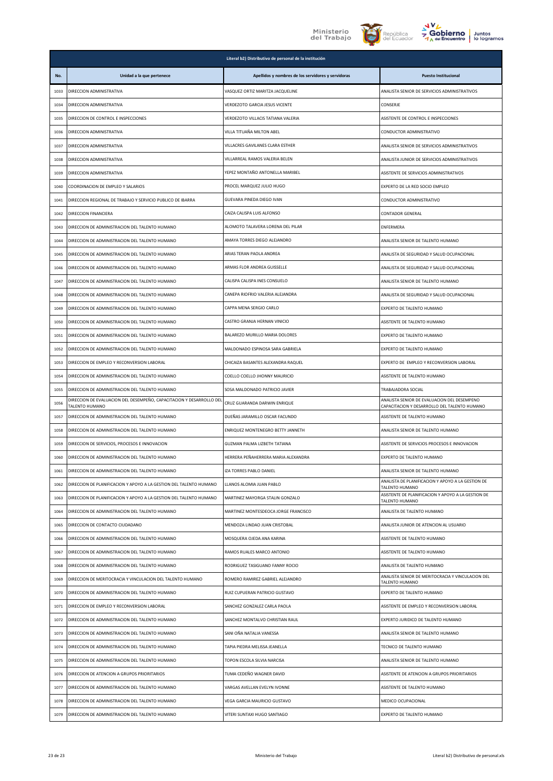





|      | Literal b2) Distributivo de personal de la institución                                 |                                                    |                                                                                             |
|------|----------------------------------------------------------------------------------------|----------------------------------------------------|---------------------------------------------------------------------------------------------|
| No.  | Unidad a la que pertenece                                                              | Apellidos y nombres de los servidores y servidoras | <b>Puesto Institucional</b>                                                                 |
| 1033 | DIRECCION ADMINISTRATIVA                                                               | VASQUEZ ORTIZ MARITZA JACQUELINE                   | ANALISTA SENIOR DE SERVICIOS ADMINISTRATIVOS                                                |
| 1034 | DIRECCION ADMINISTRATIVA                                                               | VERDEZOTO GARCIA JESUS VICENTE                     | CONSERJE                                                                                    |
| 1035 | DIRECCION DE CONTROL E INSPECCIONES                                                    | VERDEZOTO VILLACIS TATIANA VALERIA                 | ASISTENTE DE CONTROL E INSPECCIONES                                                         |
| 1036 | DIRECCION ADMINISTRATIVA                                                               | VILLA TITUAÑA MILTON ABEL                          | CONDUCTOR ADMINISTRATIVO                                                                    |
| 1037 | DIRECCION ADMINISTRATIVA                                                               | VILLACRES GAVILANES CLARA ESTHER                   | ANALISTA SENIOR DE SERVICIOS ADMINISTRATIVOS                                                |
| 1038 | DIRECCION ADMINISTRATIVA                                                               | VILLARREAL RAMOS VALERIA BELEN                     | ANALISTA JUNIOR DE SERVICIOS ADMINISTRATIVOS                                                |
| 1039 | DIRECCION ADMINISTRATIVA                                                               | YEPEZ MONTAÑO ANTONELLA MARIBEL                    | ASISTENTE DE SERVICIOS ADMINISTRATIVOS                                                      |
| 1040 | COORDINACION DE EMPLEO Y SALARIOS                                                      | PROCEL MARQUEZ JULIO HUGO                          | EXPERTO DE LA RED SOCIO EMPLEO                                                              |
| 1041 | DIRECCION REGIONAL DE TRABAJO Y SERVICIO PUBLICO DE IBARRA                             | GUEVARA PINEDA DIEGO IVAN                          | CONDUCTOR ADMINISTRATIVO                                                                    |
| 1042 | DIRECCION FINANCIERA                                                                   | CAIZA CALISPA LUIS ALFONSO                         | CONTADOR GENERAL                                                                            |
| 1043 | DIRECCION DE ADMINISTRACION DEL TALENTO HUMANO                                         | ALOMOTO TALAVERA LORENA DEL PILAR                  | ENFERMERA                                                                                   |
| 1044 | DIRECCION DE ADMINISTRACION DEL TALENTO HUMANO                                         | AMAYA TORRES DIEGO ALEJANDRO                       | ANALISTA SENIOR DE TALENTO HUMANO                                                           |
| 1045 | DIRECCION DE ADMINISTRACION DEL TALENTO HUMANO                                         | ARIAS TERAN PAOLA ANDREA                           | ANALISTA DE SEGURIDAD Y SALUD OCUPACIONAL                                                   |
| 1046 | DIRECCION DE ADMINISTRACION DEL TALENTO HUMANO                                         | ARMAS FLOR ANDREA GUISSELLE                        | ANALISTA DE SEGURIDAD Y SALUD OCUPACIONAL                                                   |
| 1047 | DIRECCION DE ADMINISTRACION DEL TALENTO HUMANO                                         | CALISPA CALISPA INES CONSUELO                      | ANALISTA SENIOR DE TALENTO HUMANO                                                           |
| 1048 | DIRECCION DE ADMINISTRACION DEL TALENTO HUMANO                                         | CANEPA RIOFRIO VALERIA ALEJANDRA                   | ANALISTA DE SEGURIDAD Y SALUD OCUPACIONAL                                                   |
| 1049 | DIRECCION DE ADMINISTRACION DEL TALENTO HUMANO                                         | CAPPA MENA SERGIO CARLO                            | EXPERTO DE TALENTO HUMANO                                                                   |
| 1050 | DIRECCION DE ADMINISTRACION DEL TALENTO HUMANO                                         | CASTRO GRANJA HERNAN VINICIO                       | ASISTENTE DE TALENTO HUMANO                                                                 |
| 1051 | DIRECCION DE ADMINISTRACION DEL TALENTO HUMANO                                         | BALAREZO MURILLO MARIA DOLORES                     | EXPERTO DE TALENTO HUMANO                                                                   |
| 1052 | DIRECCION DE ADMINISTRACION DEL TALENTO HUMANO                                         | MALDONADO ESPINOSA SARA GABRIELA                   | EXPERTO DE TALENTO HUMANO                                                                   |
| 1053 | DIRECCION DE EMPLEO Y RECONVERSION LABORAL                                             | CHICAIZA BASANTES ALEXANDRA RAQUEL                 | EXPERTO DE EMPLEO Y RECONVERSION LABORAL                                                    |
| 1054 | DIRECCION DE ADMINISTRACION DEL TALENTO HUMANO                                         | COELLO COELLO JHONNY MAURICIO                      | ASISTENTE DE TALENTO HUMANO                                                                 |
| 1055 | DIRECCION DE ADMINISTRACION DEL TALENTO HUMANO                                         | SOSA MALDONADO PATRICIO JAVIER                     | TRABAJADORA SOCIAL                                                                          |
| 1056 | DIRECCION DE EVALUACION DEL DESEMPEÑO, CAPACITACION Y DESARROLLO DEL<br>TALENTO HUMANO | CRUZ GUARANDA DARWIN ENRIQUE                       | ANALISTA SENIOR DE EVALUACION DEL DESEMPENO<br>CAPACITACION Y DESARROLLO DEL TALENTO HUMANO |
| 1057 | DIRECCION DE ADMINISTRACION DEL TALENTO HUMANO                                         | DUEÑAS JARAMILLO OSCAR FACUNDO                     | ASISTENTE DE TALENTO HUMANO                                                                 |
| 1058 | DIRECCION DE ADMINISTRACION DEL TALENTO HUMANO                                         | ENRIQUEZ MONTENEGRO BETTY JANNETH                  | ANALISTA SENIOR DE TALENTO HUMANO                                                           |
| 1059 | DIRECCION DE SERVICIOS, PROCESOS E INNOVACION                                          | GUZMAN PALMA LIZBETH TATIANA                       | ASISTENTE DE SERVICIOS PROCESOS E INNOVACION                                                |
| 1060 | DIRECCION DE ADMINISTRACION DEL TALENTO HUMANO                                         | HERRERA PEÑAHERRERA MARIA ALEXANDRA                | EXPERTO DE TALENTO HUMANO                                                                   |
| 1061 | DIRECCION DE ADMINISTRACION DEL TALENTO HUMANO                                         | <b>IZA TORRES PABLO DANIEL</b>                     | ANALISTA SENIOR DE TALENTO HUMANO                                                           |
| 1062 | DIRECCION DE PLANIFICACION Y APOYO A LA GESTION DEL TALENTO HUMANO                     | LLANOS ALOMIA JUAN PABLO                           | ANALISTA DE PLANIFICACION Y APOYO A LA GESTION DE<br>TALENTO HUMANO                         |
| 1063 | DIRECCION DE PLANIFICACION Y APOYO A LA GESTION DEL TALENTO HUMANO                     | MARTINEZ MAYORGA STALIN GONZALO                    | ASISTENTE DE PLANIFICACION Y APOYO A LA GESTION DE<br>TALENTO HUMANO                        |
| 1064 | DIRECCION DE ADMINISTRACION DEL TALENTO HUMANO                                         | MARTINEZ MONTESDEOCA JORGE FRANCISCO               | ANALISTA DE TALENTO HUMANO                                                                  |
| 1065 | DIRECCION DE CONTACTO CIUDADANO                                                        | MENDOZA LINDAO JUAN CRISTOBAL                      | ANALISTA JUNIOR DE ATENCION AL USUARIO                                                      |
| 1066 | DIRECCION DE ADMINISTRACION DEL TALENTO HUMANO                                         | MOSQUERA OJEDA ANA KARINA                          | ASISTENTE DE TALENTO HUMANO                                                                 |
| 1067 | DIRECCION DE ADMINISTRACION DEL TALENTO HUMANO                                         | RAMOS RUALES MARCO ANTONIO                         | ASISTENTE DE TALENTO HUMANO                                                                 |
| 1068 | DIRECCION DE ADMINISTRACION DEL TALENTO HUMANO                                         | RODRIGUEZ TASIGUANO FANNY ROCIO                    | ANALISTA DE TALENTO HUMANO                                                                  |
| 1069 | DIRECCION DE MERITOCRACIA Y VINCULACION DEL TALENTO HUMANO                             | ROMERO RAMIREZ GABRIEL ALEJANDRO                   | ANALISTA SENIOR DE MERITOCRACIA Y VINCULACION DEL<br>TALENTO HUMANO                         |
| 1070 | DIRECCION DE ADMINISTRACION DEL TALENTO HUMANO                                         | RUIZ CUPUERAN PATRICIO GUSTAVO                     | EXPERTO DE TALENTO HUMANO                                                                   |
| 1071 | DIRECCION DE EMPLEO Y RECONVERSION LABORAL                                             | SANCHEZ GONZALEZ CARLA PAOLA                       | ASISTENTE DE EMPLEO Y RECONVERSION LABORAL                                                  |
| 1072 | DIRECCION DE ADMINISTRACION DEL TALENTO HUMANO                                         | SANCHEZ MONTALVO CHRISTIAN RAUL                    | EXPERTO JURIDICO DE TALENTO HUMANO                                                          |
| 1073 | DIRECCION DE ADMINISTRACION DEL TALENTO HUMANO                                         | SANI OÑA NATALIA VANESSA                           | ANALISTA SENIOR DE TALENTO HUMANO                                                           |
| 1074 | DIRECCION DE ADMINISTRACION DEL TALENTO HUMANO                                         | TAPIA PIEDRA MELISSA JEANELLA                      | TECNICO DE TALENTO HUMANO                                                                   |
| 1075 | DIRECCION DE ADMINISTRACION DEL TALENTO HUMANO                                         | TOPON ESCOLA SILVIA NARCISA                        | ANALISTA SENIOR DE TALENTO HUMANO                                                           |
| 1076 | DIRECCION DE ATENCION A GRUPOS PRIORITARIOS                                            | TUMA CEDEÑO WAGNER DAVID                           | ASISTENTE DE ATENCION A GRUPOS PRIORITARIOS                                                 |
| 1077 | DIRECCION DE ADMINISTRACION DEL TALENTO HUMANO                                         | VARGAS AVELLAN EVELYN IVONNE                       | ASISTENTE DE TALENTO HUMANO                                                                 |
| 1078 | DIRECCION DE ADMINISTRACION DEL TALENTO HUMANO                                         | VEGA GARCIA MAURICIO GUSTAVO                       | MEDICO OCUPACIONAL                                                                          |
| 1079 | DIRECCION DE ADMINISTRACION DEL TALENTO HUMANO                                         | VITERI SUNTAXI HUGO SANTIAGO                       | EXPERTO DE TALENTO HUMANO                                                                   |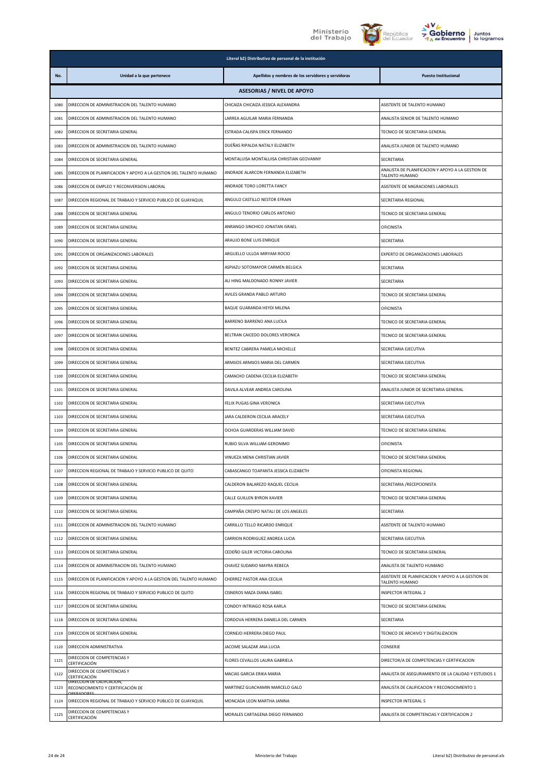





|      | Literal b2) Distributivo de personal de la institución                    |                                                    |                                                                      |  |
|------|---------------------------------------------------------------------------|----------------------------------------------------|----------------------------------------------------------------------|--|
| No.  | Unidad a la que pertenece                                                 | Apellidos y nombres de los servidores y servidoras | <b>Puesto Institucional</b>                                          |  |
|      |                                                                           | <b>ASESORIAS / NIVEL DE APOYO</b>                  |                                                                      |  |
| 1080 | DIRECCION DE ADMINISTRACION DEL TALENTO HUMANO                            | CHICAIZA CHICAIZA JESSICA ALEXANDRA                | ASISTENTE DE TALENTO HUMANO                                          |  |
| 1081 | DIRECCION DE ADMINISTRACION DEL TALENTO HUMANO                            | LARREA AGUILAR MARIA FERNANDA                      | ANALISTA SENIOR DE TALENTO HUMANO                                    |  |
| 1082 | DIRECCION DE SECRETARIA GENERAL                                           | ESTRADA CALISPA ERICK FERNANDO                     | TECNICO DE SECRETARIA GENERAL                                        |  |
| 1083 | DIRECCION DE ADMINISTRACION DEL TALENTO HUMANO                            | DUEÑAS RIPALDA NATALY ELIZABETH                    | ANALISTA JUNIOR DE TALENTO HUMANO                                    |  |
| 1084 | DIRECCION DE SECRETARIA GENERAL                                           | MONTALUISA MONTALUISA CHRISTIAN GEOVANNY           | SECRETARIA                                                           |  |
| 1085 | DIRECCION DE PLANIFICACION Y APOYO A LA GESTION DEL TALENTO HUMANO        | ANDRADE ALARCON FERNANDA ELIZABETH                 | ANALISTA DE PLANIFICACION Y APOYO A LA GESTION DE<br>TALENTO HUMANO  |  |
| 1086 | DIRECCION DE EMPLEO Y RECONVERSION LABORAL                                | ANDRADE TORO LORETTA FANCY                         | ASISTENTE DE MIGRACIONES LABORALES                                   |  |
| 1087 | DIRECCION REGIONAL DE TRABAJO Y SERVICIO PUBLICO DE GUAYAQUIL             | ANGULO CASTILLO NESTOR EFRAIN                      | SECRETARIA REGIONAL                                                  |  |
| 1088 | DIRECCION DE SECRETARIA GENERAL                                           | ANGULO TENORIO CARLOS ANTONIO                      | TECNICO DE SECRETARIA GENERAL                                        |  |
| 1089 | DIRECCION DE SECRETARIA GENERAL                                           | ANRANGO SINCHICO JONATAN ISRAEL                    | <b>OFICINISTA</b>                                                    |  |
| 1090 | DIRECCION DE SECRETARIA GENERAL                                           | ARAUJO BONE LUIS ENRIQUE                           | SECRETARIA                                                           |  |
| 1091 | DIRECCION DE ORGANIZACIONES LABORALES                                     | ARGUELLO ULLOA MIRYAM ROCIO                        | EXPERTO DE ORGANIZACIONES LABORALES                                  |  |
| 1092 | DIRECCION DE SECRETARIA GENERAL                                           | ASPIAZU SOTOMAYOR CARMEN BELGICA                   | SECRETARIA                                                           |  |
| 1093 | DIRECCION DE SECRETARIA GENERAL                                           | AU HING MALDONADO RONNY JAVIER                     | SECRETARIA                                                           |  |
| 1094 | DIRECCION DE SECRETARIA GENERAL                                           | AVILES GRANDA PABLO ARTURO                         | TECNICO DE SECRETARIA GENERAL                                        |  |
| 1095 | DIRECCION DE SECRETARIA GENERAL                                           | BAQUE GUARANDA HEYDI MILENA                        | OFICINISTA                                                           |  |
| 1096 | DIRECCION DE SECRETARIA GENERAL                                           | BARRENO BARRENO ANA LUCILA                         | TECNICO DE SECRETARIA GENERAL                                        |  |
| 1097 | DIRECCION DE SECRETARIA GENERAL                                           | BELTRAN CAICEDO DOLORES VERONICA                   | TECNICO DE SECRETARIA GENERAL                                        |  |
| 1098 | DIRECCION DE SECRETARIA GENERAL                                           | BENITEZ CABRERA PAMELA MICHELLE                    | SECRETARIA EJECUTIVA                                                 |  |
| 1099 | DIRECCION DE SECRETARIA GENERAL                                           | ARMIJOS ARMIJOS MARIA DEL CARMEN                   | SECRETARIA EJECUTIVA                                                 |  |
| 1100 | DIRECCION DE SECRETARIA GENERAL                                           | CAMACHO CADENA CECILIA ELIZABETH                   | TECNICO DE SECRETARIA GENERAL                                        |  |
| 1101 | DIRECCION DE SECRETARIA GENERAL                                           | DAVILA ALVEAR ANDREA CAROLINA                      | ANALISTA JUNIOR DE SECRETARIA GENERAL                                |  |
| 1102 | DIRECCION DE SECRETARIA GENERAL                                           | FELIX PUGAS GINA VERONICA                          | SECRETARIA EJECUTIVA                                                 |  |
| 1103 | DIRECCION DE SECRETARIA GENERAL                                           | JARA CALDERON CECILIA ARACELY                      | SECRETARIA EJECUTIVA                                                 |  |
| 1104 | DIRECCION DE SECRETARIA GENERAL                                           | OCHOA GUARDERAS WILLIAM DAVID                      | TECNICO DE SECRETARIA GENERAL                                        |  |
| 1105 | DIRECCION DE SECRETARIA GENERAL                                           | RUBIO SILVA WILLIAM GERONIMO                       | <b>OFICINISTA</b>                                                    |  |
| 1106 | DIRECCION DE SECRETARIA GENERAL                                           | VINUEZA MENA CHRISTIAN JAVIER                      | TECNICO DE SECRETARIA GENERAL                                        |  |
| 1107 | DIRECCION REGIONAL DE TRABAJO Y SERVICIO PUBLICO DE QUITO                 | CABASCANGO TOAPANTA JESSICA ELIZABETH              | OFICINISTA REGIONAL                                                  |  |
| 1108 | DIRECCION DE SECRETARIA GENERAL                                           | CALDERON BALAREZO RAQUEL CECILIA                   | SECRETARIA / RECEPCIONISTA                                           |  |
| 1109 | DIRECCION DE SECRETARIA GENERAL                                           | CALLE GUILLEN BYRON XAVIER                         | TECNICO DE SECRETARIA GENERAL                                        |  |
| 1110 | DIRECCION DE SECRETARIA GENERAL                                           | CAMPAÑA CRESPO NATALI DE LOS ANGELES               | SECRETARIA                                                           |  |
| 1111 | DIRECCION DE ADMINISTRACION DEL TALENTO HUMANO                            | CARRILLO TELLO RICARDO ENRIQUE                     | ASISTENTE DE TALENTO HUMANO                                          |  |
| 1112 | DIRECCION DE SECRETARIA GENERAL                                           | CARRION RODRIGUEZ ANDREA LUCIA                     | SECRETARIA EJECUTIVA                                                 |  |
| 1113 | DIRECCION DE SECRETARIA GENERAL                                           | CEDEÑO GILER VICTORIA CAROLINA                     | TECNICO DE SECRETARIA GENERAL                                        |  |
| 1114 | DIRECCION DE ADMINISTRACION DEL TALENTO HUMANO                            | CHAVEZ SUDARIO MAYRA REBECA                        | ANALISTA DE TALENTO HUMANO                                           |  |
| 1115 | DIRECCION DE PLANIFICACION Y APOYO A LA GESTION DEL TALENTO HUMANO        | CHERREZ PASTOR ANA CECILIA                         | ASISTENTE DE PLANIFICACION Y APOYO A LA GESTION DE<br>TALENTO HUMANO |  |
| 1116 | DIRECCION REGIONAL DE TRABAJO Y SERVICIO PUBLICO DE QUITO                 | CISNEROS MAZA DIANA ISABEL                         | INSPECTOR INTEGRAL 2                                                 |  |
| 1117 | DIRECCION DE SECRETARIA GENERAL                                           | CONDOY INTRIAGO ROSA KARLA                         | TECNICO DE SECRETARIA GENERAL                                        |  |
| 1118 | DIRECCION DE SECRETARIA GENERAL                                           | CORDOVA HERRERA DANIELA DEL CARMEN                 | SECRETARIA                                                           |  |
| 1119 | DIRECCION DE SECRETARIA GENERAL                                           | CORNEJO HERRERA DIEGO PAUL                         | TECNICO DE ARCHIVO Y DIGITALIZACION                                  |  |
| 1120 | DIRECCION ADMINISTRATIVA                                                  | JACOME SALAZAR ANA LUCIA                           | CONSERJE                                                             |  |
| 1121 | DIRECCION DE COMPETENCIAS Y<br>CERTIFICACIÓN                              | FLORES CEVALLOS LAURA GABRIELA                     | DIRECTOR/A DE COMPETENCIAS Y CERTIFICACION                           |  |
| 1122 | DIRECCION DE COMPETENCIAS Y<br>CERTIFICACIÓN<br>DIRECCION DE CALIFCACION, | MACIAS GARCIA ERIKA MARIA                          | ANALISTA DE ASEGURAMIENTO DE LA CALIDAD Y ESTUDIOS 1                 |  |
| 1123 | RECONOCIMIENTO Y CERTIFICACIÓN DE                                         | MARTINEZ GUACHAMIN MARCELO GALO                    | ANALISTA DE CALIFICACION Y RECONOCIMIENTO 1                          |  |
| 1124 | DIRECCION REGIONAL DE TRABAJO Y SERVICIO PUBLICO DE GUAYAQUIL             | MONCADA LEON MARTHA JANINA                         | INSPECTOR INTEGRAL 5                                                 |  |
| 1125 | DIRECCION DE COMPETENCIAS Y<br>CERTIFICACIÓN                              | MORALES CARTAGENA DIEGO FERNANDO                   | ANALISTA DE COMPETENCIAS Y CERTIFICACION 2                           |  |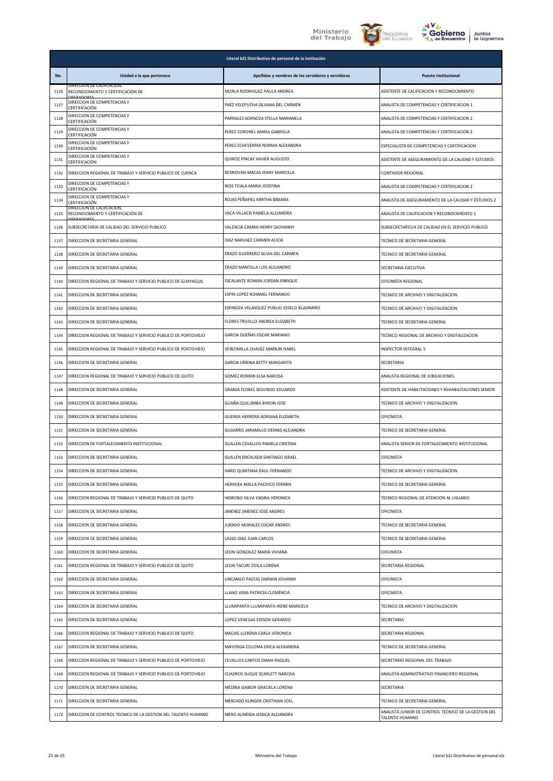





| Juntos      |
|-------------|
| lo logramos |

|      |                                                                | Literal b2) Distributivo de personal de la institución |                                                                        |
|------|----------------------------------------------------------------|--------------------------------------------------------|------------------------------------------------------------------------|
| No.  | Unidad a la que pertenece                                      | Apellidos y nombres de los servidores y servidoras     | <b>Puesto Institucional</b>                                            |
| 1126 | DIRECCION DE CALIFCACION.<br>RECONOCIMIENTO Y CERTIFICACIÓN DE | MORLA RODRIGUEZ PAULA ANDREA                           | ASISTENTE DE CALIFICACION Y RECONOCIMIENTO                             |
| 1127 | DIRECCION DE COMPETENCIAS Y<br>CERTIFICACIÓN                   | PAEZ VELEPUCHA SILVANA DEL CARMEN                      | ANALISTA DE COMPETENCIAS Y CERTIFICACION 1                             |
| 1128 | DIRECCION DE COMPETENCIAS Y<br>CERTIFICACIÓN                   | PARRALES SORNOZA STELLA MARIANELA                      | ANALISTA DE COMPETENCIAS Y CERTIFICACION 2                             |
| 1129 | DIRECCION DE COMPETENCIAS Y<br>CERTIFICACIÓN                   | PEREZ CORONEL MARIA GABRIELA                           | ANALISTA DE COMPETENCIAS Y CERTIFICACION 2                             |
| 1130 | DIRECCION DE COMPETENCIAS Y<br>CERTIFICACIÓN                   | PEREZ ECHEVERRIA NORMA ALEXANDRA                       | ESPECIALISTA DE COMPETENCIAS Y CERTIFICACION                           |
| 1131 | DIRECCION DE COMPETENCIAS Y<br>CERTIFICACIÓN                   | QUIROZ PINCAY XAVIER AUGUSTO                           | ASISTENTE DE ASEGURAMIENTO DE LA CALIDAD Y ESTUDIOS                    |
| 1132 | DIRECCION REGIONAL DE TRABAJO Y SERVICIO PUBLICO DE CUENCA     | REDROVAN MACAS JENNY MARICELA                          | CONTADOR REGIONAL                                                      |
| 1133 | DIRECCION DE COMPETENCIAS Y<br>CERTIFICACIÓN                   | RIOS TOALA MARIA JOSEFINA                              | ANALISTA DE COMPETENCIAS Y CERTIFICACION 2                             |
| 1134 | DIRECCION DE COMPETENCIAS Y<br>CERTIFICACIÓN                   | ROJAS PEÑAFIEL MIRTHA BIBIANA                          | ANALISTA DE ASEGURAMIENTO DE LA CALIDAD Y ESTUDIOS 2                   |
| 1135 | DIRECCION DE CALIFCACION,<br>RECONOCIMIENTO Y CERTIFICACIÓN DE | VACA VILLACIS PAMELA ALEJANDRA                         | ANALISTA DE CALIFICACION Y RECONOCIMIENTO 1                            |
| 1136 | SUBSECRETARIA DE CALIDAD DEL SERVICIO PUBLICO                  | VALENCIA CAMBA HENRY GIOVANNY                          | SUBSECRETARIO/A DE CALIDAD EN EL SERVICIO PUBLICO                      |
| 1137 | DIRECCION DE SECRETARIA GENERAL                                | DIAZ NARVAEZ CARMEN ALICIA                             | TECNICO DE SECRETARIA GENERAL                                          |
| 1138 | DIRECCION DE SECRETARIA GENERAL                                | ERAZO GUERRERO SILVIA DEL CARMEN                       | TECNICO DE SECRETARIA GENERAL                                          |
| 1139 | DIRECCION DE SECRETARIA GENERAL                                | ERAZO MANTILLA LUIS ALEJANDRO                          | SECRETARIA EJECUTIVA                                                   |
| 1140 | DIRECCION REGIONAL DE TRABAJO Y SERVICIO PUBLICO DE GUAYAQUIL  | ESCALANTE ROMAN JORDAN ENRIQUE                         | OFICINISTA REGIONAL                                                    |
| 1141 | DIRECCION DE SECRETARIA GENERAL                                | ESPIN LOPEZ ROMMEL FERNANDO                            | TECNICO DE ARCHIVO Y DIGITALIZACION                                    |
| 1142 | DIRECCION DE SECRETARIA GENERAL                                | ESPINOZA VELASQUEZ PUBLIO JOSELO BLADIMIRO             | TECNICO DE ARCHIVO Y DIGITALIZACION                                    |
| 1143 | DIRECCION DE SECRETARIA GENERAL                                | FLORES TRUJILLO ANDREA ELIZABETH                       | TECNICO DE SECRETARIA GENERAL                                          |
| 1144 | DIRECCION REGIONAL DE TRABAJO Y SERVICIO PUBLICO DE PORTOVIEJO | GARCIA DUEÑAS OSCAR MARIANO                            | TECNICO REGIONAL DE ARCHIVO Y DIGITALIZACION                           |
| 1145 | DIRECCION REGIONAL DE TRABAJO Y SERVICIO PUBLICO DE PORTOVIEJO | VEINTIMILLA CHAVEZ MARILIN ISABEL                      | INSPECTOR INTEGRAL 5                                                   |
| 1146 | DIRECCION DE SECRETARIA GENERAL                                | GARCIA URBINA BETTY MARGARITA                          | SECRETARIA                                                             |
| 1147 | DIRECCION REGIONAL DE TRABAJO Y SERVICIO PUBLICO DE QUITO      | GOMEZ ROMAN ELSA NARCISA                               | ANALISTA REGIONAL DE JUBILACIONES                                      |
| 1148 | DIRECCION DE SECRETARIA GENERAL                                | GRANJA FLORES SEGUNDO EDUARDO                          | ASISTENTE DE HABILITACIONES Y REHABILITACIONES SENIOR                  |
| 1149 | DIRECCION DE SECRETARIA GENERAL                                | GUAÑA QUILUMBA BYRON JOSE                              | TECNICO DE ARCHIVO Y DIGITALIZACION                                    |
| 1150 | DIRECCION DE SECRETARIA GENERAL                                | GUERRA HERRERA ADRIANA ELIZABETH                       | <b>OFICINISTA</b>                                                      |
| 1151 | DIRECCION DE SECRETARIA GENERAL                                | GUIJARRO JARAMILLO DENNIS ALEJANDRA                    | TECNICO DE SECRETARIA GENERAL                                          |
| 1152 | DIRECCION DE FORTALECIMIENTO INSTITUCIONAL                     | GUILLEN CEVALLOS PAMELA CRISTINA                       | ANALISTA SENIOR DE FORTALECIMIENTO INSTITUCIONAL                       |
| 1153 | DIRECCION DE SECRETARIA GENERAL                                | GUILLEN ENCALADA SANTIAGO ISRAEL                       | <b>OFICINISTA</b>                                                      |
| 1154 | DIRECCION DE SECRETARIA GENERAL                                | HARO QUINTANA RAUL FERNANDO                            | TECNICO DE ARCHIVO Y DIGITALIZACION                                    |
| 1155 | DIRECCION DE SECRETARIA GENERAL                                | HERRERA MALLA PACIFICO FERMIN                          | TECNICO DE SECRETARIA GENERAL                                          |
| 1156 | DIRECCION REGIONAL DE TRABAJO Y SERVICIO PUBLICO DE QUITO      | HIDROBO SILVA YADIRA VERONICA                          | TECNICO REGIONAL DE ATENCION AL USUARIO                                |
| 1157 | DIRECCION DE SECRETARIA GENERAL                                | JIMENEZ JIMENEZ JOSE ANDRES                            | <b>OFICINISTA</b>                                                      |
| 1158 | DIRECCION DE SECRETARIA GENERAL                                | JURADO MORALES OSCAR ANDRES                            | TECNICO DE SECRETARIA GENERAL                                          |
| 1159 | DIRECCION DE SECRETARIA GENERAL                                | LASSO DIAZ JUAN CARLOS                                 | TECNICO DE SECRETARIA GENERAL                                          |
| 1160 | DIRECCION DE SECRETARIA GENERAL                                | LEON GONZALEZ MARIA VIVIANA                            | <b>OFICINISTA</b>                                                      |
| 1161 | DIRECCION REGIONAL DE TRABAJO Y SERVICIO PUBLICO DE QUITO      | LEON TACURI ZOILA LORENA                               | SECRETARIA REGIONAL                                                    |
| 1162 | DIRECCION DE SECRETARIA GENERAL                                | LINCANGO PASTAS DARWIN JOVANNY                         | <b>OFICINISTA</b>                                                      |
| 1163 | DIRECCION DE SECRETARIA GENERAL                                | LLANO VERA PATRICIA CLEMENCIA                          | OFICINISTA                                                             |
| 1164 | DIRECCION DE SECRETARIA GENERAL                                | LLUMIPANTA LLUMIPANTA IRENE MARICELA                   | TECNICO DE ARCHIVO Y DIGITALIZACION                                    |
| 1165 | DIRECCION DE SECRETARIA GENERAL                                | LOPEZ VENEGAS EDISON GERARDO                           | SECRETARIA                                                             |
| 1166 | DIRECCION REGIONAL DE TRABAJO Y SERVICIO PUBLICO DE QUITO      | MACIAS LLERENA CARLA VERONICA                          | SECRETARIA REGIONAL                                                    |
| 1167 | DIRECCION DE SECRETARIA GENERAL                                | MAYORGA COLOMA ERICA ALEXANDRA                         | TECNICO DE SECRETARIA GENERAL                                          |
| 1168 | DIRECCION REGIONAL DE TRABAJO Y SERVICIO PUBLICO DE PORTOVIEJO | CEVALLOS CANTOS DIANA RAQUEL                           | SECRETARIO REGIONAL DEL TRABAJO                                        |
| 1169 | DIRECCION REGIONAL DE TRABAJO Y SERVICIO PUBLICO DE PORTOVIEJO | CUADROS SUQUE SCARLETT NARCISA                         | ANALISTA ADMINISTRATIVO FINANCIERO REGIONAL                            |
| 1170 | DIRECCION DE SECRETARIA GENERAL                                | MEDINA GAIBOR GRACIELA LORENA                          | SECRETARIA                                                             |
| 1171 | DIRECCION DE SECRETARIA GENERAL                                | MERCADO KLINGER CRISTHIAN JOEL                         | TECNICO DE SECRETARIA GENERAL                                          |
| 1172 | DIRECCION DE CONTROL TECNICO DE LA GESTION DEL TALENTO HUMANO  | MERO ALMEIDA JESSICA ALEJANDRA                         | ANALISTA JUNIOR DE CONTROL TECNICO DE LA GESTION DEL<br>TALENTO HUMANO |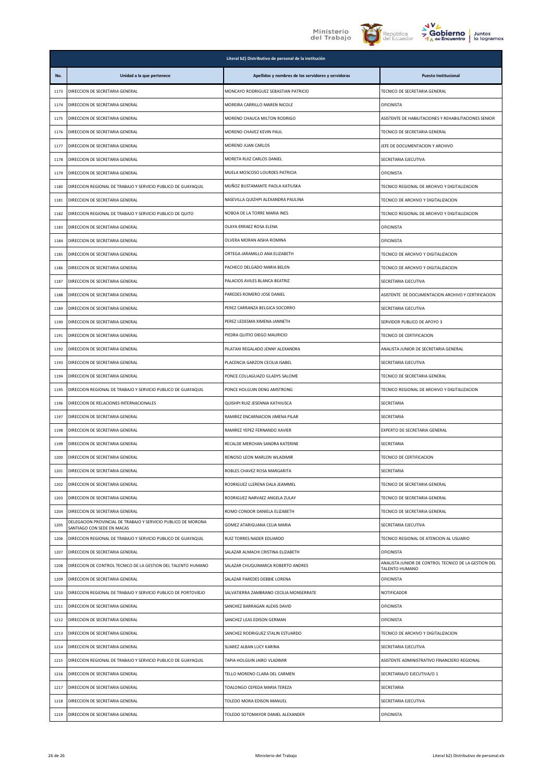





|      | Literal b2) Distributivo de personal de la institución                                      |                                                    |                                                                        |  |
|------|---------------------------------------------------------------------------------------------|----------------------------------------------------|------------------------------------------------------------------------|--|
| No.  | Unidad a la que pertenece                                                                   | Apellidos y nombres de los servidores y servidoras | <b>Puesto Institucional</b>                                            |  |
| 1173 | DIRECCION DE SECRETARIA GENERAL                                                             | MONCAYO RODRIGUEZ SEBASTIAN PATRICIO               | TECNICO DE SECRETARIA GENERAL                                          |  |
| 1174 | DIRECCION DE SECRETARIA GENERAL                                                             | MOREIRA CARRILLO MAREN NICOLE                      | OFICINISTA                                                             |  |
| 1175 | DIRECCION DE SECRETARIA GENERAL                                                             | MORENO CHAUCA MILTON RODRIGO                       | ASISTENTE DE HABILITACIONES Y REHABILITACIONES SENIOR                  |  |
| 1176 | DIRECCION DE SECRETARIA GENERAL                                                             | MORENO CHAVEZ KEVIN PAUL                           | TECNICO DE SECRETARIA GENERAL                                          |  |
| 1177 | DIRECCION DE SECRETARIA GENERAL                                                             | MORENO JUAN CARLOS                                 | JEFE DE DOCUMENTACION Y ARCHIVO                                        |  |
| 1178 | DIRECCION DE SECRETARIA GENERAL                                                             | MORETA RUIZ CARLOS DANIEL                          | SECRETARIA EJECUTIVA                                                   |  |
| 1179 | DIRECCION DE SECRETARIA GENERAL                                                             | MUELA MOSCOSO LOURDES PATRICIA                     | <b>OFICINISTA</b>                                                      |  |
| 1180 | DIRECCION REGIONAL DE TRABAJO Y SERVICIO PUBLICO DE GUAYAQUIL                               | MUÑOZ BUSTAMANTE PAOLA KATIUSKA                    | TECNICO REGIONAL DE ARCHIVO Y DIGITALIZACION                           |  |
| 1181 | DIRECCION DE SECRETARIA GENERAL                                                             | NASEVILLA QUIZHPI ALEXANDRA PAULINA                | TECNICO DE ARCHIVO Y DIGITALIZACION                                    |  |
| 1182 | DIRECCION REGIONAL DE TRABAJO Y SERVICIO PUBLICO DE QUITO                                   | NOBOA DE LA TORRE MARIA INES                       | TECNICO REGIONAL DE ARCHIVO Y DIGITALIZACION                           |  |
| 1183 | DIRECCION DE SECRETARIA GENERAL                                                             | OLAYA ERRAEZ ROSA ELENA                            | <b>OFICINISTA</b>                                                      |  |
| 1184 | DIRECCION DE SECRETARIA GENERAL                                                             | OLVERA MORAN AISHA ROMINA                          | <b>OFICINISTA</b>                                                      |  |
| 1185 | DIRECCION DE SECRETARIA GENERAL                                                             | ORTEGA JARAMILLO ANA ELIZABETH                     | TECNICO DE ARCHIVO Y DIGITALIZACION                                    |  |
| 1186 | DIRECCION DE SECRETARIA GENERAL                                                             | PACHECO DELGADO MARIA BELEN                        | TECNICO DE ARCHIVO Y DIGITALIZACION                                    |  |
| 1187 | DIRECCION DE SECRETARIA GENERAL                                                             | PALACIOS AVILES BLANCA BEATRIZ                     | SECRETARIA EJECUTIVA                                                   |  |
| 1188 | DIRECCION DE SECRETARIA GENERAL                                                             | PAREDES ROMERO JOSE DANIEL                         | ASISTENTE DE DOCUMENTACION ARCHIVO Y CERTIFICACION                     |  |
| 1189 | DIRECCION DE SECRETARIA GENERAL                                                             | PEREZ CARRANZA BELGICA SOCORRO                     | SECRETARIA EJECUTIVA                                                   |  |
| 1190 | DIRECCION DE SECRETARIA GENERAL                                                             | PEREZ LEDESMA XIMENA JANNETH                       | SERVIDOR PUBLICO DE APOYO 3                                            |  |
| 1191 | DIRECCION DE SECRETARIA GENERAL                                                             | PIEDRA QUITIO DIEGO MAURICIO                       | TECNICO DE CERTIFICACION                                               |  |
| 1192 | DIRECCION DE SECRETARIA GENERAL                                                             | PILATAXI REGALADO JENNY ALEXANDRA                  | ANALISTA JUNIOR DE SECRETARIA GENERAL                                  |  |
| 1193 | DIRECCION DE SECRETARIA GENERAL                                                             | PLACENCIA GARZON CECILIA ISABEL                    | SECRETARIA EJECUTIVA                                                   |  |
| 1194 | DIRECCION DE SECRETARIA GENERAL                                                             | PONCE COLLAGUAZO GLADYS SALOME                     | TECNICO DE SECRETARIA GENERAL                                          |  |
| 1195 | DIRECCION REGIONAL DE TRABAJO Y SERVICIO PUBLICO DE GUAYAQUIL                               | PONCE HOLGUIN DENG AMSTRONG                        | TECNICO REGIONAL DE ARCHIVO Y DIGITALIZACION                           |  |
| 1196 | DIRECCION DE RELACIONES INTERNACIONALES                                                     | QUISHPI RUIZ JESENNIA KATHIUSCA                    | SECRETARIA                                                             |  |
| 1197 | DIRECCION DE SECRETARIA GENERAL                                                             | RAMIREZ ENCARNACION JIMENA PILAR                   | SECRETARIA                                                             |  |
| 1198 | DIRECCION DE SECRETARIA GENERAL                                                             | RAMIREZ YEPEZ FERNANDO XAVIER                      | EXPERTO DE SECRETARIA GENERAL                                          |  |
| 1199 | DIRECCION DE SECRETARIA GENERAL                                                             | RECALDE MERCHAN SANDRA KATERINE                    | SECRETARIA                                                             |  |
| 1200 | DIRECCION DE SECRETARIA GENERAL                                                             | REINOSO LEON MARLON WLADIMIR                       | TECNICO DE CERTIFICACION                                               |  |
| 1201 | DIRECCION DE SECRETARIA GENERAL                                                             | ROBLES CHAVEZ ROSA MARGARITA                       | SECRETARIA                                                             |  |
| 1202 | DIRECCION DE SECRETARIA GENERAL                                                             | RODRIGUEZ LLERENA DALA JEAMMEL                     | TECNICO DE SECRETARIA GENERAL                                          |  |
| 1203 | DIRECCION DE SECRETARIA GENERAL                                                             | RODRIGUEZ NARVAEZ ANGELA ZULAY                     | TECNICO DE SECRETARIA GENERAL                                          |  |
| 1204 | DIRECCION DE SECRETARIA GENERAL                                                             | ROMO CONDOR DANIELA ELIZABETH                      | TECNICO DE SECRETARIA GENERAL                                          |  |
| 1205 | DELEGACION PROVINCIAL DE TRABAJO Y SERVICIO PUBLICO DE MORONA<br>SANTIAGO CON SEDE EN MACAS | GOMEZ ATARIGUANA CELIA MARIA                       | SECRETARIA EJECUTIVA                                                   |  |
| 1206 | DIRECCION REGIONAL DE TRABAJO Y SERVICIO PUBLICO DE GUAYAQUIL                               | RUIZ TORRES NADER EDUARDO                          | TECNICO REGIONAL DE ATENCION AL USUARIO                                |  |
| 1207 | DIRECCION DE SECRETARIA GENERAL                                                             | SALAZAR ALMACHI CRISTINA ELIZABETH                 | OFICINISTA                                                             |  |
| 1208 | DIRECCION DE CONTROL TECNICO DE LA GESTION DEL TALENTO HUMANO                               | SALAZAR CHUQUIMARCA ROBERTO ANDRES                 | ANALISTA JUNIOR DE CONTROL TECNICO DE LA GESTION DEL<br>TALENTO HUMANO |  |
| 1209 | DIRECCION DE SECRETARIA GENERAL                                                             | SALAZAR PAREDES DEBBIE LORENA                      | OFICINISTA                                                             |  |
| 1210 | DIRECCION REGIONAL DE TRABAJO Y SERVICIO PUBLICO DE PORTOVIEJO                              | SALVATIERRA ZAMBRANO CECILIA MONSERRATE            | NOTIFICADOR                                                            |  |
| 1211 | DIRECCION DE SECRETARIA GENERAL                                                             | SANCHEZ BARRAGAN ALEXIS DAVID                      | OFICINISTA                                                             |  |
| 1212 | DIRECCION DE SECRETARIA GENERAL                                                             | SANCHEZ LEAS EDISON GERMAN                         | OFICINISTA                                                             |  |
| 1213 | DIRECCION DE SECRETARIA GENERAL                                                             | SANCHEZ RODRIGUEZ STALIN ESTUARDO                  | TECNICO DE ARCHIVO Y DIGITALIZACION                                    |  |
| 1214 | DIRECCION DE SECRETARIA GENERAL                                                             | SUAREZ ALBAN LUCY KARINA                           | SECRETARIA EJECUTIVA                                                   |  |
| 1215 | DIRECCION REGIONAL DE TRABAJO Y SERVICIO PUBLICO DE GUAYAQUIL                               | TAPIA HOLGUIN JAIRO VLADIMIR                       | ASISTENTE ADMINISTRATIVO FINANCIERO REGIONAL                           |  |
| 1216 | DIRECCION DE SECRETARIA GENERAL                                                             | TELLO MORENO CLARA DEL CARMEN                      | SECRETARIA/O EJECUTIVA/O 1                                             |  |
| 1217 | DIRECCION DE SECRETARIA GENERAL                                                             | TOALONGO CEPEDA MARIA TEREZA                       | SECRETARIA                                                             |  |
| 1218 | DIRECCION DE SECRETARIA GENERAL                                                             | TOLEDO MORA EDISON MANUEL                          | SECRETARIA EJECUTIVA                                                   |  |
| 1219 | DIRECCION DE SECRETARIA GENERAL                                                             | TOLEDO SOTOMAYOR DANIEL ALEXANDER                  | OFICINISTA                                                             |  |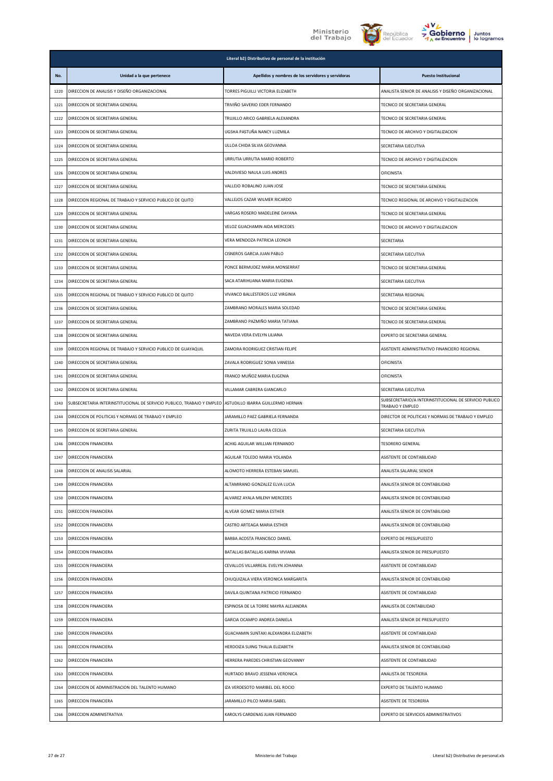





|      | Literal b2) Distributivo de personal de la institución                 |                                                    |                                                                            |
|------|------------------------------------------------------------------------|----------------------------------------------------|----------------------------------------------------------------------------|
| No.  | Unidad a la que pertenece                                              | Apellidos y nombres de los servidores y servidoras | <b>Puesto Institucional</b>                                                |
| 1220 | DIRECCION DE ANALISIS Y DISEÑO ORGANIZACIONAL                          | TORRES PIGUILLI VICTORIA ELIZABETH                 | ANALISTA SENIOR DE ANALISIS Y DISEÑO ORGANIZACIONAL                        |
| 1221 | DIRECCION DE SECRETARIA GENERAL                                        | TRIVIÑO SAVERIO EDER FERNANDO                      | TECNICO DE SECRETARIA GENERAL                                              |
| 1222 | DIRECCION DE SECRETARIA GENERAL                                        | TRUJILLO ARICO GABRIELA ALEXANDRA                  | TECNICO DE SECRETARIA GENERAL                                              |
| 1223 | DIRECCION DE SECRETARIA GENERAL                                        | UGSHA PASTUÑA NANCY LUZMILA                        | TECNICO DE ARCHIVO Y DIGITALIZACION                                        |
| 1224 | DIRECCION DE SECRETARIA GENERAL                                        | ULLOA CHIDA SILVIA GEOVANNA                        | SECRETARIA EJECUTIVA                                                       |
| 1225 | DIRECCION DE SECRETARIA GENERAL                                        | URRUTIA URRUTIA MARIO ROBERTO                      | TECNICO DE ARCHIVO Y DIGITALIZACION                                        |
| 1226 | DIRECCION DE SECRETARIA GENERAL                                        | VALDIVIESO NAULA LUIS ANDRES                       | <b>OFICINISTA</b>                                                          |
| 1227 | DIRECCION DE SECRETARIA GENERAL                                        | VALLEJO ROBALINO JUAN JOSE                         | TECNICO DE SECRETARIA GENERAL                                              |
| 1228 | DIRECCION REGIONAL DE TRABAJO Y SERVICIO PUBLICO DE QUITO              | VALLEJOS CAZAR WILMER RICARDO                      | TECNICO REGIONAL DE ARCHIVO Y DIGITALIZACION                               |
| 1229 | DIRECCION DE SECRETARIA GENERAL                                        | VARGAS ROSERO MADELEINE DAYANA                     | TECNICO DE SECRETARIA GENERAL                                              |
| 1230 | DIRECCION DE SECRETARIA GENERAL                                        | VELOZ GUACHAMIN AIDA MERCEDES                      | TECNICO DE ARCHIVO Y DIGITALIZACION                                        |
| 1231 | DIRECCION DE SECRETARIA GENERAL                                        | VERA MENDOZA PATRICIA LEONOR                       | SECRETARIA                                                                 |
| 1232 | DIRECCION DE SECRETARIA GENERAL                                        | CISNEROS GARCIA JUAN PABLO                         | SECRETARIA EJECUTIVA                                                       |
| 1233 | DIRECCION DE SECRETARIA GENERAL                                        | PONCE BERMUDEZ MARIA MONSERRAT                     | TECNICO DE SECRETARIA GENERAL                                              |
| 1234 | DIRECCION DE SECRETARIA GENERAL                                        | SACA ATARIHUANA MARIA EUGENIA                      | SECRETARIA EJECUTIVA                                                       |
| 1235 | DIRECCION REGIONAL DE TRABAJO Y SERVICIO PUBLICO DE QUITO              | VIVANCO BALLESTEROS LUZ VIRGINIA                   | SECRETARIA REGIONAL                                                        |
| 1236 | DIRECCION DE SECRETARIA GENERAL                                        | ZAMBRANO MORALES MARIA SOLEDAD                     | TECNICO DE SECRETARIA GENERAL                                              |
| 1237 | DIRECCION DE SECRETARIA GENERAL                                        | ZAMBRANO PAZMIÑO MARIA TATIANA                     | TECNICO DE SECRETARIA GENERAL                                              |
| 1238 | DIRECCION DE SECRETARIA GENERAL                                        | NAVEDA VERA EVELYN LILIANA                         | EXPERTO DE SECRETARIA GENERAL                                              |
| 1239 | DIRECCION REGIONAL DE TRABAJO Y SERVICIO PUBLICO DE GUAYAQUIL          | ZAMORA RODRIGUEZ CRISTIAN FELIPE                   | ASISTENTE ADMINISTRATIVO FINANCIERO REGIONAL                               |
| 1240 | DIRECCION DE SECRETARIA GENERAL                                        | ZAVALA RODRIGUEZ SONIA VANESSA                     | <b>OFICINISTA</b>                                                          |
| 1241 | DIRECCION DE SECRETARIA GENERAL                                        | FRANCO MUÑOZ MARIA EUGENIA                         | <b>OFICINISTA</b>                                                          |
| 1242 | DIRECCION DE SECRETARIA GENERAL                                        | VILLAMAR CABRERA GIANCARLO                         | SECRETARIA EJECUTIVA                                                       |
| 1243 | SUBSECRETARIA INTERINSTITUCIONAL DE SERVICIO PUBLICO, TRABAJO Y EMPLEO | ASTUDILLO IBARRA GUILLERMO HERNAN                  | SUBSECRETARIO/A INTERINSTITUCIONAL DE SERVICIO PUBLICO<br>TRABAJO Y EMPLEO |
| 1244 | DIRECCION DE POLITICAS Y NORMAS DE TRABAJO Y EMPLEO                    | JARAMILLO PAEZ GABRIELA FERNANDA                   | DIRECTOR DE POLITICAS Y NORMAS DE TRABAJO Y EMPLEO                         |
| 1245 | DIRECCION DE SECRETARIA GENERAL                                        | ZURITA TRUJILLO LAURA CECILIA                      | SECRETARIA EJECUTIVA                                                       |
| 1246 | DIRECCION FINANCIERA                                                   | ACHIG AGUILAR WILLIAN FERNANDO                     | TESORERO GENERAL                                                           |
| 1247 | DIRECCION FINANCIERA                                                   | AGUILAR TOLEDO MARIA YOLANDA                       | ASISTENTE DE CONTABILIDAD                                                  |
| 1248 | DIRECCION DE ANALISIS SALARIAL                                         | ALOMOTO HERRERA ESTEBAN SAMUEL                     | ANALISTA SALARIAL SENIOR                                                   |
| 1249 | DIRECCION FINANCIERA                                                   | ALTAMIRANO GONZALEZ ELVA LUCIA                     | ANALISTA SENIOR DE CONTABILIDAD                                            |
| 1250 | DIRECCION FINANCIERA                                                   | ALVAREZ AYALA MILENY MERCEDES                      | ANALISTA SENIOR DE CONTABILIDAD                                            |
| 1251 | DIRECCION FINANCIERA                                                   | ALVEAR GOMEZ MARIA ESTHER                          | ANALISTA SENIOR DE CONTABILIDAD                                            |
| 1252 | DIRECCION FINANCIERA                                                   | CASTRO ARTEAGA MARIA ESTHER                        | ANALISTA SENIOR DE CONTABILIDAD                                            |
| 1253 | DIRECCION FINANCIERA                                                   | BARBA ACOSTA FRANCISCO DANIEL                      | EXPERTO DE PRESUPUESTO                                                     |
| 1254 | DIRECCION FINANCIERA                                                   | BATALLAS BATALLAS KARINA VIVIANA                   | ANALISTA SENIOR DE PRESUPUESTO                                             |
| 1255 | DIRECCION FINANCIERA                                                   | CEVALLOS VILLARREAL EVELYN JOHANNA                 | ASISTENTE DE CONTABILIDAD                                                  |
| 1256 | DIRECCION FINANCIERA                                                   | CHUQUIZALA VIERA VERONICA MARGARITA                | ANALISTA SENIOR DE CONTABILIDAD                                            |
| 1257 | DIRECCION FINANCIERA                                                   | DAVILA QUINTANA PATRICIO FERNANDO                  | ASISTENTE DE CONTABILIDAD                                                  |
| 1258 | DIRECCION FINANCIERA                                                   | ESPINOSA DE LA TORRE MAYRA ALEJANDRA               | ANALISTA DE CONTABILIDAD                                                   |
| 1259 | DIRECCION FINANCIERA                                                   | GARCIA OCAMPO ANDREA DANIELA                       | ANALISTA SENIOR DE PRESUPUESTO                                             |
| 1260 | DIRECCION FINANCIERA                                                   | GUACHAMIN SUNTAXI ALEXANDRA ELIZABETH              | ASISTENTE DE CONTABILIDAD                                                  |
| 1261 | DIRECCION FINANCIERA                                                   | HERDOIZA SUING THALIA ELIZABETH                    | ANALISTA SENIOR DE CONTABILIDAD                                            |
| 1262 | DIRECCION FINANCIERA                                                   | HERRERA PAREDES CHRISTIAN GEOVANNY                 | ASISTENTE DE CONTABILIDAD                                                  |
| 1263 | DIRECCION FINANCIERA                                                   | HURTADO BRAVO JESSENIA VERONICA                    | ANALISTA DE TESORERIA                                                      |
| 1264 | DIRECCION DE ADMINISTRACION DEL TALENTO HUMANO                         | IZA VERDESOTO MARIBEL DEL ROCIO                    | EXPERTO DE TALENTO HUMANO                                                  |
| 1265 | DIRECCION FINANCIERA                                                   | JARAMILLO PILCO MARIA ISABEL                       | ASISTENTE DE TESORERIA                                                     |
| 1266 | DIRECCION ADMINISTRATIVA                                               | KAROLYS CARDENAS JUAN FERNANDO                     | EXPERTO DE SERVICIOS ADMINISTRATIVOS                                       |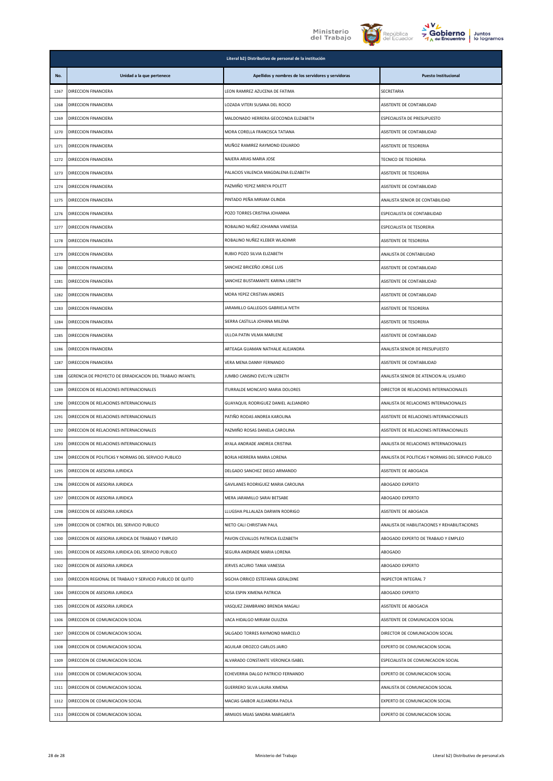





| Juntos      |
|-------------|
| lo logramos |

|      | Literal b2) Distributivo de personal de la institución    |                                                    |                                                     |  |
|------|-----------------------------------------------------------|----------------------------------------------------|-----------------------------------------------------|--|
| No.  | Unidad a la que pertenece                                 | Apellidos y nombres de los servidores y servidoras | <b>Puesto Institucional</b>                         |  |
| 1267 | DIRECCION FINANCIERA                                      | LEON RAMIREZ AZUCENA DE FATIMA                     | SECRETARIA                                          |  |
| 1268 | DIRECCION FINANCIERA                                      | LOZADA VITERI SUSANA DEL ROCIO                     | ASISTENTE DE CONTABILIDAD                           |  |
| 1269 | DIRECCION FINANCIERA                                      | MALDONADO HERRERA GEOCONDA ELIZABETH               | ESPECIALISTA DE PRESUPUESTO                         |  |
| 1270 | DIRECCION FINANCIERA                                      | MORA CORELLA FRANCISCA TATIANA                     | ASISTENTE DE CONTABILIDAD                           |  |
| 1271 | DIRECCION FINANCIERA                                      | MUÑOZ RAMIREZ RAYMOND EDUARDO                      | ASISTENTE DE TESORERIA                              |  |
| 1272 | DIRECCION FINANCIERA                                      | NAJERA ARIAS MARIA JOSE                            | TECNICO DE TESORERIA                                |  |
| 1273 | DIRECCION FINANCIERA                                      | PALACIOS VALENCIA MAGDALENA ELIZABETH              | ASISTENTE DE TESORERIA                              |  |
| 1274 | DIRECCION FINANCIERA                                      | PAZMIÑO YEPEZ MIREYA POLETT                        | ASISTENTE DE CONTABILIDAD                           |  |
| 1275 | DIRECCION FINANCIERA                                      | PINTADO PEÑA MIRIAM OLINDA                         | ANALISTA SENIOR DE CONTABILIDAD                     |  |
| 1276 | DIRECCION FINANCIERA                                      | POZO TORRES CRISTINA JOHANNA                       | ESPECIALISTA DE CONTABILIDAD                        |  |
| 1277 | DIRECCION FINANCIERA                                      | ROBALINO NUÑEZ JOHANNA VANESSA                     | ESPECIALISTA DE TESORERIA                           |  |
| 1278 | DIRECCION FINANCIERA                                      | ROBALINO NUÑEZ KLEBER WLADIMIR                     | ASISTENTE DE TESORERIA                              |  |
| 1279 | DIRECCION FINANCIERA                                      | RUBIO POZO SILVIA ELIZABETH                        | ANALISTA DE CONTABILIDAD                            |  |
| 1280 | DIRECCION FINANCIERA                                      | SANCHEZ BRICEÑO JORGE LUIS                         | ASISTENTE DE CONTABILIDAD                           |  |
| 1281 | DIRECCION FINANCIERA                                      | SANCHEZ BUSTAMANTE KARINA LISBETH                  | ASISTENTE DE CONTABILIDAD                           |  |
| 1282 | DIRECCION FINANCIERA                                      | MORA YEPEZ CRISTIAN ANDRES                         | ASISTENTE DE CONTABILIDAD                           |  |
| 1283 | DIRECCION FINANCIERA                                      | JARAMILLO GALLEGOS GABRIELA IVETH                  | ASISTENTE DE TESORERIA                              |  |
| 1284 | DIRECCION FINANCIERA                                      | SIERRA CASTILLA JOHANA MILENA                      | ASISTENTE DE TESORERIA                              |  |
| 1285 | DIRECCION FINANCIERA                                      | ULLOA PATIN VILMA MARLENE                          | ASISTENTE DE CONTABILIDAD                           |  |
| 1286 | DIRECCION FINANCIERA                                      | ARTEAGA GUAMAN NATHALIE ALEJANDRA                  | ANALISTA SENIOR DE PRESUPUESTO                      |  |
| 1287 | DIRECCION FINANCIERA                                      | VERA MENA DANNY FERNANDO                           | ASISTENTE DE CONTABILIDAD                           |  |
| 1288 | GERENCIA DE PROYECTO DE ERRADICACION DEL TRABAJO INFANTIL | JUMBO CANSINO EVELYN LIZBETH                       | ANALISTA SENIOR DE ATENCION AL USUARIO              |  |
| 1289 | DIRECCION DE RELACIONES INTERNACIONALES                   | ITURRALDE MONCAYO MARIA DOLORES                    | DIRECTOR DE RELACIONES INTERNACIONALES              |  |
| 1290 | DIRECCION DE RELACIONES INTERNACIONALES                   | GUAYAQUIL RODRIGUEZ DANIEL ALEJANDRO               | ANALISTA DE RELACIONES INTERNACIONALES              |  |
| 1291 | DIRECCION DE RELACIONES INTERNACIONALES                   | PATIÑO RODAS ANDREA KAROLINA                       | ASISTENTE DE RELACIONES INTERNACIONALES             |  |
| 1292 | DIRECCION DE RELACIONES INTERNACIONALES                   | PAZMIÑO ROSAS DANIELA CAROLINA                     | ASISTENTE DE RELACIONES INTERNACIONALES             |  |
| 1293 | DIRECCION DE RELACIONES INTERNACIONALES                   | AYALA ANDRADE ANDREA CRISTINA                      | ANALISTA DE RELACIONES INTERNACIONALES              |  |
| 1294 | DIRECCION DE POLITICAS Y NORMAS DEL SERVICIO PUBLICO      | BORJA HERRERA MARIA LORENA                         | ANALISTA DE POLITICAS Y NORMAS DEL SERVICIO PUBLICO |  |
| 1295 | DIRECCION DE ASESORIA JURIDICA                            | DELGADO SANCHEZ DIEGO ARMANDO                      | ASISTENTE DE ABOGACIA                               |  |
| 1296 | DIRECCION DE ASESORIA JURIDICA                            | GAVILANES RODRIGUEZ MARIA CAROLINA                 | ABOGADO EXPERTO                                     |  |
| 1297 | DIRECCION DE ASESORIA JURIDICA                            | MERA JARAMILLO SARAI BETSABE                       | ABOGADO EXPERTO                                     |  |
| 1298 | DIRECCION DE ASESORIA JURIDICA                            | LLUGSHA PILLALAZA DARWIN RODRIGO                   | ASISTENTE DE ABOGACIA                               |  |
| 1299 | DIRECCION DE CONTROL DEL SERVICIO PUBLICO                 | NIETO CALI CHRISTIAN PAUL                          | ANALISTA DE HABILITACIONES Y REHABILITACIONES       |  |
| 1300 | DIRECCION DE ASESORIA JURIDICA DE TRABAJO Y EMPLEO        | PAVON CEVALLOS PATRICIA ELIZABETH                  | ABOGADO EXPERTO DE TRABAJO Y EMPLEO                 |  |
| 1301 | DIRECCION DE ASESORIA JURIDICA DEL SERVICIO PUBLICO       | SEGURA ANDRADE MARIA LORENA                        | ABOGADO                                             |  |
| 1302 | DIRECCION DE ASESORIA JURIDICA                            | JERVES ACURIO TANIA VANESSA                        | ABOGADO EXPERTO                                     |  |
| 1303 | DIRECCION REGIONAL DE TRABAJO Y SERVICIO PUBLICO DE QUITO | SIGCHA ORRICO ESTEFANIA GERALDINE                  | INSPECTOR INTEGRAL 7                                |  |
| 1304 | DIRECCION DE ASESORIA JURIDICA                            | SOSA ESPIN XIMENA PATRICIA                         | ABOGADO EXPERTO                                     |  |
| 1305 | DIRECCION DE ASESORIA JURIDICA                            | VASQUEZ ZAMBRANO BRENDA MAGALI                     | ASISTENTE DE ABOGACIA                               |  |
| 1306 | DIRECCION DE COMUNICACION SOCIAL                          | VACA HIDALGO MIRIAM OLIUZKA                        | ASISTENTE DE COMUNICACION SOCIAL                    |  |
| 1307 | DIRECCION DE COMUNICACION SOCIAL                          | SALGADO TORRES RAYMOND MARCELO                     | DIRECTOR DE COMUNICACION SOCIAL                     |  |
| 1308 | DIRECCION DE COMUNICACION SOCIAL                          | AGUILAR OROZCO CARLOS JAIRO                        | EXPERTO DE COMUNICACION SOCIAL                      |  |
| 1309 | DIRECCION DE COMUNICACION SOCIAL                          | ALVARADO CONSTANTE VERONICA ISABEL                 | ESPECIALISTA DE COMUNICACION SOCIAL                 |  |
| 1310 | DIRECCION DE COMUNICACION SOCIAL                          | ECHEVERRIA DALGO PATRICIO FERNANDO                 | EXPERTO DE COMUNICACION SOCIAL                      |  |
| 1311 | DIRECCION DE COMUNICACION SOCIAL                          | GUERRERO SILVA LAURA XIMENA                        | ANALISTA DE COMUNICACION SOCIAL                     |  |
| 1312 | DIRECCION DE COMUNICACION SOCIAL                          | MACIAS GAIBOR ALEJANDRA PAOLA                      | EXPERTO DE COMUNICACION SOCIAL                      |  |
| 1313 | DIRECCION DE COMUNICACION SOCIAL                          | ARMIJOS MIJAS SANDRA MARGARITA                     | EXPERTO DE COMUNICACION SOCIAL                      |  |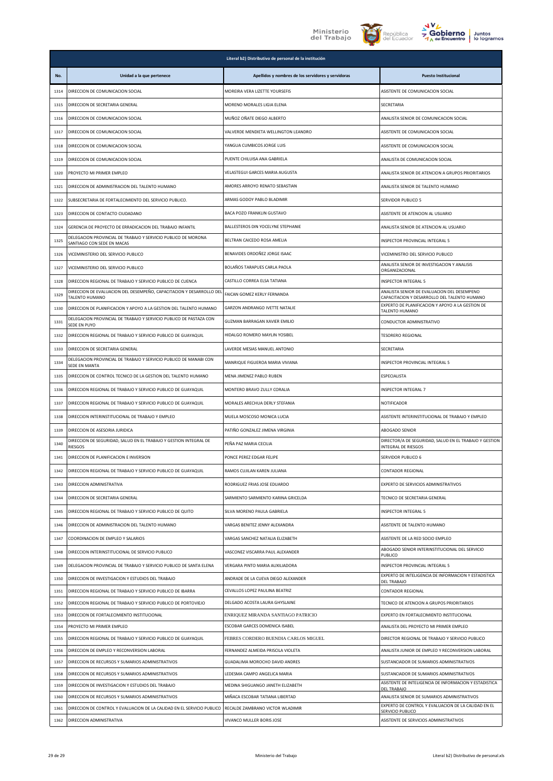





| <b>Juntos</b> |
|---------------|
| lo logramos   |

|              | Literal b2) Distributivo de personal de la institución                                      |                                                                        |                                                                                                  |  |
|--------------|---------------------------------------------------------------------------------------------|------------------------------------------------------------------------|--------------------------------------------------------------------------------------------------|--|
| No.          | Unidad a la que pertenece                                                                   | Apellidos y nombres de los servidores y servidoras                     | <b>Puesto Institucional</b>                                                                      |  |
| 1314         | DIRECCION DE COMUNICACION SOCIAL                                                            | MOREIRA VERA LIZETTE YOURSEFIS                                         | ASISTENTE DE COMUNICACION SOCIAL                                                                 |  |
| 1315         | DIRECCION DE SECRETARIA GENERAL                                                             | MORENO MORALES LIGIA ELENA                                             | <b>SECRETARIA</b>                                                                                |  |
| 1316         | DIRECCION DE COMUNICACION SOCIAL                                                            | MUÑOZ OÑATE DIEGO ALBERTO                                              | ANALISTA SENIOR DE COMUNICACION SOCIAL                                                           |  |
| 1317         | DIRECCION DE COMUNICACION SOCIAL                                                            | VALVERDE MENDIETA WELLINGTON LEANDRO                                   | ASISTENTE DE COMUNICACION SOCIAL                                                                 |  |
| 1318         | DIRECCION DE COMUNICACION SOCIAL                                                            | YANGUA CUMBICOS JORGE LUIS                                             | ASISTENTE DE COMUNICACION SOCIAL                                                                 |  |
| 1319         | DIRECCION DE COMUNICACION SOCIAL                                                            | PUENTE CHILUISA ANA GABRIELA                                           | ANALISTA DE COMUNICACION SOCIAL                                                                  |  |
| 1320         | PROYECTO MI PRIMER EMPLEO                                                                   | VELASTEGUI GARCES MARIA AUGUSTA                                        | ANALISTA SENIOR DE ATENCION A GRUPOS PRIORITARIOS                                                |  |
| 1321         | DIRECCION DE ADMINISTRACION DEL TALENTO HUMANO                                              | AMORES ARROYO RENATO SEBASTIAN                                         | ANALISTA SENIOR DE TALENTO HUMANO                                                                |  |
| 1322         | SUBSECRETARIA DE FORTALECIMIENTO DEL SERVICIO PUBLICO.                                      | ARMAS GODOY PABLO BLADIMIR                                             | SERVIDOR PUBLICO 5                                                                               |  |
| 1323         | DIRECCION DE CONTACTO CIUDADANO                                                             | BACA POZO FRANKLIN GUSTAVO                                             | ASISTENTE DE ATENCION AL USUARIO                                                                 |  |
| 1324         | GERENCIA DE PROYECTO DE ERRADICACION DEL TRABAJO INFANTIL                                   | BALLESTEROS DIN YOCELYNE STEPHANIE                                     | ANALISTA SENIOR DE ATENCION AL USUARIO                                                           |  |
| 1325         | DELEGACION PROVINCIAL DE TRABAJO Y SERVICIO PUBLICO DE MORONA<br>SANTIAGO CON SEDE EN MACAS | BELTRAN CAICEDO ROSA AMELIA                                            | INSPECTOR PROVINCIAL INTEGRAL 5                                                                  |  |
| 1326         | VICEMINISTERIO DEL SERVICIO PUBLICO                                                         | BENAVIDES ORDOÑEZ JORGE ISAAC                                          | VICEMINISTRO DEL SERVICIO PUBLICO                                                                |  |
| 1327         | VICEMINISTERIO DEL SERVICIO PUBLICO                                                         | BOLAÑOS TARAPUES CARLA PAOLA                                           | ANALISTA SENIOR DE INVESTIGACION Y ANALISIS<br>ORGANIZACIONAL                                    |  |
| 1328         | DIRECCION REGIONAL DE TRABAJO Y SERVICIO PUBLICO DE CUENCA                                  | CASTILLO CORREA ELSA TATIANA                                           | <b>INSPECTOR INTEGRAL 5</b>                                                                      |  |
| 1329         | DIRECCION DE EVALUACION DEL DESEMPEÑO, CAPACITACION Y DESARROLLO DEL                        | FAICAN GOMEZ KERLY FERNANDA                                            | ANALISTA SENIOR DE EVALUACION DEL DESEMPENO                                                      |  |
| 1330         | TALENTO HUMANO<br>DIRECCION DE PLANIFICACION Y APOYO A LA GESTION DEL TALENTO HUMANO        | GARZON ANDRANGO IVETTE NATALIE                                         | CAPACITACION Y DESARROLLO DEL TALENTO HUMANO<br>EXPERTO DE PLANIFICACION Y APOYO A LA GESTION DE |  |
| 1331         | DELEGACION PROVINCIAL DE TRABAJO Y SERVICIO PUBLICO DE PASTAZA CON                          | GUZMAN BARRAGAN XAVIER EMILIO                                          | TALENTO HUMANO<br>CONDUCTOR ADMINISTRATIVO                                                       |  |
| 1332         | SEDE EN PUYO<br>DIRECCION REGIONAL DE TRABAJO Y SERVICIO PUBLICO DE GUAYAQUIL               | HIDALGO ROMERO MAYLIN YOSIBEL                                          | <b>TESORERO REGIONAL</b>                                                                         |  |
| 1333         | DIRECCION DE SECRETARIA GENERAL                                                             | LAVERDE MESIAS MANUEL ANTONIO                                          | SECRETARIA                                                                                       |  |
| 1334         | DELEGACION PROVINCIAL DE TRABAJO Y SERVICIO PUBLICO DE MANABI CON                           | MANRIQUE FIGUEROA MARIA VIVIANA                                        | INSPECTOR PROVINCIAL INTEGRAL 5                                                                  |  |
| 1335         | SEDE EN MANTA<br>DIRECCION DE CONTROL TECNICO DE LA GESTION DEL TALENTO HUMANO              | MENA JIMENEZ PABLO RUBEN                                               | ESPECIALISTA                                                                                     |  |
| 1336         | DIRECCION REGIONAL DE TRABAJO Y SERVICIO PUBLICO DE GUAYAQUIL                               | MONTERO BRAVO ZULLY CORALIA                                            | INSPECTOR INTEGRAL 7                                                                             |  |
|              |                                                                                             | MORALES ARECHUA DERLY STEFANIA                                         | <b>NOTIFICADOR</b>                                                                               |  |
| 1337         | DIRECCION REGIONAL DE TRABAJO Y SERVICIO PUBLICO DE GUAYAQUIL                               | MUELA MOSCOSO MONICA LUCIA                                             |                                                                                                  |  |
| 1338         | DIRECCION INTERINSTITUCIONAL DE TRABAJO Y EMPLEO<br>DIRECCION DE ASESORIA JURIDICA          |                                                                        | ASISTENTE INTERINSTITUCIONAL DE TRABAJO Y EMPLEO                                                 |  |
| 1339         | DIRECCION DE SEGURIDAD, SALUD EN EL TRABAJO Y GESTION INTEGRAL DE                           | PATIÑO GONZALEZ JIMENA VIRGINIA                                        | ABOGADO SENIOR<br>DIRECTOR/A DE SEGURIDAD, SALUD EN EL TRABAJO Y GESTION                         |  |
| 1340         | <b>RIFSGOS</b>                                                                              | PEÑA PAZ MARIA CECILIA                                                 | INTEGRAL DE RIESGOS                                                                              |  |
| 1341         | DIRECCION DE PLANIFICACION E INVERSION                                                      | PONCE PEREZ EDGAR FELIPE                                               | SERVIDOR PUBLICO 6                                                                               |  |
| 1342         | DIRECCION REGIONAL DE TRABAJO Y SERVICIO PUBLICO DE GUAYAQUIL                               | RAMOS CUJILAN KAREN JULIANA                                            | CONTADOR REGIONAL                                                                                |  |
| 1343         | DIRECCION ADMINISTRATIVA                                                                    | RODRIGUEZ FRIAS JOSE EDUARDO                                           | EXPERTO DE SERVICIOS ADMINISTRATIVOS                                                             |  |
| 1344         | DIRECCION DE SECRETARIA GENERAL                                                             | SARMIENTO SARMIENTO KARINA GRICELDA                                    | TECNICO DE SECRETARIA GENERAL                                                                    |  |
| 1345         | DIRECCION REGIONAL DE TRABAJO Y SERVICIO PUBLICO DE QUITO                                   | SILVA MORENO PAULA GABRIELA                                            | <b>INSPECTOR INTEGRAL 5</b>                                                                      |  |
| 1346         | DIRECCION DE ADMINISTRACION DEL TALENTO HUMANO                                              | VARGAS BENITEZ JENNY ALEXANDRA                                         | ASISTENTE DE TALENTO HUMANO                                                                      |  |
| 1347         | COORDINACION DE EMPLEO Y SALARIOS                                                           | VARGAS SANCHEZ NATALIA ELIZABETH                                       | ASISTENTE DE LA RED SOCIO EMPLEO                                                                 |  |
| 1348         | DIRECCION INTERINSTITUCIONAL DE SERVICIO PUBLICO                                            | VASCONEZ VISCARRA PAUL ALEXANDER                                       | ABOGADO SENIOR INTERINSTITUCIONAL DEL SERVICIO<br>PUBLICO                                        |  |
| 1349         | DELEGACION PROVINCIAL DE TRABAJO Y SERVICIO PUBLICO DE SANTA ELENA                          | VERGARA PINTO MARIA AUXILIADORA                                        | <b>INSPECTOR PROVINCIAL INTEGRAL 5</b>                                                           |  |
| 1350         | DIRECCION DE INVESTIGACION Y ESTUDIOS DEL TRABAJO                                           | ANDRADE DE LA CUEVA DIEGO ALEXANDER                                    | EXPERTO DE INTELIGENCIA DE INFORMACION Y ESTADISTICA<br><b>DEL TRABAJO</b>                       |  |
| 1351         | DIRECCION REGIONAL DE TRABAJO Y SERVICIO PUBLICO DE IBARRA                                  | CEVALLOS LOPEZ PAULINA BEATRIZ                                         | CONTADOR REGIONAL                                                                                |  |
| 1352         | DIRECCION REGIONAL DE TRABAJO Y SERVICIO PUBLICO DE PORTOVIEJO                              | DELGADO ACOSTA LAURA GHYSLAINE                                         | TECNICO DE ATENCION A GRUPOS PRIORITARIOS                                                        |  |
| 1353<br>1354 | DIRECCION DE FORTALECIMIENTO INSTITUCIONAL                                                  | ENRIQUEZ MIRANDA SANTIAGO PATRICIO                                     | EXPERTO EN FORTALECIMIENTO INSTITUCIONAL                                                         |  |
| 1355         | PROYECTO MI PRIMER EMPLEO<br>DIRECCION REGIONAL DE TRABAJO Y SERVICIO PUBLICO DE GUAYAQUIL  | ESCOBAR GARCES DOMENICA ISABEL<br>FEBRES CORDERO BUENDIA CARLOS MIGUEL | ANALISTA DEL PROYECTO MI PRIMER EMPLEO<br>DIRECTOR REGIONAL DE TRABAJO Y SERVICIO PUBLICO        |  |
| 1356         | DIRECCION DE EMPLEO Y RECONVERSION LABORAL                                                  | FERNANDEZ ALMEIDA PRISCILA VIOLETA                                     | ANALISTA JUNIOR DE EMPLEO Y RECONVERSION LABORAL                                                 |  |
| 1357         | DIRECCION DE RECURSOS Y SUMARIOS ADMINISTRATIVOS                                            | GUADALIMA MOROCHO DAVID ANDRES                                         | SUSTANCIADOR DE SUMARIOS ADMINISTRATIVOS                                                         |  |
| 1358         | DIRECCION DE RECURSOS Y SUMARIOS ADMINISTRATIVOS                                            | LEDESMA CAMPO ANGELICA MARIA                                           | SUSTANCIADOR DE SUMARIOS ADMINISTRATIVOS                                                         |  |
| 1359         | DIRECCION DE INVESTIGACION Y ESTUDIOS DEL TRABAJO                                           | MEDINA SHIGUANGO JANETH ELIZABETH                                      | ASISTENTE DE INTELIGENCIA DE INFORMACION Y ESTADISTICA<br><b>DEL TRABAJO</b>                     |  |
| 1360         | DIRECCION DE RECURSOS Y SUMARIOS ADMINISTRATIVOS                                            | MIÑACA ESCOBAR TATIANA LIBERTAD                                        | ANALISTA SENIOR DE SUMARIOS ADMINISTRATIVOS                                                      |  |
| 1361         | DIRECCION DE CONTROL Y EVALUACION DE LA CALIDAD EN EL SERVICIO PUBLICO                      | RECALDE ZAMBRANO VICTOR WLADIMIR                                       | EXPERTO DE CONTROL Y EVALUACION DE LA CALIDAD EN EL<br>SERVICIO PUBLICO                          |  |
| 1362         | DIRECCION ADMINISTRATIVA                                                                    | VIVANCO MULLER BORIS JOSE                                              | ASISTENTE DE SERVICIOS ADMINISTRATIVOS                                                           |  |